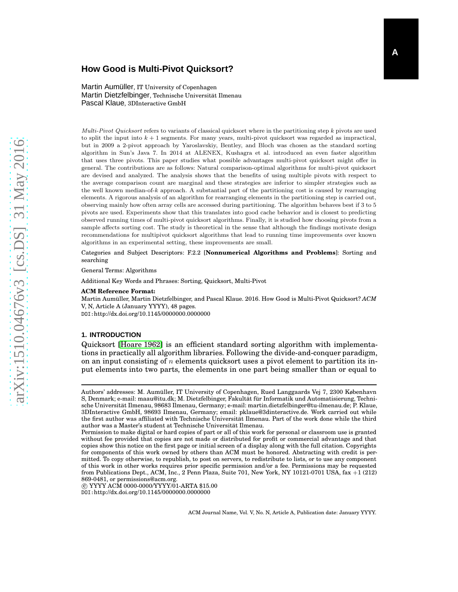# **How Good is Multi-Pivot Quicksort?**

Martin Aumüller, IT University of Copenhagen Martin Dietzfelbinger, Technische Universität Ilmenau Pascal Klaue, 3DInteractive GmbH

Multi-Pivot Quicksort refers to variants of classical quicksort where in the partitioning step  $k$  pivots are used to split the input into  $k + 1$  segments. For many years, multi-pivot quicksort was regarded as impractical, but in 2009 a 2-pivot approach by Yaroslavskiy, Bentley, and Bloch was chosen as the standard sorting algorithm in Sun's Java 7. In 2014 at ALENEX, Kushagra et al. introduced an even faster algorithm that uses three pivots. This paper studies what possible advantages multi-pivot quicksort might offer in general. The contributions are as follows: Natural comparison-optimal algorithms for multi-pivot quicksort are devised and analyzed. The analysis shows that the benefits of using multiple pivots with respect to the average comparison count are marginal and these strategies are inferior to simpler strategies such as the well known median-of-k approach. A substantial part of the partitioning cost is caused by rearranging elements. A rigorous analysis of an algorithm for rearranging elements in the partitioning step is carried out, observing mainly how often array cells are accessed during partitioning. The algorithm behaves best if 3 to 5 pivots are used. Experiments show that this translates into good cache behavior and is closest to predicting observed running times of multi-pivot quicksort algorithms. Finally, it is studied how choosing pivots from a sample affects sorting cost. The study is theoretical in the sense that although the findings motivate design recommendations for multipivot quicksort algorithms that lead to running time improvements over known algorithms in an experimental setting, these improvements are small.

Categories and Subject Descriptors: F.2.2 [**Nonnumerical Algorithms and Problems**]: Sorting and searching

General Terms: Algorithms

Additional Key Words and Phrases: Sorting, Quicksort, Multi-Pivot

#### **ACM Reference Format:**

Martin Aumüller, Martin Dietzfelbinger, and Pascal Klaue. 2016. How Good is Multi-Pivot Quicksort? *ACM* V, N, Article A (January YYYY), 48 pages. DOI:http://dx.doi.org/10.1145/0000000.0000000

#### **1. INTRODUCTION**

Quicksort [\[Hoare 1962\]](#page-44-0) is an efficient standard sorting algorithm with implementations in practically all algorithm libraries. Following the divide-and-conquer paradigm, on an input consisting of n elements quicksort uses a pivot element to partition its input elements into two parts, the elements in one part being smaller than or equal to

 c YYYY ACM 0000-0000/YYYY/01-ARTA \$15.00 DOI:http://dx.doi.org/10.1145/0000000.0000000

ACM Journal Name, Vol. V, No. N, Article A, Publication date: January YYYY.

Authors' addresses: M. Aumüller, IT University of Copenhagen, Rued Langgaards Vej 7, 2300 København S, Denmark; e-mail: maau@itu.dk; M. Dietzfelbinger, Fakultät für Informatik und Automatisierung, Technische Universität Ilmenau, 98683 Ilmenau, Germany; e-mail: martin.dietzfelbinger@tu-ilmenau.de; P. Klaue, 3DInteractive GmbH, 98693 Ilmenau, Germany; email: pklaue@3dinteractive.de. Work carried out while the first author was affiliated with Technische Universität Ilmenau. Part of the work done while the third author was a Master's student at Technische Universität Ilmenau.

Permission to make digital or hard copies of part or all of this work for personal or classroom use is granted without fee provided that copies are not made or distributed for profit or commercial advantage and that copies show this notice on the first page or initial screen of a display along with the full citation. Copyrights for components of this work owned by others than ACM must be honored. Abstracting with credit is permitted. To copy otherwise, to republish, to post on servers, to redistribute to lists, or to use any component of this work in other works requires prior specific permission and/or a fee. Permissions may be requested from Publications Dept., ACM, Inc., 2 Penn Plaza, Suite 701, New York, NY 10121-0701 USA, fax +1 (212) 869-0481, or permissions@acm.org.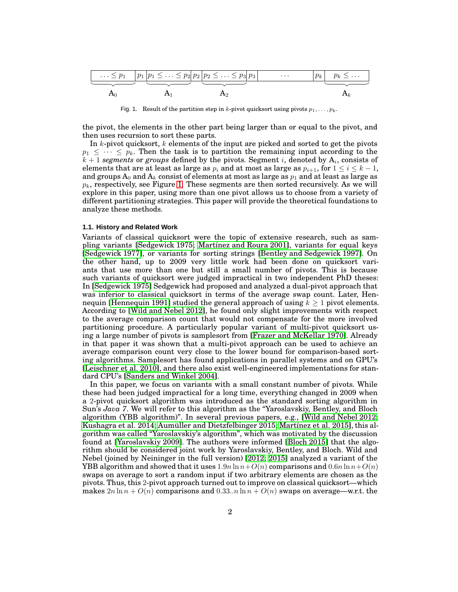. . . ≤ p<sup>1</sup> p<sup>1</sup> p<sup>1</sup> ≤ . . . ≤ p<sup>2</sup> p<sup>2</sup> p<sup>2</sup> ≤ . . . ≤ p<sup>3</sup> p<sup>3</sup> · · · p<sup>k</sup> p<sup>k</sup> ≤ . . . A<sup>0</sup> A<sup>1</sup> A<sup>2</sup> A<sup>k</sup>

<span id="page-1-0"></span>Fig. 1. Result of the partition step in k-pivot quicksort using pivots  $p_1, \ldots, p_k$ .

the pivot, the elements in the other part being larger than or equal to the pivot, and then uses recursion to sort these parts.

In  $k$ -pivot quicksort,  $k$  elements of the input are picked and sorted to get the pivots  $p_1 \leq \cdots \leq p_k$ . Then the task is to partition the remaining input according to the  $k + 1$  *segments* or *groups* defined by the pivots. Segment i, denoted by  $A_i$ , consists of elements that are at least as large as  $p_i$  and at most as large as  $p_{i+1}$ , for  $1 \le i \le k-1$ , and groups  $A_0$  and  $A_k$  consist of elements at most as large as  $p_1$  and at least as large as  $p_k$ , respectively, see Figure [1.](#page-1-0) These segments are then sorted recursively. As we will explore in this paper, using more than one pivot allows us to choose from a variety of different partitioning strategies. This paper will provide the theoretical foundations to analyze these methods.

### **1.1. History and Related Work**

Variants of classical quicksort were the topic of extensive research, such as sampling variants [\[Sedgewick 1975;](#page-45-0) [Martínez and Roura 2001\]](#page-44-1), variants for equal keys [\[Sedgewick 1977\]](#page-45-1), or variants for sorting strings [Bentley [and Sedgewick 1997\]](#page-44-2). On the other hand, up to 2009 very little work had been done on quicksort variants that use more than one but still a small number of pivots. This is because such variants of quicksort were judged impractical in two independent PhD theses: In [\[Sedgewick 1975\]](#page-45-0) Sedgewick had proposed and analyzed a dual-pivot approach that was inferior to classical quicksort in terms of the average swap count. Later, Hen-nequin [\[Hennequin 1991\]](#page-44-3) studied the general approach of using  $k \geq 1$  pivot elements. According to [\[Wild and Nebel 2012\]](#page-45-2), he found only slight improvements with respect to the average comparison count that would not compensate for the more involved partitioning procedure. A particularly popular variant of multi-pivot quicksort using a large number of pivots is samplesort from [\[Frazer and McKellar 1970\]](#page-44-4). Already in that paper it was shown that a multi-pivot approach can be used to achieve an average comparison count very close to the lower bound for comparison-based sorting algorithms. Samplesort has found applications in parallel systems and on GPU's [\[Leischner et al. 2010\]](#page-44-5), and there also exist well-engineered implementations for standard CPU's [\[Sanders and Winkel 2004\]](#page-45-3).

In this paper, we focus on variants with a small constant number of pivots. While these had been judged impractical for a long time, everything changed in 2009 when a 2-pivot quicksort algorithm was introduced as the standard sorting algorithm in Sun's *Java 7*. We will refer to this algorithm as the "Yaroslavskiy, Bentley, and Bloch algorithm (YBB algorithm)". In several previous papers, e.g., [\[Wild and Nebel 2012;](#page-45-2) [Kushagra et al. 2014;](#page-44-6) [Aumüller and Dietzfelbinger 2015;](#page-44-7) [Martínez et al. 2015\]](#page-44-8), this algorithm was called "Yaroslavskiy's algorithm", which was motivated by the discussion found at [\[Yaroslavskiy 2009\]](#page-45-4). The authors were informed [\[Bloch 2015\]](#page-44-9) that the algorithm should be considered joint work by Yaroslavskiy, Bentley, and Bloch. Wild and Nebel (joined by Neininger in the full version) [\[2012;](#page-45-2) [2015\]](#page-45-5) analyzed a variant of the YBB algorithm and showed that it uses  $1.9n \ln n + O(n)$  comparisons and  $0.6n \ln n + O(n)$ swaps on average to sort a random input if two arbitrary elements are chosen as the pivots. Thus, this 2-pivot approach turned out to improve on classical quicksort—which makes  $2n \ln n + O(n)$  comparisons and  $0.33..n \ln n + O(n)$  swaps on average—w.r.t. the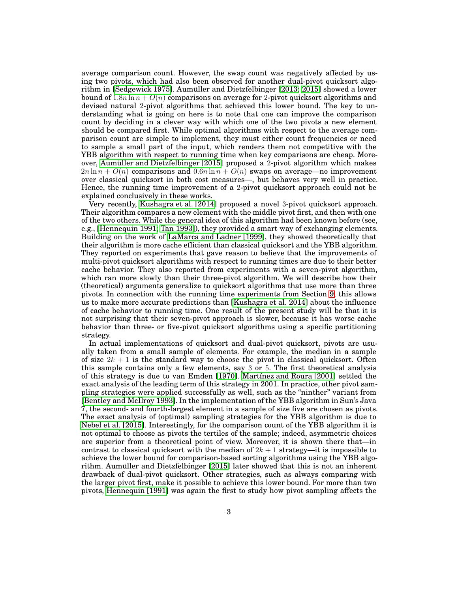average comparison count. However, the swap count was negatively affected by using two pivots, which had also been observed for another dual-pivot quicksort algorithm in [\[Sedgewick 1975\]](#page-45-0). Aumüller and Dietzfelbinger [\[2013;](#page-44-10) [2015\]](#page-44-7) showed a lower bound of  $1.8n \ln n + O(n)$  comparisons on average for 2-pivot quicksort algorithms and devised natural 2-pivot algorithms that achieved this lower bound. The key to understanding what is going on here is to note that one can improve the comparison count by deciding in a clever way with which one of the two pivots a new element should be compared first. While optimal algorithms with respect to the average comparison count are simple to implement, they must either count frequencies or need to sample a small part of the input, which renders them not competitive with the YBB algorithm with respect to running time when key comparisons are cheap. Moreover, [Aumüller and Dietzfelbinger \[2015\]](#page-44-7) proposed a 2-pivot algorithm which makes  $2n \ln n + O(n)$  comparisons and  $0.6n \ln n + O(n)$  swaps on average—no improvement over classical quicksort in both cost measures—, but behaves very well in practice. Hence, the running time improvement of a 2-pivot quicksort approach could not be explained conclusively in these works.

Very recently, [Kushagra et al. \[2014\]](#page-44-6) proposed a novel 3-pivot quicksort approach. Their algorithm compares a new element with the middle pivot first, and then with one of the two others. While the general idea of this algorithm had been known before (see, e.g., [\[Hennequin 1991;](#page-44-3) [Tan 1993\]](#page-45-6)), they provided a smart way of exchanging elements. Building on the work of [LaMarca and Ladner \[1999\]](#page-44-11), they showed theoretically that their algorithm is more cache efficient than classical quicksort and the YBB algorithm. They reported on experiments that gave reason to believe that the improvements of multi-pivot quicksort algorithms with respect to running times are due to their better cache behavior. They also reported from experiments with a seven-pivot algorithm, which ran more slowly than their three-pivot algorithm. We will describe how their (theoretical) arguments generalize to quicksort algorithms that use more than three pivots. In connection with the running time experiments from Section [9,](#page-37-0) this allows us to make more accurate predictions than [\[Kushagra et al. 2014\]](#page-44-6) about the influence of cache behavior to running time. One result of the present study will be that it is not surprising that their seven-pivot approach is slower, because it has worse cache behavior than three- or five-pivot quicksort algorithms using a specific partitioning strategy.

In actual implementations of quicksort and dual-pivot quicksort, pivots are usually taken from a small sample of elements. For example, the median in a sample of size  $2k + 1$  is the standard way to choose the pivot in classical quicksort. Often this sample contains only a few elements, say 3 or 5. The first theoretical analysis of this strategy is due to van Emden [\[1970\]](#page-45-7). [Martínez and Roura \[2001\]](#page-44-1) settled the exact analysis of the leading term of this strategy in 2001. In practice, other pivot sampling strategies were applied successfully as well, such as the "ninther" variant from [\[Bentley and McIlroy 1993\]](#page-44-12). In the implementation of the YBB algorithm in Sun's Java 7, the second- and fourth-largest element in a sample of size five are chosen as pivots. The exact analysis of (optimal) sampling strategies for the YBB algorithm is due to [Nebel et al. \[2015\]](#page-45-5). Interestingly, for the comparison count of the YBB algorithm it is not optimal to choose as pivots the tertiles of the sample; indeed, asymmetric choices are superior from a theoretical point of view. Moreover, it is shown there that—in contrast to classical quicksort with the median of  $2k + 1$  strategy—it is impossible to achieve the lower bound for comparison-based sorting algorithms using the YBB algorithm. Aumüller and Dietzfelbinger [\[2015\]](#page-44-7) later showed that this is not an inherent drawback of dual-pivot quicksort. Other strategies, such as always comparing with the larger pivot first, make it possible to achieve this lower bound. For more than two pivots, [Hennequin \[1991\]](#page-44-3) was again the first to study how pivot sampling affects the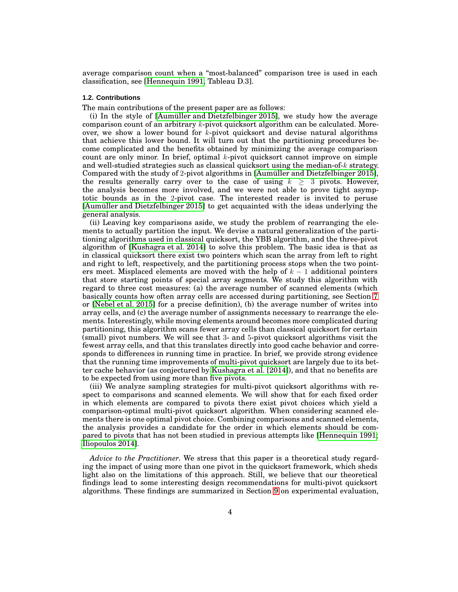average comparison count when a "most-balanced" comparison tree is used in each classification, see [\[Hennequin 1991,](#page-44-3) Tableau D.3].

## **1.2. Contributions**

The main contributions of the present paper are as follows:

(i) In the style of [\[Aumüller and Dietzfelbinger 2015\]](#page-44-7), we study how the average comparison count of an arbitrary k-pivot quicksort algorithm can be calculated. Moreover, we show a lower bound for  $k$ -pivot quicksort and devise natural algorithms that achieve this lower bound. It will turn out that the partitioning procedures become complicated and the benefits obtained by minimizing the average comparison count are only minor. In brief, optimal  $k$ -pivot quicksort cannot improve on simple and well-studied strategies such as classical quicksort using the median-of- $k$  strategy. Compared with the study of 2-pivot algorithms in [\[Aumüller and Dietzfelbinger 2015\]](#page-44-7), the results generally carry over to the case of using  $k \geq 3$  pivots. However, the analysis becomes more involved, and we were not able to prove tight asymptotic bounds as in the 2-pivot case. The interested reader is invited to peruse [\[Aumüller and Dietzfelbinger 2015\]](#page-44-7) to get acquainted with the ideas underlying the general analysis.

(ii) Leaving key comparisons aside, we study the problem of rearranging the elements to actually partition the input. We devise a natural generalization of the partitioning algorithms used in classical quicksort, the YBB algorithm, and the three-pivot algorithm of [\[Kushagra et al. 2014\]](#page-44-6) to solve this problem. The basic idea is that as in classical quicksort there exist two pointers which scan the array from left to right and right to left, respectively, and the partitioning process stops when the two pointers meet. Misplaced elements are moved with the help of  $k - 1$  additional pointers that store starting points of special array segments. We study this algorithm with regard to three cost measures: (a) the average number of scanned elements (which basically counts how often array cells are accessed during partitioning, see Section [7](#page-18-0) or [\[Nebel et al. 2015\]](#page-45-5) for a precise definition), (b) the average number of writes into array cells, and (c) the average number of assignments necessary to rearrange the elements. Interestingly, while moving elements around becomes more complicated during partitioning, this algorithm scans fewer array cells than classical quicksort for certain (small) pivot numbers. We will see that 3- and 5-pivot quicksort algorithms visit the fewest array cells, and that this translates directly into good cache behavior and corresponds to differences in running time in practice. In brief, we provide strong evidence that the running time improvements of multi-pivot quicksort are largely due to its better cache behavior (as conjectured by [Kushagra et al. \[2014\]](#page-44-6)), and that no benefits are to be expected from using more than five pivots.

(iii) We analyze sampling strategies for multi-pivot quicksort algorithms with respect to comparisons and scanned elements. We will show that for each fixed order in which elements are compared to pivots there exist pivot choices which yield a comparison-optimal multi-pivot quicksort algorithm. When considering scanned elements there is one optimal pivot choice. Combining comparisons and scanned elements, the analysis provides a candidate for the order in which elements should be compared to pivots that has not been studied in previous attempts like [\[Hennequin 1991;](#page-44-3) [Iliopoulos 2014\]](#page-44-13).

*Advice to the Practitioner.* We stress that this paper is a theoretical study regarding the impact of using more than one pivot in the quicksort framework, which sheds light also on the limitations of this approach. Still, we believe that our theoretical findings lead to some interesting design recommendations for multi-pivot quicksort algorithms. These findings are summarized in Section [9](#page-37-0) on experimental evaluation,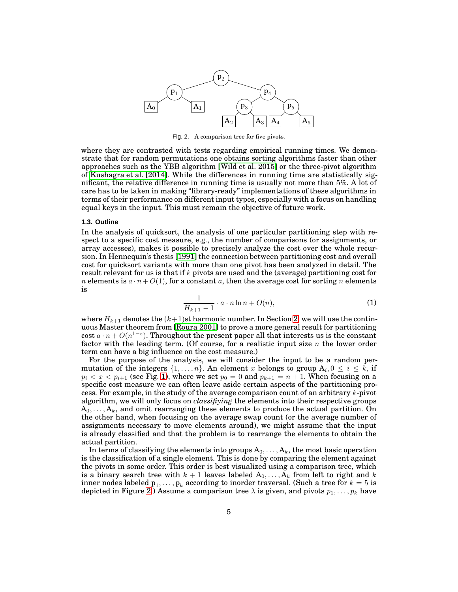

<span id="page-4-0"></span>Fig. 2. A comparison tree for five pivots.

where they are contrasted with tests regarding empirical running times. We demonstrate that for random permutations one obtains sorting algorithms faster than other approaches such as the YBB algorithm [\[Wild et al. 2015\]](#page-45-8) or the three-pivot algorithm of [Kushagra et al. \[2014\]](#page-44-6). While the differences in running time are statistically significant, the relative difference in running time is usually not more than 5%. A lot of care has to be taken in making "library-ready" implementations of these algorithms in terms of their performance on different input types, especially with a focus on handling equal keys in the input. This must remain the objective of future work.

#### **1.3. Outline**

In the analysis of quicksort, the analysis of one particular partitioning step with respect to a specific cost measure, e.g., the number of comparisons (or assignments, or array accesses), makes it possible to precisely analyze the cost over the whole recursion. In Hennequin's thesis [\[1991\]](#page-44-3) the connection between partitioning cost and overall cost for quicksort variants with more than one pivot has been analyzed in detail. The result relevant for us is that if k pivots are used and the (average) partitioning cost for *n* elements is  $a \cdot n + O(1)$ , for a constant a, then the average cost for sorting n elements is

$$
\frac{1}{H_{k+1}-1} \cdot a \cdot n \ln n + O(n),\tag{1}
$$

<span id="page-4-1"></span>where  $H_{k+1}$  denotes the  $(k+1)$ st harmonic number. In Section [2,](#page-6-0) we will use the continuous Master theorem from [\[Roura 2001\]](#page-45-9) to prove a more general result for partitioning cost  $a \cdot n + O(n^{1-\varepsilon})$ . Throughout the present paper all that interests us is the constant factor with the leading term. (Of course, for a realistic input size  $n$  the lower order term can have a big influence on the cost measure.)

For the purpose of the analysis, we will consider the input to be a random permutation of the integers  $\{1, \ldots, n\}$ . An element x belongs to group  $A_i, 0 \le i \le k$ , if  $p_i < x < p_{i+1}$  (see Fig. [1\)](#page-1-0), where we set  $p_0 = 0$  and  $p_{k+1} = n + 1$ . When focusing on a specific cost measure we can often leave aside certain aspects of the partitioning process. For example, in the study of the average comparison count of an arbitrary k-pivot algorithm, we will only focus on *classifiying* the elements into their respective groups  $A_0, \ldots, A_k$ , and omit rearranging these elements to produce the actual partition. On the other hand, when focusing on the average swap count (or the average number of assignments necessary to move elements around), we might assume that the input is already classified and that the problem is to rearrange the elements to obtain the actual partition.

In terms of classifying the elements into groups  $A_0, \ldots, A_k$ , the most basic operation is the classification of a single element. This is done by comparing the element against the pivots in some order. This order is best visualized using a comparison tree, which is a binary search tree with  $k + 1$  leaves labeled  $A_0, \ldots, A_k$  from left to right and k inner nodes labeled  $\mathbf{p}_1, \ldots, \mathbf{p}_k$  according to inorder traversal. (Such a tree for  $k=5$  is depicted in Figure [2.](#page-4-0)) Assume a comparison tree  $\lambda$  is given, and pivots  $p_1, \ldots, p_k$  have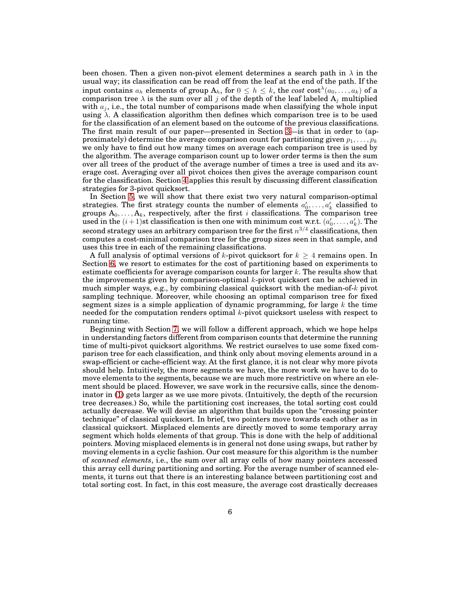been chosen. Then a given non-pivot element determines a search path in  $\lambda$  in the usual way; its classification can be read off from the leaf at the end of the path. If the input contains  $a_h$  elements of group  $A_h$ , for  $0 \leq h \leq k$ , the cost  $\text{cost}^{\lambda}(a_0, \ldots, a_k)$  of a comparison tree  $\lambda$  is the sum over all  $j$  of the depth of the leaf labeled  $\mathbf{A}_j$  multiplied with  $a_j$ , i.e., the total number of comparisons made when classifying the whole input using  $\lambda$ . A classification algorithm then defines which comparison tree is to be used for the classification of an element based on the outcome of the previous classifications. The first main result of our paper—presented in Section [3—](#page-8-0)is that in order to (approximately) determine the average comparison count for partitioning given  $p_1, \ldots, p_k$ we only have to find out how many times on average each comparison tree is used by the algorithm. The average comparison count up to lower order terms is then the sum over all trees of the product of the average number of times a tree is used and its average cost. Averaging over all pivot choices then gives the average comparison count for the classification. Section [4](#page-11-0) applies this result by discussing different classification strategies for 3-pivot quicksort.

In Section [5,](#page-13-0) we will show that there exist two very natural comparison-optimal strategies. The first strategy counts the number of elements  $a'_0, \ldots, a'_k$  classified to groups  $\mathbf{A}_0, \ldots, \mathbf{A}_k$ , respectively, after the first  $i$  classifications. The comparison tree used in the  $(i + 1)$ st classification is then one with minimum cost w.r.t.  $(a'_0, \ldots, a'_k)$ . The second strategy uses an arbitrary comparison tree for the first  $n^{3/4}$  classifications, then computes a cost-minimal comparison tree for the group sizes seen in that sample, and uses this tree in each of the remaining classifications.

A full analysis of optimal versions of k-pivot quicksort for  $k \geq 4$  remains open. In Section [6,](#page-17-0) we resort to estimates for the cost of partitioning based on experiments to estimate coefficients for average comparison counts for larger  $k$ . The results show that the improvements given by comparison-optimal  $k$ -pivot quicksort can be achieved in much simpler ways, e.g., by combining classical quicksort with the median-of-k pivot sampling technique. Moreover, while choosing an optimal comparison tree for fixed segment sizes is a simple application of dynamic programming, for large  $k$  the time needed for the computation renders optimal k-pivot quicksort useless with respect to running time.

Beginning with Section [7,](#page-18-0) we will follow a different approach, which we hope helps in understanding factors different from comparison counts that determine the running time of multi-pivot quicksort algorithms. We restrict ourselves to use some fixed comparison tree for each classification, and think only about moving elements around in a swap-efficient or cache-efficient way. At the first glance, it is not clear why more pivots should help. Intuitively, the more segments we have, the more work we have to do to move elements to the segments, because we are much more restrictive on where an element should be placed. However, we save work in the recursive calls, since the denominator in [\(1\)](#page-4-1) gets larger as we use more pivots. (Intuitively, the depth of the recursion tree decreases.) So, while the partitioning cost increases, the total sorting cost could actually decrease. We will devise an algorithm that builds upon the "crossing pointer technique" of classical quicksort. In brief, two pointers move towards each other as in classical quicksort. Misplaced elements are directly moved to some temporary array segment which holds elements of that group. This is done with the help of additional pointers. Moving misplaced elements is in general not done using swaps, but rather by moving elements in a cyclic fashion. Our cost measure for this algorithm is the number of *scanned elements*, i.e., the sum over all array cells of how many pointers accessed this array cell during partitioning and sorting. For the average number of scanned elements, it turns out that there is an interesting balance between partitioning cost and total sorting cost. In fact, in this cost measure, the average cost drastically decreases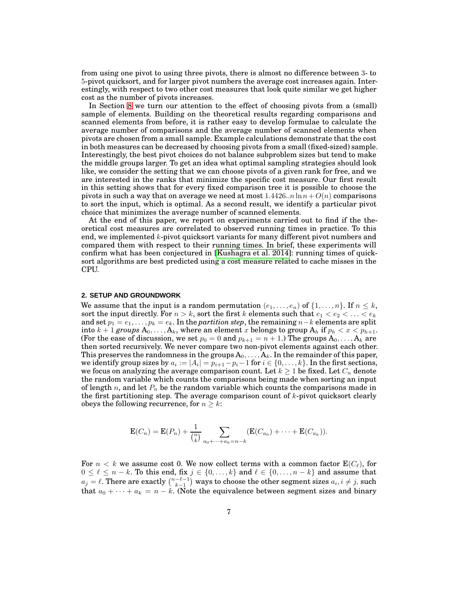from using one pivot to using three pivots, there is almost no difference between 3- to 5-pivot quicksort, and for larger pivot numbers the average cost increases again. Interestingly, with respect to two other cost measures that look quite similar we get higher cost as the number of pivots increases.

In Section [8](#page-30-0) we turn our attention to the effect of choosing pivots from a (small) sample of elements. Building on the theoretical results regarding comparisons and scanned elements from before, it is rather easy to develop formulae to calculate the average number of comparisons and the average number of scanned elements when pivots are chosen from a small sample. Example calculations demonstrate that the cost in both measures can be decreased by choosing pivots from a small (fixed-sized) sample. Interestingly, the best pivot choices do not balance subproblem sizes but tend to make the middle groups larger. To get an idea what optimal sampling strategies should look like, we consider the setting that we can choose pivots of a given rank for free, and we are interested in the ranks that minimize the specific cost measure. Our first result in this setting shows that for every fixed comparison tree it is possible to choose the pivots in such a way that on average we need at most  $1.4426...n \ln n + O(n)$  comparisons to sort the input, which is optimal. As a second result, we identify a particular pivot choice that minimizes the average number of scanned elements.

At the end of this paper, we report on experiments carried out to find if the theoretical cost measures are correlated to observed running times in practice. To this end, we implemented  $k$ -pivot quicksort variants for many different pivot numbers and compared them with respect to their running times. In brief, these experiments will confirm what has been conjectured in [\[Kushagra et al. 2014\]](#page-44-6): running times of quicksort algorithms are best predicted using a cost measure related to cache misses in the CPU.

### <span id="page-6-0"></span>**2. SETUP AND GROUNDWORK**

We assume that the input is a random permutation  $(e_1, \ldots, e_n)$  of  $\{1, \ldots, n\}$ . If  $n \leq k$ , sort the input directly. For  $n > k$ , sort the first k elements such that  $e_1 < e_2 < \ldots < e_k$ and set  $p_1 = e_1, \ldots, p_k = e_k$ . In the *partition step*, the remaining  $n-k$  elements are split into  $k + 1$  *groups*  $A_0, \ldots, A_k$ , where an element x belongs to group  $A_h$  if  $p_h < x < p_{h+1}$ . (For the ease of discussion, we set  $p_0 = 0$  and  $p_{k+1} = n + 1$ .) The groups  $A_0, \ldots, A_k$  are then sorted recursively. We never compare two non-pivot elements against each other. This preserves the randomness in the groups  $A_0, \ldots, A_k$ . In the remainder of this paper, we identify group sizes by  $a_i := |A_i| = p_{i+1} - p_i - 1$  for  $i \in \{0, \ldots, k\}$ . In the first sections, we focus on analyzing the average comparison count. Let  $k \geq 1$  be fixed. Let  $C_n$  denote the random variable which counts the comparisons being made when sorting an input of length n, and let  $P_n$  be the random variable which counts the comparisons made in the first partitioning step. The average comparison count of k-pivot quicksort clearly obeys the following recurrence, for  $n \geq k$ :

$$
\mathbf{E}(C_n) = \mathbf{E}(P_n) + \frac{1}{\binom{n}{k}} \sum_{a_0 + \dots + a_k = n-k} (\mathbf{E}(C_{a_0}) + \dots + \mathbf{E}(C_{a_k})).
$$

For  $n < k$  we assume cost 0. We now collect terms with a common factor  $\mathbf{E}(C_{\ell})$ , for  $0 \leq \ell \leq n-k$ . To this end, fix  $j \in \{0, \ldots, k\}$  and  $\ell \in \{0, \ldots, n-k\}$  and assume that  $a_j = \ell$ . There are exactly  $\binom{n-\ell-1}{k-1}$  ways to choose the other segment sizes  $a_i, i \neq j$ , such that  $a_0 + \cdots + a_k = n - k$ . (Note the equivalence between segment sizes and binary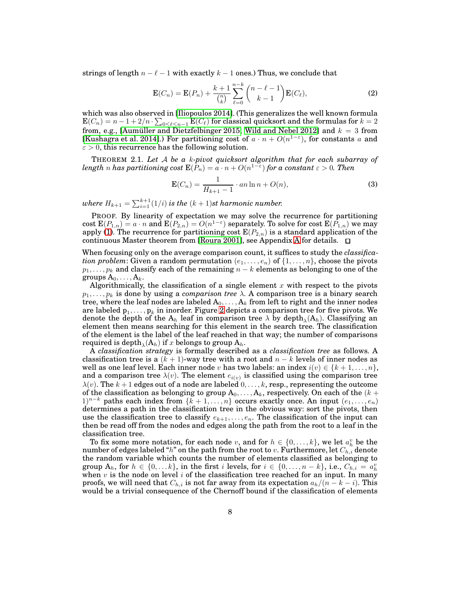strings of length  $n - \ell - 1$  with exactly  $k - 1$  ones.) Thus, we conclude that

<span id="page-7-1"></span>
$$
\mathbf{E}(C_n) = \mathbf{E}(P_n) + \frac{k+1}{\binom{n}{k}} \sum_{\ell=0}^{n-k} \binom{n-\ell-1}{k-1} \mathbf{E}(C_\ell),\tag{2}
$$

which was also observed in [\[Iliopoulos 2014\]](#page-44-13). (This generalizes the well known formula  $\textbf{E}(C_n)=n-1+2/n\cdot\sum_{0\leq \ell\leq n-1}\textbf{E}(C_\ell)$  for classical quicksort and the formulas for  $k=2$ from, e.g., [\[Aumüller and Dietzfelbinger 2015;](#page-44-7) [Wild and Nebel 2012\]](#page-45-2) and  $k = 3$  from [\[Kushagra et al. 2014\]](#page-44-6).) For partitioning cost of  $a \cdot n + O(n^{1-\epsilon})$ , for constants a and  $\varepsilon > 0$ , this recurrence has the following solution.

THEOREM 2.1. *Let* A *be a* k*-pivot quicksort algorithm that for each subarray of*  $length\ n\ has\ partitioning\ cost\ \mathbf{E}(P_n)=a\cdot n+O(n^{1-\varepsilon})\ for\ a\ constant\ \varepsilon>0.\ Then$ 

<span id="page-7-0"></span>
$$
\mathbf{E}(C_n) = \frac{1}{H_{k+1} - 1} \cdot an \ln n + O(n),\tag{3}
$$

where  $H_{k+1} = \sum_{i=1}^{k+1} (1/i)$  is the  $(k+1)$ st harmonic number.

PROOF. By linearity of expectation we may solve the recurrence for partitioning cost  $E(P_{1,n}) = a \cdot n$  and  $E(P_{2,n}) = O(n^{1-\epsilon})$  separately. To solve for cost  $E(P_{1,n})$  we may apply [\(1\)](#page-4-1). The recurrence for partitioning cost  $E(P_{2,n})$  is a standard application of the continuous Master theorem from [\[Roura 2001\]](#page-45-9), see [A](#page-45-10)ppendix A for details.  $\Box$ 

When focusing only on the average comparison count, it suffices to study the *classification problem*: Given a random permutation  $(e_1, \ldots, e_n)$  of  $\{1, \ldots, n\}$ , choose the pivots  $p_1, \ldots, p_k$  and classify each of the remaining  $n - k$  elements as belonging to one of the groups  $A_0, \ldots, A_k$ .

Algorithmically, the classification of a single element  $x$  with respect to the pivots  $p_1, \ldots, p_k$  is done by using a *comparison tree*  $\lambda$ . A comparison tree is a binary search tree, where the leaf nodes are labeled  $A_0, \ldots, A_k$  from left to right and the inner nodes are labeled  $\bm{{\mathsf{p}}}_1,\dots,\bm{{\mathsf{p}}}_k$  in inorder. Figure [2](#page-4-0) depicts a comparison tree for five pivots. We denote the depth of the  $A_h$  leaf in comparison tree  $\lambda$  by depth $\lambda(A_h)$ . Classifying an element then means searching for this element in the search tree. The classification of the element is the label of the leaf reached in that way; the number of comparisons  $\operatorname{required}$  is  $\operatorname{depth}_{\lambda}(\mathbf{A}_h) \text{ if } x \text{ belongs to group } \mathbf{A}_h.$ 

A *classification strategy* is formally described as a *classification tree* as follows. A classification tree is a  $(k + 1)$ -way tree with a root and  $n - k$  levels of inner nodes as well as one leaf level. Each inner node v has two labels: an index  $i(v) \in \{k+1,\ldots,n\}$ , and a comparison tree  $\lambda(v)$ . The element  $e_{i(v)}$  is classified using the comparison tree  $\lambda(v)$ . The  $k+1$  edges out of a node are labeled  $0,\ldots,k$ , resp., representing the outcome of the classification as belonging to group  $A_0, \ldots, A_k$ , respectively. On each of the  $(k +$ 1)<sup>n−k</sup> paths each index from  ${k + 1,...,n}$  occurs exactly once. An input  $(e_1, ..., e_n)$ determines a path in the classification tree in the obvious way: sort the pivots, then use the classification tree to classify  $e_{k+1}, \ldots, e_n$ . The classification of the input can then be read off from the nodes and edges along the path from the root to a leaf in the classification tree.

To fix some more notation, for each node v, and for  $h \in \{0, \ldots, k\}$ , we let  $a_h^v$  be the number of edges labeled " $h$ " on the path from the root to v. Furthermore, let  $C_{h,i}$  denote the random variable which counts the number of elements classified as belonging to group  $A_h$ , for  $h \in \{0, \ldots, k\}$ , in the first i levels, for  $i \in \{0, \ldots, n-k\}$ , i.e.,  $C_{h,i} = a_h^v$ when v is the node on level i of the classification tree reached for an input. In many proofs, we will need that  $C_{h,i}$  is not far away from its expectation  $a_h/(n-k-i)$ . This would be a trivial consequence of the Chernoff bound if the classification of elements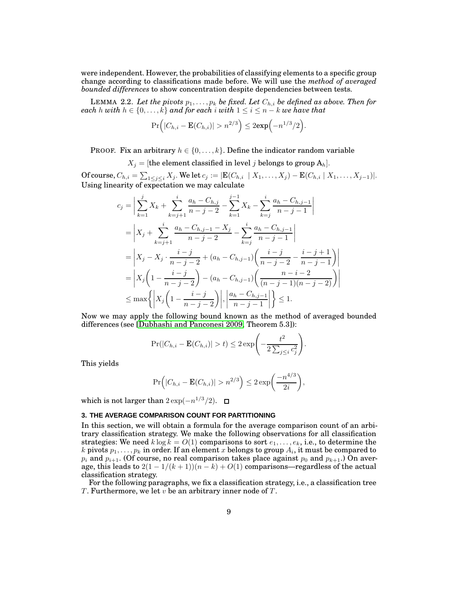were independent. However, the probabilities of classifying elements to a specific group change according to classifications made before. We will use the *method of averaged bounded differences* to show concentration despite dependencies between tests.

<span id="page-8-1"></span>LEMMA 2.2. *Let the pivots*  $p_1, \ldots, p_k$  *be fixed. Let*  $C_{h,i}$  *be defined as above. Then for each* h with  $h \in \{0, \ldots, k\}$  and for each i with  $1 \leq i \leq n - k$  we have that

$$
\Pr(|C_{h,i} - \mathbf{E}(C_{h,i})| > n^{2/3}) \leq 2 \exp(-n^{1/3}/2).
$$

PROOF. Fix an arbitrary  $h \in \{0, \ldots, k\}$ . Define the indicator random variable

 $X_i =$  [the element classified in level j belongs to group  $A_h$ ].

Of course,  $C_{h,i} = \sum_{1 \leq j \leq i} X_j$ . We let  $c_j := |\mathbf{E}(C_{h,i} \mid X_1, \dots, X_j) - \mathbf{E}(C_{h,i} \mid X_1, \dots, X_{j-1})|$ . Using linearity of expectation we may calculate

$$
c_{j} = \left| \sum_{k=1}^{j} X_{k} + \sum_{k=j+1}^{i} \frac{a_{h} - C_{h,j}}{n-j-2} - \sum_{k=1}^{j-1} X_{k} - \sum_{k=j}^{i} \frac{a_{h} - C_{h,j-1}}{n-j-1} \right|
$$
  
\n
$$
= \left| X_{j} + \sum_{k=j+1}^{i} \frac{a_{h} - C_{h,j-1} - X_{j}}{n-j-2} - \sum_{k=j}^{i} \frac{a_{h} - C_{h,j-1}}{n-j-1} \right|
$$
  
\n
$$
= \left| X_{j} - X_{j} \cdot \frac{i-j}{n-j-2} + (a_{h} - C_{h,j-1}) \left( \frac{i-j}{n-j-2} - \frac{i-j+1}{n-j-1} \right) \right|
$$
  
\n
$$
= \left| X_{j} \left( 1 - \frac{i-j}{n-j-2} \right) - (a_{h} - C_{h,j-1}) \left( \frac{n-i-2}{(n-j-1)(n-j-2)} \right) \right|
$$
  
\n
$$
\leq \max \left\{ \left| X_{j} \left( 1 - \frac{i-j}{n-j-2} \right) \right|, \left| \frac{a_{h} - C_{h,j-1}}{n-j-1} \right| \right\} \leq 1.
$$

Now we may apply the following bound known as the method of averaged bounded differences (see [\[Dubhashi and Panconesi 2009,](#page-44-14) Theorem 5.3]):

$$
\Pr(|C_{h,i} - \mathbf{E}(C_{h,i})| > t) \leq 2 \exp\left(-\frac{t^2}{2\sum_{j\leq i}c_j^2}\right).
$$

This yields

$$
\Pr(|C_{h,i} - \mathbf{E}(C_{h,i})| > n^{2/3}) \le 2 \exp\left(\frac{-n^{4/3}}{2i}\right),\,
$$

which is not larger than  $2 \exp(-n^{1/3}/2)$ .

## <span id="page-8-0"></span>**3. THE AVERAGE COMPARISON COUNT FOR PARTITIONING**

In this section, we will obtain a formula for the average comparison count of an arbitrary classification strategy. We make the following observations for all classification strategies: We need  $k \log k = O(1)$  comparisons to sort  $e_1, \ldots, e_k$ , i.e., to determine the  $k$  pivots  $p_1,\ldots,p_k$  in order. If an element  $x$  belongs to group  $A_i$ , it must be compared to  $p_i$  and  $p_{i+1}.$  (Of course, no real comparison takes place against  $p_0$  and  $p_{k+1}.$ ) On average, this leads to  $2(1 - 1/(k + 1))(n - k) + O(1)$  comparisons—regardless of the actual classification strategy.

For the following paragraphs, we fix a classification strategy, i.e., a classification tree T. Furthermore, we let v be an arbitrary inner node of T.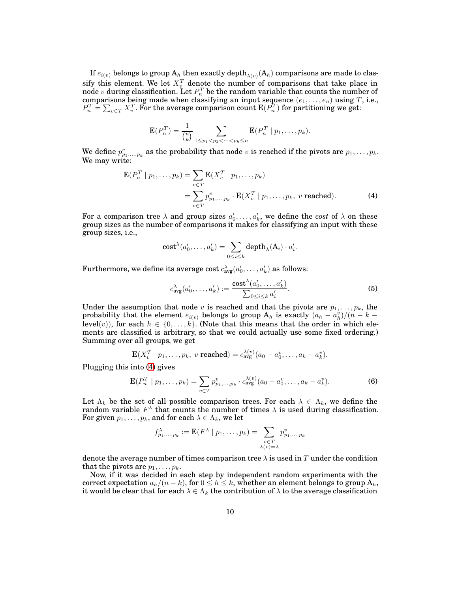If  $e_{i(v)}$  belongs to group  $\mathrm{A}_h$  then exactly depth $_{\lambda(v)}(\mathrm{A}_h)$  comparisons are made to classify this element. We let  $X_v^T$  denote the number of comparisons that take place in node  $v$  during classification. Let  $P_n^T$  be the random variable that counts the number of comparisons being made when classifying an input sequence  $(e_1, \ldots, e_n)$  using T, i.e.,  $P_n^T = \sum_{v \in T} X_v^T.$  For the average comparison count  $\mathrm{E}(P_n^T)$  for partitioning we get:

$$
\mathbf{E}(P_n^T) = \frac{1}{\binom{n}{k}} \sum_{1 \leq p_1 < p_2 < \cdots < p_k \leq n} \mathbf{E}(P_n^T \mid p_1, \ldots, p_k).
$$

We define  $p_{p_1,...,p_k}^v$  as the probability that node v is reached if the pivots are  $p_1,...,p_k$ . We may write:

$$
\mathbf{E}(P_n^T \mid p_1, \dots, p_k) = \sum_{v \in T} \mathbf{E}(X_v^T \mid p_1, \dots, p_k)
$$
  
= 
$$
\sum_{v \in T} p_{p_1, \dots, p_k}^v \cdot \mathbf{E}(X_v^T \mid p_1, \dots, p_k, v \text{ reached}).
$$
 (4)

For a comparison tree  $\lambda$  and group sizes  $a'_0, \ldots, a'_k$ , we define the *cost* of  $\lambda$  on these group sizes as the number of comparisons it makes for classifying an input with these group sizes, i.e.,

<span id="page-9-0"></span>
$$
cost^{\lambda}(a'_0,\ldots,a'_k) = \sum_{0 \leq i \leq k} depth_{\lambda}(A_i) \cdot a'_i.
$$

Furthermore, we define its average cost  $c^\lambda_{\operatorname{avg}}(a'_0, \dots, a'_k)$  as follows:

<span id="page-9-2"></span><span id="page-9-1"></span>
$$
c_{\text{avg}}^{\lambda}(a'_0, \dots, a'_k) := \frac{\text{cost}^{\lambda}(a'_0, \dots, a'_k)}{\sum_{0 \le i \le k} a'_i}.
$$
 (5)

Under the assumption that node v is reached and that the pivots are  $p_1, \ldots, p_k$ , the probability that the element  $e_{i(v)}$  belongs to group  $A_h$  is exactly  $(a_h - a_h^v)/(n - k$ level(v)), for each  $h \in \{0, \ldots, k\}$ . (Note that this means that the order in which elements are classified is arbitrary, so that we could actually use some fixed ordering.) Summing over all groups, we get

$$
\mathbf{E}(X_v^T \mid p_1,\ldots,p_k, \ v \ \text{reached}) = c_{\text{avg}}^{\lambda(v)}(a_0 - a_0^v,\ldots,a_k - a_k^v).
$$

Plugging this into [\(4\)](#page-9-0) gives

$$
\mathbf{E}(P_n^T \mid p_1, \dots, p_k) = \sum_{v \in T} p_{p_1, \dots, p_k}^v \cdot c_{\text{avg}}^{\lambda(v)} (a_0 - a_0^v, \dots, a_k - a_k^v).
$$
 (6)

Let  $\Lambda_k$  be the set of all possible comparison trees. For each  $\lambda \in \Lambda_k$ , we define the random variable  $F^{\lambda}$  that counts the number of times  $\lambda$  is used during classification. For given  $p_1, \ldots, p_k$ , and for each  $\lambda \in \Lambda_k$ , we let

$$
f_{p_1,\ldots,p_k}^{\lambda} := \mathbf{E}(F^{\lambda} \mid p_1,\ldots,p_k) = \sum_{\substack{v \in T \\ \lambda(v) = \lambda}} p_{p_1,\ldots,p_k}^v
$$

denote the average number of times comparison tree  $\lambda$  is used in T under the condition that the pivots are  $p_1, \ldots, p_k$ .

Now, if it was decided in each step by independent random experiments with the correct expectation  $a_h/(n-k)$ , for  $0 \le h \le k$ , whether an element belongs to group  $A_h$ , it would be clear that for each  $\lambda \in \Lambda_k$  the contribution of  $\lambda$  to the average classification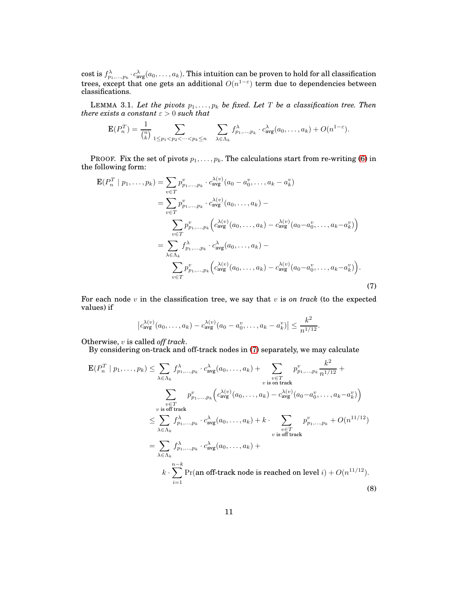$\cosh$  is  $f^\lambda_{p_1,...,p_k}\cdot c^\lambda_{\rm avg}(a_0,\dots,a_k).$  This intuition can be proven to hold for all classification trees, except that one gets an additional  $O(n^{1-\varepsilon})$  term due to dependencies between classifications.

<span id="page-10-2"></span>LEMMA 3.1. Let the pivots  $p_1, \ldots, p_k$  be fixed. Let T be a classification tree. Then  ${there\ exists\ a\ constant\ \varepsilon > 0 \ such\ that}$ 

$$
\mathbf{E}(P_n^T) = \frac{1}{\binom{n}{k}} \sum_{1 \le p_1 < p_2 < \cdots < p_k \le n} \sum_{\lambda \in \Lambda_k} f^{\lambda}_{p_1, \ldots, p_k} \cdot c^{\lambda}_{\text{avg}}(a_0, \ldots, a_k) + O(n^{1-\varepsilon}).
$$

PROOF. Fix the set of pivots  $p_1, \ldots, p_k$ . The calculations start from re-writing [\(6\)](#page-9-1) in the following form:

$$
\mathbf{E}(P_n^T | p_1, ..., p_k) = \sum_{v \in T} p_{p_1, ..., p_k}^v \cdot c_{\text{avg}}^{\lambda(v)}(a_0 - a_0^v, ..., a_k - a_k^v) \n= \sum_{v \in T} p_{p_1, ..., p_k}^v \cdot c_{\text{avg}}^{\lambda(v)}(a_0, ..., a_k) - \n\sum_{v \in T} p_{p_1, ..., p_k}^v \left( c_{\text{avg}}^{\lambda(v)}(a_0, ..., a_k) - c_{\text{avg}}^{\lambda(v)}(a_0 - a_0^v, ..., a_k - a_k^v) \right) \n= \sum_{\lambda \in \Lambda_k} f_{p_1, ..., p_k}^{\lambda} \cdot c_{\text{avg}}^{\lambda}(a_0, ..., a_k) - \n\sum_{v \in T} p_{p_1, ..., p_k}^v \left( c_{\text{avg}}^{\lambda(v)}(a_0, ..., a_k) - c_{\text{avg}}^{\lambda(v)}(a_0 - a_0^v, ..., a_k - a_k^v) \right).
$$
\n(7)

For each node v in the classification tree, we say that v is *on track* (to the expected values) if

<span id="page-10-1"></span><span id="page-10-0"></span>
$$
\left|c_{\text{avg}}^{\lambda(v)}(a_0,\ldots,a_k)-c_{\text{avg}}^{\lambda(v)}(a_0-a_0^v,\ldots,a_k-a_k^v)\right|\leq \frac{k^2}{n^{1/12}}.
$$

Otherwise, v is called *off track*.

By considering on-track and off-track nodes in [\(7\)](#page-10-0) separately, we may calculate

$$
\mathbf{E}(P_n^T \mid p_1, \dots, p_k) \leq \sum_{\lambda \in \Lambda_k} f_{p_1, \dots, p_k}^{\lambda} \cdot c_{\text{avg}}^{\lambda}(a_0, \dots, a_k) + \sum_{\substack{v \in T \\ v \text{ is on track}}} p_{p_1, \dots, p_k}^v \left( c_{\text{avg}}^{\lambda(v)}(a_0, \dots, a_k) - c_{\text{avg}}^{\lambda(v)}(a_0 - a_0^v, \dots, a_k - a_k^v) \right)
$$
\n
$$
\leq \sum_{\lambda \in \Lambda_k} f_{p_1, \dots, p_k}^{\lambda} \cdot c_{\text{avg}}^{\lambda}(a_0, \dots, a_k) + k \cdot \sum_{\substack{v \in T \\ v \text{ is off track}}} p_{p_1, \dots, p_k}^v + O(n^{11/12})
$$
\n
$$
\leq \sum_{\lambda \in \Lambda_k} f_{p_1, \dots, p_k}^{\lambda} \cdot c_{\text{avg}}^{\lambda}(a_0, \dots, a_k) + k \cdot \sum_{\substack{v \in T \\ v \text{ is off track}}} p_{p_1, \dots, p_k}^v \cdot c_{\text{avg}}^{\lambda}(a_0, \dots, a_k) + k \cdot \sum_{\substack{i=1}}^{n-k} \Pr(\text{an off-track node is reached on level } i) + O(n^{11/12}).
$$
\n(8)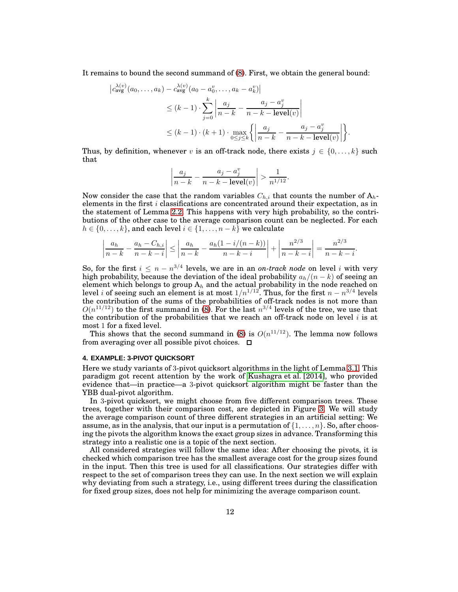It remains to bound the second summand of [\(8\)](#page-10-1). First, we obtain the general bound:

$$
\begin{split} \left| c_{\text{avg}}^{\lambda(v)}(a_0, \dots, a_k) - c_{\text{avg}}^{\lambda(v)}(a_0 - a_0^v, \dots, a_k - a_k^v) \right| \\ &\leq (k-1) \cdot \sum_{j=0}^k \left| \frac{a_j}{n-k} - \frac{a_j - a_j^v}{n-k - \text{level}(v)} \right| \\ &\leq (k-1) \cdot (k+1) \cdot \max_{0 \leq j \leq k} \left\{ \left| \frac{a_j}{n-k} - \frac{a_j - a_j^v}{n-k - \text{level}(v)} \right| \right\}. \end{split}
$$

Thus, by definition, whenever v is an off-track node, there exists  $j \in \{0, \ldots, k\}$  such that

$$
\left|\frac{a_j}{n-k} - \frac{a_j - a_j^v}{n-k - \text{level}(v)}\right| > \frac{1}{n^{1/12}}.
$$

Now consider the case that the random variables  $C_{h,i}$  that counts the number of  $A_h$ elements in the first  $i$  classifications are concentrated around their expectation, as in the statement of Lemma [2.2.](#page-8-1) This happens with very high probability, so the contributions of the other case to the average comparison count can be neglected. For each  $h \in \{0, \ldots, k\}$ , and each level  $i \in \{1, \ldots, n-k\}$  we calculate

$$
\left| \frac{a_h}{n-k} - \frac{a_h - C_{h,i}}{n-k-i} \right| \le \left| \frac{a_h}{n-k} - \frac{a_h(1 - i/(n-k))}{n-k-i} \right| + \left| \frac{n^{2/3}}{n-k-i} \right| = \frac{n^{2/3}}{n-k-i}.
$$

So, for the first  $i \leq n - n^{3/4}$  levels, we are in an *on-track node* on level *i* with very high probability, because the deviation of the ideal probability  $a_h/(n-k)$  of seeing an element which belongs to group  $\mathrm{A}_h$  and the actual probability in the node reached on level *i* of seeing such an element is at most  $1/n^{1/12}$ . Thus, for the first  $n - n^{3/4}$  levels the contribution of the sums of the probabilities of off-track nodes is not more than  $O(n^{11/12})$  to the first summand in [\(8\)](#page-10-1). For the last  $n^{3/4}$  levels of the tree, we use that the contribution of the probabilities that we reach an off-track node on level  $i$  is at most 1 for a fixed level.

This shows that the second summand in [\(8\)](#page-10-1) is  $O(n^{11/12})$ . The lemma now follows from averaging over all possible pivot choices.  $\Box$ 

# <span id="page-11-0"></span>**4. EXAMPLE: 3-PIVOT QUICKSORT**

Here we study variants of 3-pivot quicksort algorithms in the light of Lemma [3.1.](#page-10-2) This paradigm got recent attention by the work of [Kushagra et al. \[2014\]](#page-44-6), who provided evidence that—in practice—a 3-pivot quicksort algorithm might be faster than the YBB dual-pivot algorithm.

In 3-pivot quicksort, we might choose from five different comparison trees. These trees, together with their comparison cost, are depicted in Figure [3.](#page-12-0) We will study the average comparison count of three different strategies in an artificial setting: We assume, as in the analysis, that our input is a permutation of  $\{1, \ldots, n\}$ . So, after choosing the pivots the algorithm knows the exact group sizes in advance. Transforming this strategy into a realistic one is a topic of the next section.

All considered strategies will follow the same idea: After choosing the pivots, it is checked which comparison tree has the smallest average cost for the group sizes found in the input. Then this tree is used for all classifications. Our strategies differ with respect to the set of comparison trees they can use. In the next section we will explain why deviating from such a strategy, i.e., using different trees during the classification for fixed group sizes, does not help for minimizing the average comparison count.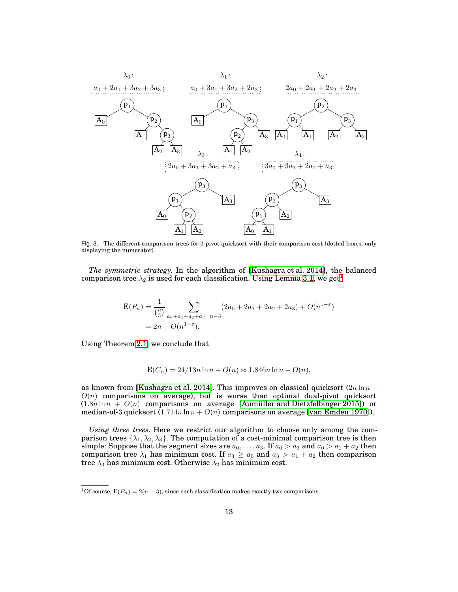

<span id="page-12-0"></span>Fig. 3. The different comparison trees for 3-pivot quicksort with their comparison cost (dotted boxes, only displaying the numerator).

*The symmetric strategy.* In the algorithm of [\[Kushagra et al. 2014\]](#page-44-6), the balanced comparison tree  $\lambda_2$  is used for each classification. Using Lemma [3.1,](#page-10-2) we get<sup>[1](#page-12-1)</sup>

$$
\mathbf{E}(P_n) = \frac{1}{\binom{n}{3}} \sum_{a_0 + a_1 + a_2 + a_3 = n-3} (2a_0 + 2a_1 + 2a_2 + 2a_3) + O(n^{1-\epsilon})
$$
  
=  $2n + O(n^{1-\epsilon}).$ 

Using Theorem [2.1,](#page-7-0) we conclude that

$$
\mathbf{E}(C_n) = 24/13n \ln n + O(n) \approx 1.846n \ln n + O(n),
$$

as known from [\[Kushagra et al. 2014\]](#page-44-6). This improves on classical quicksort  $(2n \ln n +$  $O(n)$  comparisons on average), but is worse than optimal dual-pivot quicksort  $(1.8n \ln n + O(n))$  comparisons on average [\[Aumüller and Dietzfelbinger 2015\]](#page-44-7)) or median-of-3 quicksort  $(1.714n \ln n + O(n))$  comparisons on average [\[van Emden 1970\]](#page-45-7)).

*Using three trees.* Here we restrict our algorithm to choose only among the comparison trees  $\{\lambda_1, \lambda_2, \lambda_3\}$ . The computation of a cost-minimal comparison tree is then simple: Suppose that the segment sizes are  $a_0, \ldots, a_3$ . If  $a_0 > a_3$  and  $a_0 > a_1 + a_2$  then comparison tree  $\lambda_1$  has minimum cost. If  $a_3 \ge a_0$  and  $a_3 > a_1 + a_2$  then comparison tree  $\lambda_3$  has minimum cost. Otherwise  $\lambda_2$  has minimum cost.

<span id="page-12-1"></span><sup>&</sup>lt;sup>1</sup>Of course,  $E(P_n) = 2(n-3)$ , since each classification makes exactly two comparisons.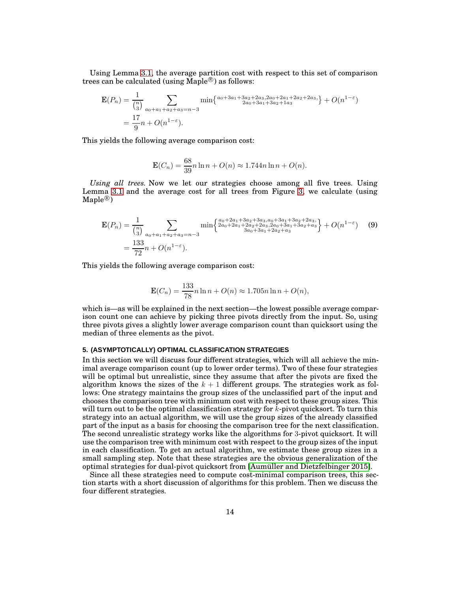Using Lemma [3.1,](#page-10-2) the average partition cost with respect to this set of comparison trees can be calculated (using Maple $^{\circledR}$ ) as follows:

$$
\mathbf{E}(P_n) = \frac{1}{\binom{n}{3}} \sum_{a_0 + a_1 + a_2 + a_3 = n-3} \min\left\{\frac{a_0 + 3a_1 + 3a_2 + 2a_3, 2a_0 + 2a_1 + 2a_2 + 2a_3}{2a_0 + 3a_1 + 3a_2 + 1a_3}\right\} + O(n^{1-\varepsilon})
$$
  
=  $\frac{17}{9}n + O(n^{1-\varepsilon}).$ 

This yields the following average comparison cost:

<span id="page-13-1"></span>
$$
\mathbf{E}(C_n) = \frac{68}{39}n\ln n + O(n) \approx 1.744n\ln n + O(n).
$$

*Using all trees.* Now we let our strategies choose among all five trees. Using Lemma [3.1](#page-10-2) and the average cost for all trees from Figure [3,](#page-12-0) we calculate (using  $\mathrm{Maple}^\circledR)$ 

$$
\mathbf{E}(P_n) = \frac{1}{\binom{n}{3}} \sum_{a_0 + a_1 + a_2 + a_3 = n - 3} \min\left\{\frac{a_0 + 2a_1 + 3a_2 + 3a_3, a_0 + 3a_1 + 3a_2 + 2a_3}{3a_0 + 2a_1 + 2a_2 + 2a_3, 2a_0 + 3a_1 + 3a_2 + a_3}\right\} + O(n^{1 - \varepsilon}) \tag{9}
$$
\n
$$
= \frac{133}{72}n + O(n^{1 - \varepsilon}).
$$

This yields the following average comparison cost:

$$
\mathbf{E}(C_n) = \frac{133}{78}n\ln n + O(n) \approx 1.705n\ln n + O(n),
$$

which is—as will be explained in the next section—the lowest possible average comparison count one can achieve by picking three pivots directly from the input. So, using three pivots gives a slightly lower average comparison count than quicksort using the median of three elements as the pivot.

# <span id="page-13-0"></span>**5. (ASYMPTOTICALLY) OPTIMAL CLASSIFICATION STRATEGIES**

In this section we will discuss four different strategies, which will all achieve the minimal average comparison count (up to lower order terms). Two of these four strategies will be optimal but unrealistic, since they assume that after the pivots are fixed the algorithm knows the sizes of the  $k + 1$  different groups. The strategies work as follows: One strategy maintains the group sizes of the unclassified part of the input and chooses the comparison tree with minimum cost with respect to these group sizes. This will turn out to be the optimal classification strategy for  $\bar{k}$ -pivot quicksort. To turn this strategy into an actual algorithm, we will use the group sizes of the already classified part of the input as a basis for choosing the comparison tree for the next classification. The second unrealistic strategy works like the algorithms for 3-pivot quicksort. It will use the comparison tree with minimum cost with respect to the group sizes of the input in each classification. To get an actual algorithm, we estimate these group sizes in a small sampling step. Note that these strategies are the obvious generalization of the optimal strategies for dual-pivot quicksort from [\[Aumüller and Dietzfelbinger 2015\]](#page-44-7).

Since all these strategies need to compute cost-minimal comparison trees, this section starts with a short discussion of algorithms for this problem. Then we discuss the four different strategies.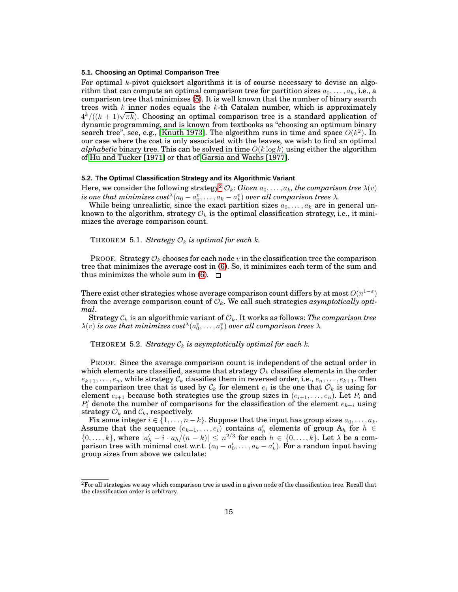### **5.1. Choosing an Optimal Comparison Tree**

For optimal k-pivot quicksort algorithms it is of course necessary to devise an algorithm that can compute an optimal comparison tree for partition sizes  $a_0, \ldots, a_k$ , i.e., a comparison tree that minimizes [\(5\)](#page-9-2). It is well known that the number of binary search trees with  $k$  inner nodes equals the  $k$ -th Catalan number, which is approximately  $4^k/((k+1)\sqrt{\pi k})$ . Choosing an optimal comparison tree is a standard application of dynamic programming, and is known from textbooks as "choosing an optimum binary search tree", see, e.g., [\[Knuth 1973\]](#page-44-15). The algorithm runs in time and space  $O(k^2)$ . In our case where the cost is only associated with the leaves, we wish to find an optimal *alphabetic* binary tree. This can be solved in time  $O(k \log k)$  using either the algorithm of [Hu and Tucker \[1971\]](#page-44-16) or that of [Garsia and Wachs \[1977\]](#page-44-17).

#### **5.2. The Optimal Classification Strategy and its Algorithmic Variant**

Here, we consider the following strategy<sup>[2](#page-14-0)</sup>  $\mathcal{O}_k$ : *Given*  $a_0, \ldots, a_k$ *, the comparison tree*  $\lambda(v)$ *is one that minimizes*  $cost^{\lambda}(a_0 - a_0^v, \ldots, a_k - a_k^v)$  *over all comparison trees*  $\lambda$ .

While being unrealistic, since the exact partition sizes  $a_0, \ldots, a_k$  are in general unknown to the algorithm, strategy  $\mathcal{O}_k$  is the optimal classification strategy, i.e., it minimizes the average comparison count.

THEOREM 5.1. *Strategy*  $\mathcal{O}_k$  *is optimal for each*  $k$ .

PROOF. Strategy  $\mathcal{O}_k$  chooses for each node v in the classification tree the comparison tree that minimizes the average cost in [\(6\)](#page-9-1). So, it minimizes each term of the sum and thus minimizes the whole sum in [\(6\)](#page-9-1).  $\Box$ 

There exist other strategies whose average comparison count differs by at most  $O(n^{1-\varepsilon})$ from the average comparison count of  $\mathcal{O}_k$ . We call such strategies *asymptotically optimal*.

Strategy  $C_k$  is an algorithmic variant of  $\mathcal{O}_k$ . It works as follows: *The comparison tree*  $\lambda(v)$  is one that minimizes  $cost^{\lambda}(a^v_0, \ldots, a^v_k)$  over all comparison trees  $\lambda.$ 

THEOREM 5.2. *Strategy*  $C_k$  *is asymptotically optimal for each k.* 

PROOF. Since the average comparison count is independent of the actual order in which elements are classified, assume that strategy  $\mathcal{O}_k$  classifies elements in the order  $e_{k+1}, \ldots, e_n$ , while strategy  $\mathcal{C}_k$  classifies them in reversed order, i.e.,  $e_n, \ldots, e_{k+1}$ . Then the comparison tree that is used by  $\mathcal{C}_k$  for element  $e_i$  is the one that  $\mathcal{O}_k$  is using for element  $e_{i+1}$  because both strategies use the group sizes in  $(e_{i+1}, \ldots, e_n)$ . Let  $P_i$  and  $P'_{i}$  denote the number of comparisons for the classification of the element  $e_{k+i}$  using strategy  $\mathcal{O}_k$  and  $\mathcal{C}_k$ , respectively.

Fix some integer  $i \in \{1, \ldots, n-k\}$ . Suppose that the input has group sizes  $a_0, \ldots, a_k$ . Assume that the sequence  $(e_{k+1},...,e_i)$  contains  $a'_h$  elements of group  $A_h$  for  $h \in$  $\{0,\ldots,k\}$ , where  $|a'_h - i \cdot a_h/(n-k)| \leq n^{2/3}$  for each  $h \in \{0,\ldots,k\}$ . Let  $\lambda$  be a comparison tree with minimal cost w.r.t.  $(a_0 - a'_0, \ldots, a_k - a'_k)$ . For a random input having group sizes from above we calculate:

<span id="page-14-0"></span> $^2\rm{For}$  all strategies we say which comparison tree is used in a given node of the classification tree. Recall that the classification order is arbitrary.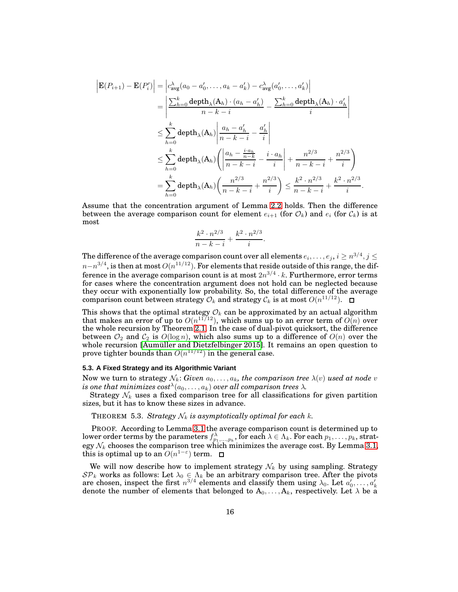$$
\begin{split}\n\left| \mathbf{E}(P_{i+1}) - \mathbf{E}(P_i') \right| &= \left| c_{\text{avg}}^{\lambda}(a_0 - a_0', \dots, a_k - a_k') - c_{\text{avg}}^{\lambda}(a_0', \dots, a_k') \right| \\
&= \left| \frac{\sum_{h=0}^{k} \text{depth}_{\lambda}(\mathbf{A}_h) \cdot (a_h - a_h')}{n - k - i} - \frac{\sum_{h=0}^{k} \text{depth}_{\lambda}(\mathbf{A}_h) \cdot a_h'}{i} \right| \\
&\leq \sum_{h=0}^{k} \text{depth}_{\lambda}(\mathbf{A}_h) \left| \frac{a_h - a_h'}{n - k - i} - \frac{a_h'}{i} \right| \\
&\leq \sum_{h=0}^{k} \text{depth}_{\lambda}(\mathbf{A}_h) \left( \left| \frac{a_h - \frac{i \cdot a_h}{n - k}}{n - k - i} - \frac{i \cdot a_h}{i} \right| + \frac{n^{2/3}}{n - k - i} + \frac{n^{2/3}}{i} \right) \\
&= \sum_{h=0}^{k} \text{depth}_{\lambda}(\mathbf{A}_h) \left( \frac{n^{2/3}}{n - k - i} + \frac{n^{2/3}}{i} \right) \leq \frac{k^2 \cdot n^{2/3}}{n - k - i} + \frac{k^2 \cdot n^{2/3}}{i}.\n\end{split}
$$

Assume that the concentration argument of Lemma [2.2](#page-8-1) holds. Then the difference between the average comparison count for element  $e_{i+1}$  (for  $\mathcal{O}_k$ ) and  $e_i$  (for  $\mathcal{C}_k$ ) is at most

$$
\frac{k^2 \cdot n^{2/3}}{n-k-i} + \frac{k^2 \cdot n^{2/3}}{i}.
$$

The difference of the average comparison count over all elements  $e_i, \ldots, e_j, i \geq n^{3/4}, j \leq j$  $n-n^{3/4}$ , is then at most  $O(n^{11/12})$ . For elements that reside outside of this range, the difference in the average comparison count is at most  $2n^{3/4} \cdot k$ . Furthermore, error terms for cases where the concentration argument does not hold can be neglected because they occur with exponentially low probability. So, the total difference of the average comparison count between strategy  $\mathcal{O}_k$  and strategy  $\mathcal{C}_k$  is at most  $O(n^{11/12})$ .

This shows that the optimal strategy  $\mathcal{O}_k$  can be approximated by an actual algorithm that makes an error of up to  $O(n^{11/12})$ , which sums up to an error term of  $O(n)$  over the whole recursion by Theorem [2.1.](#page-7-0) In the case of dual-pivot quicksort, the difference between  $\mathcal{O}_2$  and  $\mathcal{C}_2$  is  $O(\log n)$ , which also sums up to a difference of  $O(n)$  over the whole recursion [\[Aumüller and Dietzfelbinger 2015\]](#page-44-7). It remains an open question to prove tighter bounds than  $O(n^{11/12})$  in the general case.

# **5.3. A Fixed Strategy and its Algorithmic Variant**

Now we turn to strategy  $\mathcal{N}_k$ : *Given*  $a_0, \ldots, a_k$ *, the comparison tree*  $\lambda(v)$  *used at node v* is one that minimizes  $cost^{\lambda}(a_0, \ldots, a_k)$  over all comparison trees  $\lambda$ .

<span id="page-15-0"></span>Strategy  $\mathcal{N}_k$  uses a fixed comparison tree for all classifications for given partition sizes, but it has to know these sizes in advance.

THEOREM 5.3. *Strategy*  $N_k$  *is asymptotically optimal for each k.* 

PROOF. According to Lemma [3.1](#page-10-2) the average comparison count is determined up to lower order terms by the parameters  $f^{\lambda}_{p_1,...,p_k}$ , for each  $\lambda \in \Lambda_k$ . For each  $p_1,...,p_k$ , strategy  $\mathcal{N}_k$  chooses the comparison tree which minimizes the average cost. By Lemma [3.1,](#page-10-2) this is optimal up to an  $O(n^{1-\epsilon})$  term.

We will now describe how to implement strategy  $\mathcal{N}_k$  by using sampling. Strategy  $\mathcal{SP}_k$  works as follows: Let  $\lambda_0 \in \Lambda_k$  be an arbitrary comparison tree. After the pivots are chosen, inspect the first  $n^{3/4}$  elements and classify them using  $\lambda_0$ . Let  $a'_0, \ldots, a'_k$  denote the number of elements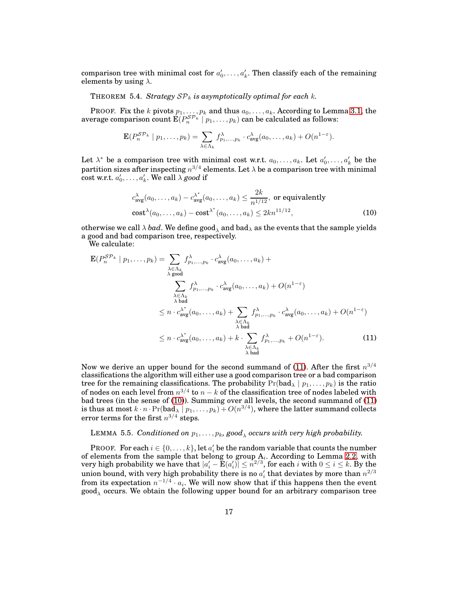comparison tree with minimal cost for  $a'_0, \ldots, a'_k$ . Then classify each of the remaining elements by using  $\lambda$ .

THEOREM 5.4. *Strategy*  $\mathcal{SP}_k$  *is asymptotically optimal for each k.* 

PROOF. Fix the k pivots  $p_1, \ldots, p_k$  and thus  $a_0, \ldots, a_k$ . According to Lemma [3.1,](#page-10-2) the average comparison count  $\mathbf{E}(P^{\mathcal{SP}_{k}}_{n} \mid p_1, \dots, p_k)$  can be calculated as follows:

$$
\mathbf{E}(P_n^{\mathcal{SP}_k} \mid p_1,\ldots,p_k) = \sum_{\lambda \in \Lambda_k} f_{p_1,\ldots,p_k}^{\lambda} \cdot c_{\text{avg}}^{\lambda}(a_0,\ldots,a_k) + O(n^{1-\varepsilon}).
$$

Let  $\lambda^*$  be a comparison tree with minimal cost w.r.t.  $a_0, \ldots, a_k$ . Let  $a'_0, \ldots, a'_k$  be the partition sizes after inspecting  $n^{3/4}$  elements. Let  $\lambda$  be a comparison tree with minimal  $\text{cost w.r.t. } a'_0, \ldots, a'_k$ . We call  $\lambda \text{ good if}$ 

<span id="page-16-1"></span><span id="page-16-0"></span>
$$
c_{\text{avg}}^{\lambda}(a_0, \dots, a_k) - c_{\text{avg}}^{\lambda^*}(a_0, \dots, a_k) \le \frac{2k}{n^{1/12}}, \text{ or equivalently}
$$

$$
\text{cost}^{\lambda}(a_0, \dots, a_k) - \text{cost}^{\lambda^*}(a_0, \dots, a_k) \le 2kn^{11/12}, \tag{10}
$$

otherwise we call  $\lambda$  *bad*. We define good, and bad<sub> $\lambda$ </sub> as the events that the sample yields a good and bad comparison tree, respectively.

We calculate:

$$
\mathbf{E}(P_n^{\mathcal{SP}_k} \mid p_1, \dots, p_k) = \sum_{\substack{\lambda \in \Lambda_k \\ \lambda \text{ good}}} f_{p_1, \dots, p_k}^{\lambda} \cdot c_{\text{avg}}^{\lambda}(a_0, \dots, a_k) +
$$
\n
$$
\sum_{\substack{\lambda \in \Lambda_k \\ \lambda \text{ bad}}} f_{p_1, \dots, p_k}^{\lambda} \cdot c_{\text{avg}}^{\lambda}(a_0, \dots, a_k) + O(n^{1-\varepsilon})
$$
\n
$$
\leq n \cdot c_{\text{avg}}^{\lambda^*}(a_0, \dots, a_k) + \sum_{\substack{\lambda \in \Lambda_k \\ \lambda \text{ bad}}} f_{p_1, \dots, p_k}^{\lambda} \cdot c_{\text{avg}}^{\lambda}(a_0, \dots, a_k) + O(n^{1-\varepsilon})
$$
\n
$$
\leq n \cdot c_{\text{avg}}^{\lambda^*}(a_0, \dots, a_k) + k \cdot \sum_{\substack{\lambda \in \Lambda_k \\ \lambda \text{ bad}}} f_{p_1, \dots, p_k}^{\lambda} + O(n^{1-\varepsilon}). \tag{11}
$$

Now we derive an upper bound for the second summand of [\(11\)](#page-16-0). After the first  $n^{3/4}$ classifications the algorithm will either use a good comparison tree or a bad comparison tree for the remaining classifications. The probability  $Pr(\text{bad}_{\lambda} | p_1, \ldots, p_k)$  is the ratio of nodes on each level from  $n^{3/4}$  to  $n - k$  of the classification tree of nodes labeled with bad trees (in the sense of [\(10\)](#page-16-1)). Summing over all levels, the second summand of [\(11\)](#page-16-0) is thus at most  $k \cdot n \cdot \Pr(\text{bad}_{\lambda} \mid p_1, \ldots, p_k) + O(n^{3/4})$ , where the latter summand collects error terms for the first  $n^{3/4}$  steps.

# LEMMA 5.5. Conditioned on  $p_1, \ldots, p_k$ , good<sub> $\lambda$ </sub> occurs with very high probability.

**PROOF.** For each  $i \in \{0, \ldots, k\}$ , let  $a'_i$  be the random variable that counts the number of elements from the sample that belong to group  $A_i$ . According to Lemma [2.2,](#page-8-1) with very high probability we have that  $|a'_i - \mathbf{E}(a'_i)| \leq n^{2/3}$ , for each i with  $0 \leq i \leq k$ . By the union bound, with very high probability there is no  $a'_i$  that deviates by more than  $n^{2/3}$ from its expectation  $n^{-1/4} \cdot a_i$ . We will now show that if this happens then the event good ${}_\lambda$  occurs. We obtain the following upper bound for an arbitrary comparison tree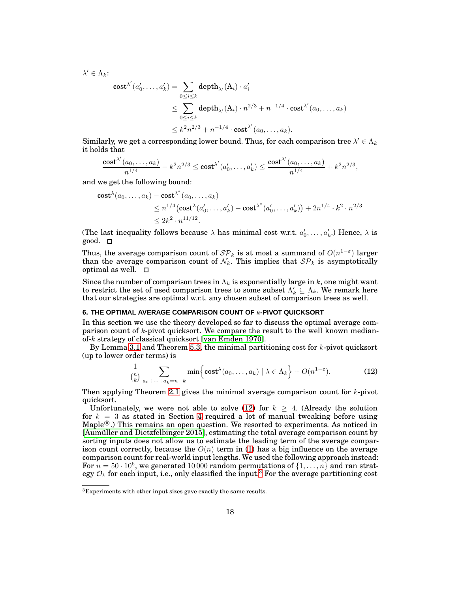$$
\lambda' \in \Lambda_k:
$$
  
\n
$$
\text{cost}^{\lambda'}(a'_0, \dots, a'_k) = \sum_{0 \le i \le k} \text{depth}_{\lambda'}(A_i) \cdot a'_i
$$
  
\n
$$
\le \sum_{0 \le i \le k} \text{depth}_{\lambda'}(A_i) \cdot n^{2/3} + n^{-1/4} \cdot \text{cost}^{\lambda'}(a_0, \dots, a_k)
$$
  
\n
$$
\le k^2 n^{2/3} + n^{-1/4} \cdot \text{cost}^{\lambda'}(a_0, \dots, a_k).
$$

Similarly, we get a corresponding lower bound. Thus, for each comparison tree  $\lambda' \in \Lambda_k$ it holds that

$$
\frac{\textnormal{cost}^{\lambda'}(a_0,\dots,a_k)}{n^{1/4}} - k^2 n^{2/3} \leq \textnormal{cost}^{\lambda'}(a'_0,\dots,a'_k) \leq \frac{\textnormal{cost}^{\lambda'}(a_0,\dots,a_k)}{n^{1/4}} + k^2 n^{2/3},
$$

and we get the following bound:

cost<sup>λ</sup>(a<sub>0</sub>,..., a<sub>k</sub>) - cost<sup>λ\*</sup>(a<sub>0</sub>,..., a<sub>k</sub>)  
\n
$$
\leq n^{1/4}(\text{cost}^{\lambda}(a'_{0},..., a'_{k}) - \text{cost}^{\lambda^{*}}(a'_{0},..., a'_{k})) + 2n^{1/4} \cdot k^{2} \cdot n^{2/3}
$$
  
\n $\leq 2k^{2} \cdot n^{11/12}.$ 

(The last inequality follows because  $\lambda$  has minimal cost w.r.t.  $a'_0, \ldots, a'_k$ .) Hence,  $\lambda$  is good. □

Thus, the average comparison count of  $\mathcal{SP}_k$  is at most a summand of  $O(n^{1-\varepsilon})$  larger than the average comparison count of  $\mathcal{N}_k$ . This implies that  $\mathcal{SP}_k$  is asymptotically optimal as well.  $\square$ 

Since the number of comparison trees in  $\Lambda_k$  is exponentially large in k, one might want to restrict the set of used comparison trees to some subset  $\Lambda'_k \subseteq \Lambda_k$ . We remark here that our strategies are optimal w.r.t. any chosen subset of comparison trees as well.

# <span id="page-17-0"></span>**6. THE OPTIMAL AVERAGE COMPARISON COUNT OF** k**-PIVOT QUICKSORT**

In this section we use the theory developed so far to discuss the optimal average comparison count of  $k$ -pivot quicksort. We compare the result to the well known medianof-k strategy of classical quicksort [\[van Emden 1970\]](#page-45-7).

By Lemma [3.1](#page-10-2) and Theorem [5.3,](#page-15-0) the minimal partitioning cost for  $k$ -pivot quicksort (up to lower order terms) is

<span id="page-17-1"></span>
$$
\frac{1}{\binom{n}{k}} \sum_{a_0 + \dots + a_k = n - k} \min \left\{ \text{cost}^{\lambda}(a_0, \dots, a_k) \mid \lambda \in \Lambda_k \right\} + O(n^{1 - \varepsilon}). \tag{12}
$$

Then applying Theorem [2.1](#page-7-0) gives the minimal average comparison count for  $k$ -pivot quicksort.

Unfortunately, we were not able to solve [\(12\)](#page-17-1) for  $k \geq 4$ . (Already the solution for  $k = 3$  as stated in Section [4](#page-11-0) required a lot of manual tweaking before using  $\text{Maple}^{\circledR}$ .) This remains an open question. We resorted to experiments. As noticed in [\[Aumüller and Dietzfelbinger 2015\]](#page-44-7), estimating the total average comparison count by sorting inputs does not allow us to estimate the leading term of the average comparison count correctly, because the  $O(n)$  term in [\(1\)](#page-4-1) has a big influence on the average comparison count for real-world input lengths. We used the following approach instead: For  $n = 50 \cdot 10^6$ , we generated 10 000 random permutations of  $\{1, \ldots, n\}$  and ran strategy  $\mathcal{O}_k$  for each input, i.e., only classified the input.<sup>[3](#page-17-2)</sup> For the average partitioning cost

<span id="page-17-2"></span> ${}^{3}$ Experiments with other input sizes gave exactly the same results.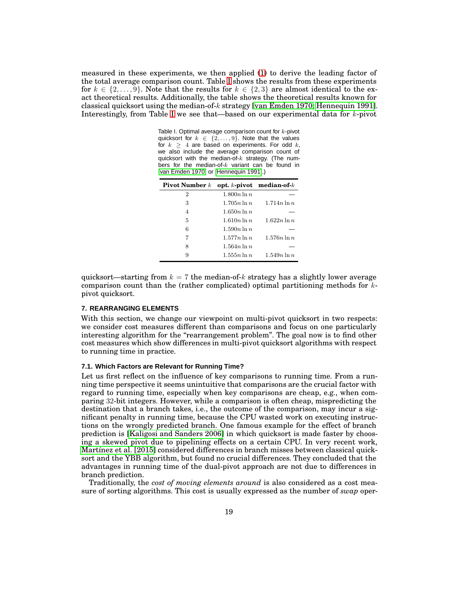measured in these experiments, we then applied [\(1\)](#page-4-1) to derive the leading factor of the total average comparison count. Table [I](#page-18-1) shows the results from these experiments for  $k \in \{2, \ldots, 9\}$ . Note that the results for  $k \in \{2, 3\}$  are almost identical to the exact theoretical results. Additionally, the table shows the theoretical results known for classical quicksort using the median-of-k strategy [\[van Emden 1970;](#page-45-7) [Hennequin 1991\]](#page-44-3). Interestingly, from Table [I](#page-18-1) we see that—based on our experimental data for k-pivot

<span id="page-18-1"></span>Table I. Optimal average comparison count for  $k$ -pivot quicksort for  $k \in \{2, \ldots, 9\}$ . Note that the values for  $k \geq 4$  are based on experiments. For odd k, we also include the average comparison count of quicksort with the median-of- $k$  strategy. (The numbers for the median-of- $k$  variant can be found in [\[van Emden 1970\]](#page-45-7) or [\[Hennequin 1991\]](#page-44-3).)

| <b>Pivot Number</b> $k$ |                | opt. $k$ -pivot median-of- $k$ |
|-------------------------|----------------|--------------------------------|
| $\overline{2}$          | $1.800n \ln n$ |                                |
| 3                       | $1.705n \ln n$ | $1.714n \ln n$                 |
| 4                       | $1.650n \ln n$ |                                |
| 5                       | $1.610n \ln n$ | $1.622n \ln n$                 |
| 6                       | $1.590n \ln n$ |                                |
| 7                       | $1.577n \ln n$ | $1.576n \ln n$                 |
| 8                       | $1.564n\ln n$  |                                |
| 9                       | $1.555n \ln n$ | $1.549n \ln n$                 |

quicksort—starting from  $k = 7$  the median-of-k strategy has a slightly lower average comparison count than the (rather complicated) optimal partitioning methods for kpivot quicksort.

### <span id="page-18-0"></span>**7. REARRANGING ELEMENTS**

With this section, we change our viewpoint on multi-pivot quicksort in two respects: we consider cost measures different than comparisons and focus on one particularly interesting algorithm for the "rearrangement problem". The goal now is to find other cost measures which show differences in multi-pivot quicksort algorithms with respect to running time in practice.

## **7.1. Which Factors are Relevant for Running Time?**

Let us first reflect on the influence of key comparisons to running time. From a running time perspective it seems unintuitive that comparisons are the crucial factor with regard to running time, especially when key comparisons are cheap, e.g., when comparing 32-bit integers. However, while a comparison is often cheap, mispredicting the destination that a branch takes, i.e., the outcome of the comparison, may incur a significant penalty in running time, because the CPU wasted work on executing instructions on the wrongly predicted branch. One famous example for the effect of branch prediction is [\[Kaligosi and Sanders 2006\]](#page-44-18) in which quicksort is made faster by choosing a skewed pivot due to pipelining effects on a certain CPU. In very recent work, [Martínez et al. \[2015\]](#page-44-8) considered differences in branch misses between classical quicksort and the YBB algorithm, but found no crucial differences. They concluded that the advantages in running time of the dual-pivot approach are not due to differences in branch prediction.

Traditionally, the *cost of moving elements around* is also considered as a cost measure of sorting algorithms. This cost is usually expressed as the number of *swap* oper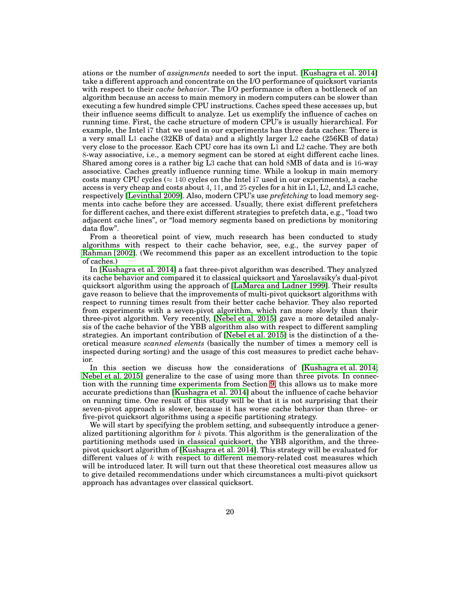ations or the number of *assignments* needed to sort the input. [\[Kushagra et al. 2014\]](#page-44-6) take a different approach and concentrate on the I/O performance of quicksort variants with respect to their *cache behavior*. The I/O performance is often a bottleneck of an algorithm because an access to main memory in modern computers can be slower than executing a few hundred simple CPU instructions. Caches speed these accesses up, but their influence seems difficult to analyze. Let us exemplify the influence of caches on running time. First, the cache structure of modern CPU's is usually hierarchical. For example, the Intel i7 that we used in our experiments has three data caches: There is a very small L1 cache (32KB of data) and a slightly larger L2 cache (256KB of data) very close to the processor. Each CPU core has its own L1 and L2 cache. They are both 8-way associative, i.e., a memory segment can be stored at eight different cache lines. Shared among cores is a rather big L3 cache that can hold 8MB of data and is 16-way associative. Caches greatly influence running time. While a lookup in main memory costs many CPU cycles ( $\approx 140$  cycles on the Intel i7 used in our experiments), a cache access is very cheap and costs about 4, 11, and 25 cycles for a hit in L1, L2, and L3 cache, respectively [\[Levinthal 2009\]](#page-44-19). Also, modern CPU's use *prefetching* to load memory segments into cache before they are accessed. Usually, there exist different prefetchers for different caches, and there exist different strategies to prefetch data, e.g., "load two adjacent cache lines", or "load memory segments based on predictions by monitoring data flow".

From a theoretical point of view, much research has been conducted to study algorithms with respect to their cache behavior, see, e.g., the survey paper of [Rahman \[2002\]](#page-45-11). (We recommend this paper as an excellent introduction to the topic of caches.)

In [\[Kushagra et al. 2014\]](#page-44-6) a fast three-pivot algorithm was described. They analyzed its cache behavior and compared it to classical quicksort and Yaroslavsiky's dual-pivot quicksort algorithm using the approach of [\[LaMarca and Ladner 1999\]](#page-44-11). Their results gave reason to believe that the improvements of multi-pivot quicksort algorithms with respect to running times result from their better cache behavior. They also reported from experiments with a seven-pivot algorithm, which ran more slowly than their three-pivot algorithm. Very recently, [\[Nebel et al. 2015\]](#page-45-5) gave a more detailed analysis of the cache behavior of the YBB algorithm also with respect to different sampling strategies. An important contribution of [\[Nebel et al. 2015\]](#page-45-5) is the distinction of a theoretical measure *scanned elements* (basically the number of times a memory cell is inspected during sorting) and the usage of this cost measures to predict cache behavior.

In this section we discuss how the considerations of [\[Kushagra et al. 2014;](#page-44-6) [Nebel et al. 2015\]](#page-45-5) generalize to the case of using more than three pivots. In connection with the running time experiments from Section [9,](#page-37-0) this allows us to make more accurate predictions than [\[Kushagra et al. 2014\]](#page-44-6) about the influence of cache behavior on running time. One result of this study will be that it is not surprising that their seven-pivot approach is slower, because it has worse cache behavior than three- or five-pivot quicksort algorithms using a specific partitioning strategy.

We will start by specifying the problem setting, and subsequently introduce a generalized partitioning algorithm for  $k$  pivots. This algorithm is the generalization of the partitioning methods used in classical quicksort, the YBB algorithm, and the threepivot quicksort algorithm of [\[Kushagra et al. 2014\]](#page-44-6). This strategy will be evaluated for different values of  $k$  with respect to different memory-related cost measures which will be introduced later. It will turn out that these theoretical cost measures allow us to give detailed recommendations under which circumstances a multi-pivot quicksort approach has advantages over classical quicksort.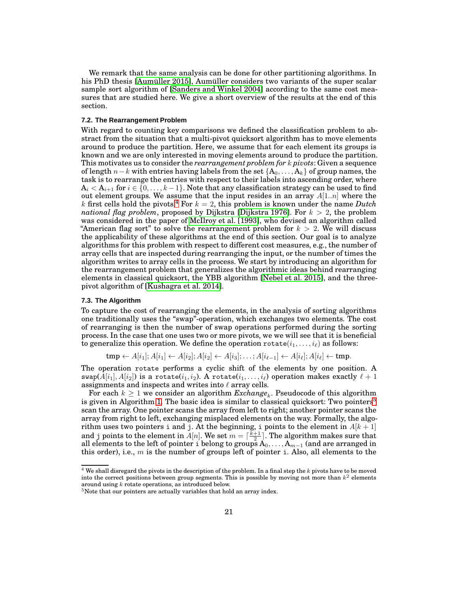We remark that the same analysis can be done for other partitioning algorithms. In his PhD thesis [\[Aumüller 2015\]](#page-44-20), Aumüller considers two variants of the super scalar sample sort algorithm of [\[Sanders and Winkel 2004\]](#page-45-3) according to the same cost measures that are studied here. We give a short overview of the results at the end of this section.

### **7.2. The Rearrangement Problem**

With regard to counting key comparisons we defined the classification problem to abstract from the situation that a multi-pivot quicksort algorithm has to move elements around to produce the partition. Here, we assume that for each element its groups is known and we are only interested in moving elements around to produce the partition. This motivates us to consider the *rearrangement problem for* k *pivots*: Given a sequence of length  $n-k$  with entries having labels from the set  $\{A_0, \ldots, A_k\}$  of group names, the task is to rearrange the entries with respect to their labels into ascending order, where  $A_i < A_{i+1}$  for  $i \in \{0, \ldots, k-1\}$ . Note that any classification strategy can be used to find out element groups. We assume that the input resides in an array  $A[1..n]$  where the k first cells hold the pivots.<sup>[4](#page-20-0)</sup> For  $k = 2$ , this problem is known under the name *Dutch national flag problem*, proposed by Dijkstra [\[Dijkstra 1976\]](#page-44-21). For  $k > 2$ , the problem was considered in the paper of [McIlroy et al. \[1993\]](#page-45-12), who devised an algorithm called "American flag sort" to solve the rearrangement problem for  $k > 2$ . We will discuss the applicability of these algorithms at the end of this section. Our goal is to analyze algorithms for this problem with respect to different cost measures, e.g., the number of array cells that are inspected during rearranging the input, or the number of times the algorithm writes to array cells in the process. We start by introducing an algorithm for the rearrangement problem that generalizes the algorithmic ideas behind rearranging elements in classical quicksort, the YBB algorithm [\[Nebel et al. 2015\]](#page-45-5), and the threepivot algorithm of [\[Kushagra et al. 2014\]](#page-44-6).

#### **7.3. The Algorithm**

To capture the cost of rearranging the elements, in the analysis of sorting algorithms one traditionally uses the "swap"-operation, which exchanges two elements. The cost of rearranging is then the number of swap operations performed during the sorting process. In the case that one uses two or more pivots, we we will see that it is beneficial to generalize this operation. We define the operation rotate $(i_1, \ldots, i_\ell)$  as follows:

 $tmp \leftarrow A[i_1]; A[i_1] \leftarrow A[i_2]; A[i_2] \leftarrow A[i_3]; \dots; A[i_{\ell-1}] \leftarrow A[i_{\ell}]; A[i_{\ell}] \leftarrow tmp.$ 

The operation rotate performs a cyclic shift of the elements by one position. A swap( $A[i_1], A[i_2]$ ) is a rotate( $i_1, i_2$ ). A rotate( $i_1, \ldots, i_\ell$ ) operation makes exactly  $\ell + 1$ assignments and inspects and writes into  $\ell$  array cells.

For each  $k \geq 1$  we consider an algorithm  $\textit{Exchange}_k$ . Pseudocode of this algorithm is given in Algorithm [1.](#page-21-0) The basic idea is similar to classical quicksort: Two pointers<sup>[5](#page-20-1)</sup> scan the array. One pointer scans the array from left to right; another pointer scans the array from right to left, exchanging misplaced elements on the way. Formally, the algorithm uses two pointers i and j. At the beginning, i points to the element in  $A[k+1]$ and j points to the element in  $A[n]$ . We set  $m = \lceil \frac{k+1}{2} \rceil$ . The algorithm makes sure that all elements to the left of pointer  $\mathtt{i}$  belong to groups  $\mathrm{A}_0,\ldots,\mathrm{A}_{m-1}$  (and are arranged in this order), i.e.,  $m$  is the number of groups left of pointer i. Also, all elements to the

<span id="page-20-0"></span> $4$  We shall disregard the pivots in the description of the problem. In a final step the  $k$  pivots have to be moved into the correct positions between group segments. This is possible by moving not more than  $k^2$  elements around using k rotate operations, as introduced below.

<span id="page-20-1"></span> $5$ Note that our pointers are actually variables that hold an array index.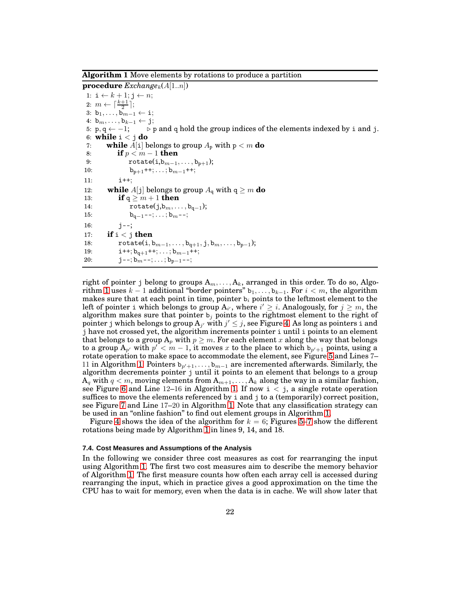<span id="page-21-0"></span>**Algorithm 1** Move elements by rotations to produce a partition

**procedure**  $\text{Exchange}_k(A[1..n])$ 1:  $i \leftarrow k + 1; j \leftarrow n;$ 2:  $m \leftarrow \lceil \frac{k+1}{2} \rceil;$ 3:  $b_1, \ldots, b_{m-1} \leftarrow i;$ 4: bm, . . . , bk−<sup>1</sup> ← j;  $>$  p and q hold the group indices of the elements indexed by i and j. 6: **while** i < j **do** 7: **while**  $A[i]$  belongs to group  $A_p$  with  $p < m$  do 8: **if**  $p < m - 1$  **then**<br>9: **rotate(i,b**<sub>m-1</sub>, 9:  $\text{rotate}(i,b_{m-1},\ldots,b_{p+1});$ <br>10:  $b_{n+1}$ ++;...; $b_{m-1}$ ++;  $b_{p+1}$ ++;  $\dots$ ;  $b_{m-1}$ ++; 11: i++; 12: **while**  $A[j]$  belongs to group  $A_q$  with  $q \ge m$  **do**<br>13: **if**  $q > m + 1$  **then** 13: **if**  $q \ge m+1$  **then**<br>14: **rotate**(i,b<sub>m, i</sub>,  $rotate(j, b_m, \ldots, b_{q-1});$ 15:  $b_{n-1}$ --; . . . ;  $b_m$ --; 16:  $j--;$ 17: **if**  $i < j$  **then** 18: rotate $(i, b_{m-1}, \ldots, b_{q+1}, j, b_m, \ldots, b_{p-1});$ <br>19:  $i + b_{p+1} + \cdots + b_{m-1} + \cdots$  $i$ ++;  $b_{q+1}$ ++; . . . ;  $b_{m-1}$ ++; 20:  $j=-; b_{m}-; \ldots; b_{p-1}-;$ 

right of pointer j belong to groups  $A_m, \ldots, A_k$ , arranged in this order. To do so, Algo-rithm [1](#page-21-0) uses  $k-1$  additional "border pointers"  $b_1, \ldots, b_{k-1}$ . For  $i < m$ , the algorithm makes sure that at each point in time, pointer  $b_i$  points to the leftmost element to the left of pointer i which belongs to group  $A_{i'}$ , where  $i' \geq i$ . Analogously, for  $j \geq m$ , the algorithm makes sure that pointer  $b_j$  points to the rightmost element to the right of pointer j which belongs to group  $A_{j'}$  with  $j' \leq j$ , see Figure [4.](#page-22-0) As long as pointers i and j have not crossed yet, the algorithm increments pointer i until i points to an element that belongs to a group  $A_p$  with  $p \geq m$ . For each element x along the way that belongs to a group  $A_{p'}$  with  $p' < m - 1$ , it moves x to the place to which  $b_{p'+1}$  points, using a rotate operation to make space to accommodate the element, see Figure [5](#page-22-1) and Lines 7– 11 in Algorithm [1.](#page-21-0) Pointers  $b_{p'+1}, \ldots, b_{m-1}$  are incremented afterwards. Similarly, the algorithm decrements pointer j until it points to an element that belongs to a group  $A_q$  with  $q < m$ , moving elements from  $A_{m+1}, \ldots, A_k$  along the way in a similar fashion, see Figure [6](#page-22-2) and Line 12-16 in Algorithm [1.](#page-21-0) If now  $i < j$ , a single rotate operation suffices to move the elements referenced by i and j to a (temporarily) correct position, see Figure [7](#page-22-3) and Line 17–20 in Algorithm [1.](#page-21-0) Note that any classification strategy can be used in an "online fashion" to find out element groups in Algorithm [1.](#page-21-0)

Figure [4](#page-22-0) shows the idea of the algorithm for  $k = 6$ ; Figures [5](#page-22-1)[–7](#page-22-3) show the different rotations being made by Algorithm [1](#page-21-0) in lines 9, 14, and 18.

### **7.4. Cost Measures and Assumptions of the Analysis**

In the following we consider three cost measures as cost for rearranging the input using Algorithm [1.](#page-21-0) The first two cost measures aim to describe the memory behavior of Algorithm [1.](#page-21-0) The first measure counts how often each array cell is accessed during rearranging the input, which in practice gives a good approximation on the time the CPU has to wait for memory, even when the data is in cache. We will show later that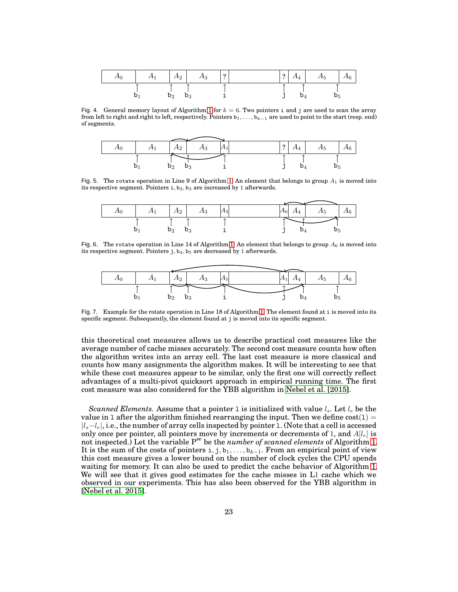| $A_0$ | $A_1 \mid A_2 \mid$ |                | $A_3$ | $\frac{1}{2}$ | റ | $A_4 \parallel A_5$ | $A_6$ |
|-------|---------------------|----------------|-------|---------------|---|---------------------|-------|
|       |                     | $\mathsf{D}_2$ |       |               |   |                     |       |

<span id="page-22-0"></span>Fig. 4. General memory layout of Algorithm [1](#page-21-0) for  $k = 6$ . Two pointers i and j are used to scan the array from left to right and right to left, respectively. Pointers  $b_1, \ldots, b_{k-1}$  are used to point to the start (resp. end) of segments.

| $A_1$ | $A_2$          | $A_3$ |  | $\ddot{\phantom{a}}$ | $A_4$ | $A_5$ | $A_6$ |  |
|-------|----------------|-------|--|----------------------|-------|-------|-------|--|
|       |                |       |  |                      |       |       |       |  |
|       | $\mathsf{D}_2$ |       |  |                      |       |       |       |  |

Fig. 5. The rotate operation in Line 9 of Algorithm [1.](#page-21-0) An element that belongs to group  $A_1$  is moved into its respective segment. Pointers  $i, b_2, b_3$  are increased by 1 afterwards.

<span id="page-22-1"></span>

| 41 |    | A <sub>2</sub> | A?      | 145 | $A_6$<br>∸<br>$A_4$<br>$\Delta E$<br>7 Lh |
|----|----|----------------|---------|-----|-------------------------------------------|
|    | ັບ | $\mathsf{D}_2$ | D.<br>υ |     | ັບ                                        |

Fig. 6. The rotate operation in Line 14 of Algorithm [1.](#page-21-0) An element that belongs to group  $A_6$  is moved into its respective segment. Pointers  $j, b_4, b_5$  are decreased by 1 afterwards.

<span id="page-22-2"></span>

<span id="page-22-3"></span>Fig. 7. Example for the rotate operation in Line 18 of Algorithm [1.](#page-21-0) The element found at i is moved into its specific segment. Subsequently, the element found at j is moved into its specific segment.

this theoretical cost measures allows us to describe practical cost measures like the average number of cache misses accurately. The second cost measure counts how often the algorithm writes into an array cell. The last cost measure is more classical and counts how many assignments the algorithm makes. It will be interesting to see that while these cost measures appear to be similar, only the first one will correctly reflect advantages of a multi-pivot quicksort approach in empirical running time. The first cost measure was also considered for the YBB algorithm in [Nebel et al. \[2015\]](#page-45-5).

*Scanned Elements.* Assume that a pointer 1 is initialized with value  $l_s$ . Let  $l_e$  be the value in 1 after the algorithm finished rearranging the input. Then we define  $cost(1) =$  $|l_s-l_e|$ , i.e., the number of array cells inspected by pointer 1. (Note that a cell is accessed only once per pointer, all pointers move by increments or decrements of 1, and  $A[l_e]$  is not inspected.) Let the variable Pse be the *number of scanned elements* of Algorithm [1.](#page-21-0) It is the sum of the costs of pointers i, j, b<sub>1</sub>, . . . , b<sub>k−1</sub>. From an empirical point of view this cost measure gives a lower bound on the number of clock cycles the CPU spends waiting for memory. It can also be used to predict the cache behavior of Algorithm [1.](#page-21-0) We will see that it gives good estimates for the cache misses in L1 cache which we observed in our experiments. This has also been observed for the YBB algorithm in [\[Nebel et al. 2015\]](#page-45-5).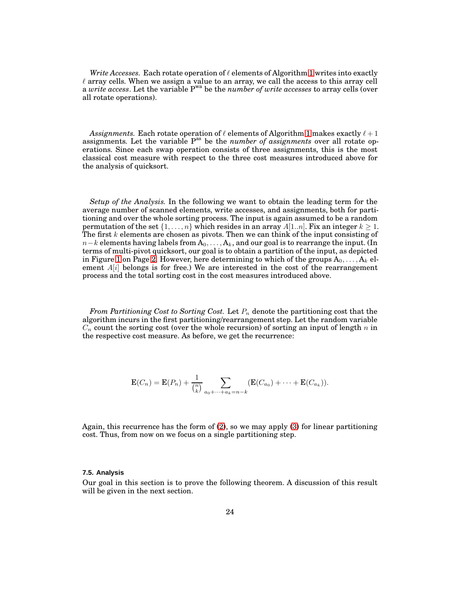*Write Accesses.* Each rotate operation of  $\ell$  elements of Algorithm [1](#page-21-0) writes into exactly  $\ell$  array cells. When we assign a value to an array, we call the access to this array cell a *write access*. Let the variable Pwa be the *number of write accesses* to array cells (over all rotate operations).

*Assignments.* Each rotate operation of  $\ell$  elements of Algorithm [1](#page-21-0) makes exactly  $\ell + 1$ assignments. Let the variable P<sup>as</sup> be the *number of assignments* over all rotate operations. Since each swap operation consists of three assignments, this is the most classical cost measure with respect to the three cost measures introduced above for the analysis of quicksort.

*Setup of the Analysis.* In the following we want to obtain the leading term for the average number of scanned elements, write accesses, and assignments, both for partitioning and over the whole sorting process. The input is again assumed to be a random permutation of the set  $\{1, \ldots, n\}$  which resides in an array  $A[1..n]$ . Fix an integer  $k \geq 1$ . The first  $k$  elements are chosen as pivots. Then we can think of the input consisting of  $n-k$  elements having labels from  $A_0, \ldots, A_k$ , and our goal is to rearrange the input. (In terms of multi-pivot quicksort, our goal is to obtain a partition of the input, as depicted in Figure [1](#page-1-0) on Page [2.](#page-1-0) However, here determining to which of the groups  $A_0, \ldots, A_k$  element  $A[i]$  belongs is for free.) We are interested in the cost of the rearrangement process and the total sorting cost in the cost measures introduced above.

*From Partitioning Cost to Sorting Cost.* Let  $P_n$  denote the partitioning cost that the algorithm incurs in the first partitioning/rearrangement step. Let the random variable  $C_n$  count the sorting cost (over the whole recursion) of sorting an input of length n in the respective cost measure. As before, we get the recurrence:

$$
\mathbf{E}(C_n) = \mathbf{E}(P_n) + \frac{1}{\binom{n}{k}} \sum_{a_0 + \dots + a_k = n-k} (\mathbf{E}(C_{a_0}) + \dots + \mathbf{E}(C_{a_k})).
$$

Again, this recurrence has the form of [\(2\)](#page-7-1), so we may apply [\(3\)](#page-7-0) for linear partitioning cost. Thus, from now on we focus on a single partitioning step.

### **7.5. Analysis**

Our goal in this section is to prove the following theorem. A discussion of this result will be given in the next section.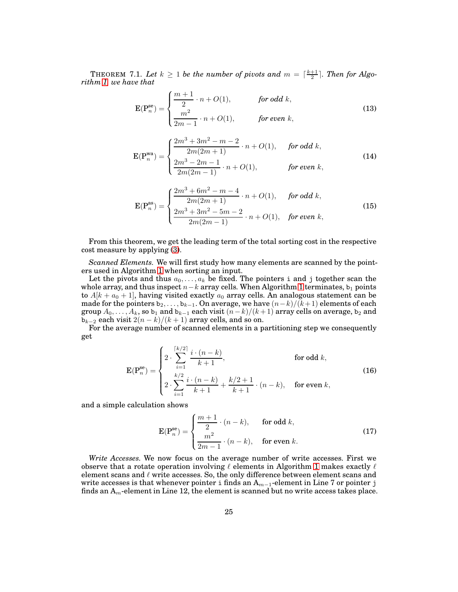THEOREM 7.1. Let  $k \geq 1$  be the number of pivots and  $m = \lceil \frac{k+1}{2} \rceil$ . Then for Algo*rithm [1,](#page-21-0) we have that*

<span id="page-24-0"></span>
$$
\mathbf{E}(\mathbf{P}_{n}^{\mathbf{se}}) = \begin{cases} \frac{m+1}{2} \cdot n + O(1), & \text{for odd } k, \\ \frac{m^{2}}{2m-1} \cdot n + O(1), & \text{for even } k, \end{cases}
$$
(13)

$$
\mathbf{E}(\mathbf{P}_{n}^{\text{wa}}) = \begin{cases} \frac{2m^{3} + 3m^{2} - m - 2}{2m(2m + 1)} \cdot n + O(1), & \text{for odd } k, \\ \frac{2m^{3} - 2m - 1}{2m(2m - 1)} \cdot n + O(1), & \text{for even } k, \end{cases}
$$
(14)

<span id="page-24-1"></span>
$$
\mathbf{E}(\mathbf{P}_{n}^{\text{as}}) = \begin{cases} \frac{2m^{3} + 6m^{2} - m - 4}{2m(2m + 1)} \cdot n + O(1), & \text{for odd } k, \\ \frac{2m^{3} + 3m^{2} - 5m - 2}{2m(2m - 1)} \cdot n + O(1), & \text{for even } k, \end{cases}
$$
(15)

From this theorem, we get the leading term of the total sorting cost in the respective cost measure by applying [\(3\)](#page-7-0).

*Scanned Elements.* We will first study how many elements are scanned by the pointers used in Algorithm [1](#page-21-0) when sorting an input.

Let the pivots and thus  $a_0, \ldots, a_k$  be fixed. The pointers i and j together scan the whole array, and thus inspect  $n-k$  array cells. When Algorithm [1](#page-21-0) terminates,  $b_1$  points to  $A[k + a_0 + 1]$ , having visited exactly  $a_0$  array cells. An analogous statement can be made for the pointers  $b_2, \ldots, b_{k-1}$ . On average, we have  $(n-k)/(k+1)$  elements of each group  $A_0, \ldots, A_k$ , so  $b_1$  and  $b_{k-1}$  each visit  $(n-k)/(k+1)$  array cells on average,  $b_2$  and  $b_{k-2}$  each visit  $2(n-k)/(k+1)$  array cells, and so on.

For the average number of scanned elements in a partitioning step we consequently get

$$
\mathbf{E}(\mathbf{P}_{n}^{\text{se}}) = \begin{cases} 2 \cdot \sum_{i=1}^{\lceil k/2 \rceil} \frac{i \cdot (n-k)}{k+1}, & \text{for odd } k, \\ 2 \cdot \sum_{i=1}^{k/2} \frac{i \cdot (n-k)}{k+1} + \frac{k/2+1}{k+1} \cdot (n-k), & \text{for even } k, \end{cases} \tag{16}
$$

and a simple calculation shows

<span id="page-24-2"></span>
$$
\mathbf{E}(\mathbf{P}_{n}^{\text{se}}) = \begin{cases} \frac{m+1}{2} \cdot (n-k), & \text{for odd } k, \\ \frac{m^{2}}{2m-1} \cdot (n-k), & \text{for even } k. \end{cases}
$$
(17)

*Write Accesses.* We now focus on the average number of write accesses. First we observe that a rotate operation involving  $\ell$  elements in Algorithm [1](#page-21-0) makes exactly  $\ell$ element scans and  $\ell$  write accesses. So, the only difference between element scans and write accesses is that whenever pointer i finds an  $A_{m-1}$ -element in Line 7 or pointer j finds an  $A_m$ -element in Line 12, the element is scanned but no write access takes place.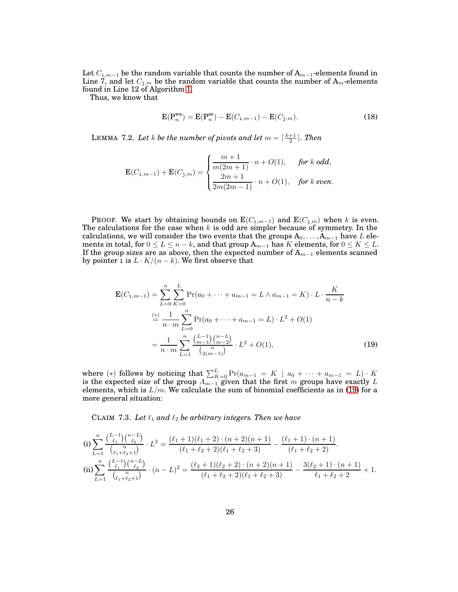Let  $C_{\textbf{i},m-1}$  be the random variable that counts the number of  $\textsf{A}_{m-1}$ -elements found in Line 7, and let  $C_{\textbf{j},m}$  be the random variable that counts the number of  $\mathbf{A}_m$ -elements found in Line 12 of Algorithm [1.](#page-21-0)

Thus, we know that

<span id="page-25-2"></span>
$$
E(P_n^{wa}) = E(P_n^{se}) - E(C_{i,m-1}) - E(C_{j,m}).
$$
\n(18)

<span id="page-25-1"></span>LEMMA 7.2. Let  $k$  be the number of pivots and let  $m = \lceil \frac{k+1}{2} \rceil$ . Then

$$
\mathbf{E}(C_{\mathbf{i},m-1})+\mathbf{E}(C_{\mathbf{j},m})=\begin{cases}\frac{m+1}{m(2m+1)}\cdot n+O(1),&\text{for $k$ odd,}\\ \frac{2m+1}{2m(2m-1)}\cdot n+O(1),&\text{for $k$ even.}\end{cases}
$$

PROOF. We start by obtaining bounds on  $E(C_{i,m-1})$  and  $E(C_{i,m})$  when k is even. The calculations for the case when  $k$  is odd are simpler because of symmetry. In the calculations, we will consider the two events that the groups  $A_0, \ldots, A_{m-1}$  have L elements in total, for  $0 \le L \le n - k$ , and that group  $A_{m-1}$  has K elements, for  $0 \le K \le L$ . If the group sizes are as above, then the expected number of  $A_{m-1}$  elements scanned by pointer i is  $L \cdot K/(n-k)$ . We first observe that

<span id="page-25-0"></span>
$$
\mathbf{E}(C_{1,m-1}) = \sum_{L=0}^{n} \sum_{K=0}^{L} \Pr(a_0 + \dots + a_{m-1} = L \wedge a_{m-1} = K) \cdot L \cdot \frac{K}{n-k}
$$
  
\n
$$
\stackrel{(*)}{=} \frac{1}{n \cdot m} \sum_{L=0}^{n} \Pr(a_0 + \dots + a_{m-1} = L) \cdot L^2 + O(1)
$$
  
\n
$$
= \frac{1}{n \cdot m} \sum_{L=1}^{n} \frac{\binom{L-1}{m-1} \binom{n-L}{m-2}}{\binom{n}{2(m-1)}} \cdot L^2 + O(1), \tag{19}
$$

where (\*) follows by noticing that  $\sum_{K=0}^{L} Pr(a_{m-1} = K \mid a_0 + \cdots + a_{m-1} = L) \cdot K$ is the expected size of the group  $A_{m-1}$  given that the first m groups have exactly L elements, which is  $L/m$ . We calculate the sum of binomial coefficients as in [\(19\)](#page-25-0) for a more general situation:

CLAIM 7.3. Let  $\ell_1$  and  $\ell_2$  be arbitrary integers. Then we have

(i) 
$$
\sum_{L=1}^{n} \frac{\binom{L-1}{\ell_1} \binom{n-L}{\ell_2}}{\binom{n}{\ell_1 + \ell_2 + 1}} \cdot L^2 = \frac{(\ell_1 + 1)(\ell_1 + 2) \cdot (n+2)(n+1)}{(\ell_1 + \ell_2 + 2)(\ell_1 + \ell_2 + 3)} - \frac{(\ell_1 + 1) \cdot (n+1)}{(\ell_1 + \ell_2 + 2)}.
$$
\n(ii) 
$$
\sum_{L=1}^{n} \frac{\binom{L-1}{\ell_1} \binom{n-L}{\ell_2}}{\binom{n}{\ell_1 + \ell_2 + 1}} \cdot (n-L)^2 = \frac{(\ell_2 + 1)(\ell_2 + 2) \cdot (n+2)(n+1)}{(\ell_1 + \ell_2 + 2)(\ell_1 + \ell_2 + 3)} - \frac{3(\ell_2 + 1) \cdot (n+1)}{\ell_1 + \ell_2 + 2} + 1.
$$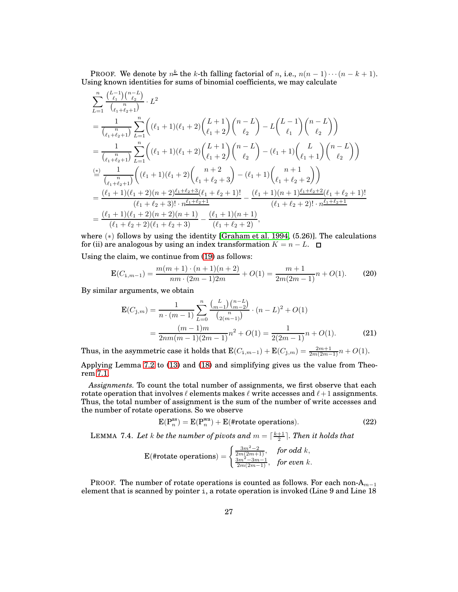**PROOF.** We denote by  $n^{\underline{k}}$  the k-th falling factorial of n, i.e.,  $n(n-1)\cdots(n-k+1)$ . Using known identities for sums of binomial coefficients, we may calculate

$$
\sum_{L=1}^{n} \frac{\binom{L-1}{\ell_1} \binom{n-L}{\ell_2}}{\binom{n}{\ell_1+\ell_2+1}} \cdot L^2
$$
\n
$$
= \frac{1}{\binom{n}{\ell_1+\ell_2+1}} \sum_{L=1}^{n} \left( (\ell_1+1)(\ell_1+2) \binom{L+1}{\ell_1} \binom{n-L}{\ell_2} - L \binom{L-1}{\ell_1} \binom{n-L}{\ell_2} \right)
$$
\n
$$
= \frac{1}{\binom{n}{\ell_1+\ell_2+1}} \sum_{L=1}^{n} \left( (\ell_1+1)(\ell_1+2) \binom{L+1}{\ell_1+2} \binom{n-L}{\ell_2} - (\ell_1+1) \binom{L}{\ell_1+1} \binom{n-L}{\ell_2} \right)
$$
\n
$$
\stackrel{(*)}{=} \frac{1}{\binom{n}{\ell_1+\ell_2+1}} \left( (\ell_1+1)(\ell_1+2) \binom{n+2}{\ell_1+\ell_2+3} - (\ell_1+1) \binom{n+1}{\ell_1+\ell_2+2} \right)
$$
\n
$$
= \frac{(\ell_1+1)(\ell_1+2)(n+2)\frac{\ell_1+\ell_2+3}{\ell_1+\ell_2+1}}{\binom{\ell_1+\ell_2+3}!\cdot n\frac{\ell_1+\ell_2+1}{\ell_1+\ell_2+2}} - \frac{(\ell_1+1)(n+1)\frac{\ell_1+\ell_2+2}{\ell_1+\ell_2+2}(\ell_1+\ell_2+1)!}{(\ell_1+\ell_2+2)!\cdot n\frac{\ell_1+\ell_2+1}{\ell_1+\ell_2+2}}
$$
\n
$$
= \frac{(\ell_1+1)(\ell_1+2)(n+2)(n+1)}{(\ell_1+\ell_2+2)(\ell_1+\ell_2+3)} - \frac{(\ell_1+1)(n+1)}{(\ell_1+\ell_2+2)},
$$

where  $(*)$  follows by using the identity [\[Graham et al. 1994,](#page-44-22)  $(5.26)$ ]. The calculations for (ii) are analogous by using an index transformation  $K = n - L$ .  $\Box$ 

Using the claim, we continue from [\(19\)](#page-25-0) as follows:

$$
\mathbf{E}(C_{1,m-1}) = \frac{m(m+1) \cdot (n+1)(n+2)}{nm \cdot (2m-1)2m} + O(1) = \frac{m+1}{2m(2m-1)}n + O(1).
$$
 (20)

By similar arguments, we obtain

<span id="page-26-0"></span>
$$
\mathbf{E}(C_{\mathbf{j},m}) = \frac{1}{n \cdot (m-1)} \sum_{L=0}^{n} \frac{\binom{L}{m-1} \binom{n-L}{m-2}}{\binom{n}{2(m-1)}} \cdot (n-L)^2 + O(1)
$$

$$
= \frac{(m-1)m}{2nm(m-1)(2m-1)} n^2 + O(1) = \frac{1}{2(2m-1)} n + O(1). \tag{21}
$$

Thus, in the asymmetric case it holds that  $\text{E}(C_{\textbf{i},m-1}) + \text{E}(C_{\textbf{j},m}) = \frac{2m+1}{2m(2m-1)}n + O(1).$ 

Applying Lemma [7.2](#page-25-1) to [\(13\)](#page-24-0) and [\(18\)](#page-25-2) and simplifying gives us the value from Theorem [7.1.](#page-24-1)

*Assignments.* To count the total number of assignments, we first observe that each rotate operation that involves  $\ell$  elements makes  $\ell$  write accesses and  $\ell+1$  assignments. Thus, the total number of assignment is the sum of the number of write accesses and the number of rotate operations. So we observe

<span id="page-26-2"></span>
$$
E(P_n^{as}) = E(P_n^{wa}) + E(\text{#rotate operations}).\tag{22}
$$

<span id="page-26-1"></span>LEMMA 7.4. Let  $k$  be the number of pivots and  $m = \lceil \frac{k+1}{2} \rceil$ . Then it holds that

$$
\text{E}(\text{\#rotate operations}) = \begin{cases} \frac{3m^2 - 2}{2m(2m+1)}, & \text{for odd } k, \\ \frac{3m^2 - 3m - 1}{2m(2m-1)}, & \text{for even } k. \end{cases}
$$

PROOF. The number of rotate operations is counted as follows. For each non- $\mathrm{A}_{m-1}$ element that is scanned by pointer i, a rotate operation is invoked (Line 9 and Line 18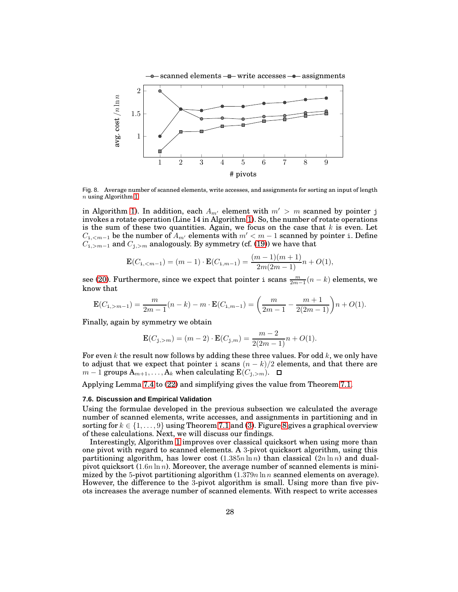

<span id="page-27-0"></span>Fig. 8. Average number of scanned elements, write accesses, and assignments for sorting an input of length n using Algorithm [1.](#page-21-0)

in Algorithm [1\)](#page-21-0). In addition, each  $A_{m'}$  element with  $m' > m$  scanned by pointer j invokes a rotate operation (Line 14 in Algorithm [1\)](#page-21-0). So, the number of rotate operations is the sum of these two quantities. Again, we focus on the case that  $k$  is even. Let  $C_{i,\leq m-1}$  be the number of  $A_{m'}$  elements with  $m' < m-1$  scanned by pointer i. Define  $C_{i,>m-1}$  and  $C_{j,>m}$  analogously. By symmetry (cf. [\(19\)](#page-25-0)) we have that

$$
\mathbf{E}(C_{\mathtt{i},
$$

see [\(20\)](#page-26-0). Furthermore, since we expect that pointer i scans  $\frac{m}{2m-1}(n-k)$  elements, we know that

$$
\mathbf{E}(C_{\mathtt{i},>m-1}) = \frac{m}{2m-1}(n-k) - m \cdot \mathbf{E}(C_{\mathtt{i},m-1}) = \left(\frac{m}{2m-1} - \frac{m+1}{2(2m-1)}\right)n + O(1).
$$

Finally, again by symmetry we obtain

$$
\mathbf{E}(C_{\mathbf{j},>m}) = (m-2) \cdot \mathbf{E}(C_{\mathbf{j},m}) = \frac{m-2}{2(2m-1)}n + O(1).
$$

For even k the result now follows by adding these three values. For odd  $k$ , we only have to adjust that we expect that pointer i scans  $(n - k)/2$  elements, and that there are  $m-1$  groups  $A_{m+1}, \ldots, A_k$  when calculating  $\mathbf{E}(C_{j,>m})$ . □

Applying Lemma [7.4](#page-26-1) to [\(22\)](#page-26-2) and simplifying gives the value from Theorem [7.1.](#page-24-1)

### **7.6. Discussion and Empirical Validation**

Using the formulae developed in the previous subsection we calculated the average number of scanned elements, write accesses, and assignments in partitioning and in sorting for  $k \in \{1, \ldots, 9\}$  using Theorem [7.1](#page-24-1) and [\(3\)](#page-7-0). Figure [8](#page-27-0) gives a graphical overview of these calculations. Next, we will discuss our findings.

Interestingly, Algorithm [1](#page-21-0) improves over classical quicksort when using more than one pivot with regard to scanned elements. A 3-pivot quicksort algorithm, using this partitioning algorithm, has lower cost  $(1.385n \ln n)$  than classical  $(2n \ln n)$  and dualpivot quicksort  $(1.6n \ln n)$ . Moreover, the average number of scanned elements is minimized by the 5-pivot partitioning algorithm  $(1.379n \ln n$  scanned elements on average). However, the difference to the 3-pivot algorithm is small. Using more than five pivots increases the average number of scanned elements. With respect to write accesses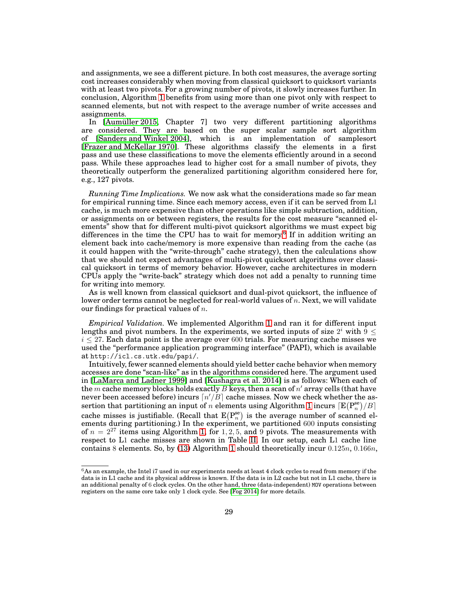and assignments, we see a different picture. In both cost measures, the average sorting cost increases considerably when moving from classical quicksort to quicksort variants with at least two pivots. For a growing number of pivots, it slowly increases further. In conclusion, Algorithm [1](#page-21-0) benefits from using more than one pivot only with respect to scanned elements, but not with respect to the average number of write accesses and assignments.

In [\[Aumüller 2015,](#page-44-20) Chapter 7] two very different partitioning algorithms are considered. They are based on the super scalar sample sort algorithm of [\[Sanders and Winkel 2004\]](#page-45-3), which is an implementation of samplesort [\[Frazer and McKellar 1970\]](#page-44-4). These algorithms classify the elements in a first pass and use these classifications to move the elements efficiently around in a second pass. While these approaches lead to higher cost for a small number of pivots, they theoretically outperform the generalized partitioning algorithm considered here for, e.g., 127 pivots.

*Running Time Implications.* We now ask what the considerations made so far mean for empirical running time. Since each memory access, even if it can be served from L1 cache, is much more expensive than other operations like simple subtraction, addition, or assignments on or between registers, the results for the cost measure "scanned elements" show that for different multi-pivot quicksort algorithms we must expect big differences in the time the CPU has to wait for memory.<sup>[6](#page-28-0)</sup> If in addition writing an element back into cache/memory is more expensive than reading from the cache (as it could happen with the "write-through" cache strategy), then the calculations show that we should not expect advantages of multi-pivot quicksort algorithms over classical quicksort in terms of memory behavior. However, cache architectures in modern CPUs apply the "write-back" strategy which does not add a penalty to running time for writing into memory.

As is well known from classical quicksort and dual-pivot quicksort, the influence of lower order terms cannot be neglected for real-world values of  $n$ . Next, we will validate our findings for practical values of  $n$ .

*Empirical Validation.* We implemented Algorithm [1](#page-21-0) and ran it for different input lengths and pivot numbers. In the experiments, we sorted inputs of size  $2^i$  with  $9 \leq$  $i \leq 27$ . Each data point is the average over 600 trials. For measuring cache misses we used the "performance application programming interface" (PAPI), which is available at http://icl.cs.utk.edu/papi/.

Intuitively, fewer scanned elements should yield better cache behavior when memory accesses are done "scan-like" as in the algorithms considered here. The argument used in [\[LaMarca and Ladner 1999\]](#page-44-11) and [\[Kushagra et al. 2014\]](#page-44-6) is as follows: When each of the  $m$  cache memory blocks holds exactly  $B$  keys, then a scan of  $n^\prime$  array cells (that have never been accessed before) incurs  $\lceil n'/B \rceil$  cache misses. Now we check whether the assertion that partitioning an input of  $n$  elements using Algorithm [1](#page-21-0) incurs  $\lceil \text{E}(\text{P}_n^{\text{se}})/B \rceil$ cache misses is justifiable. (Recall that  $E(P_n^{\text{se}})$  is the average number of scanned elements during partitioning.) In the experiment, we partitioned 600 inputs consisting of  $n = 2^{27}$  items using Algorithm [1,](#page-21-0) for 1, 2, 5, and 9 pivots. The measurements with respect to L1 cache misses are shown in Table [II.](#page-29-0) In our setup, each L1 cache line contains 8 elements. So, by [\(13\)](#page-24-0) Algorithm [1](#page-21-0) should theoretically incur  $0.125n$ ,  $0.166n$ ,

<span id="page-28-0"></span><sup>6</sup>As an example, the Intel i7 used in our experiments needs at least 4 clock cycles to read from memory if the data is in L1 cache and its physical address is known. If the data is in L2 cache but not in L1 cache, there is an additional penalty of 6 clock cycles. On the other hand, three (data-independent) MOV operations between registers on the same core take only 1 clock cycle. See [\[Fog 2014\]](#page-44-23) for more details.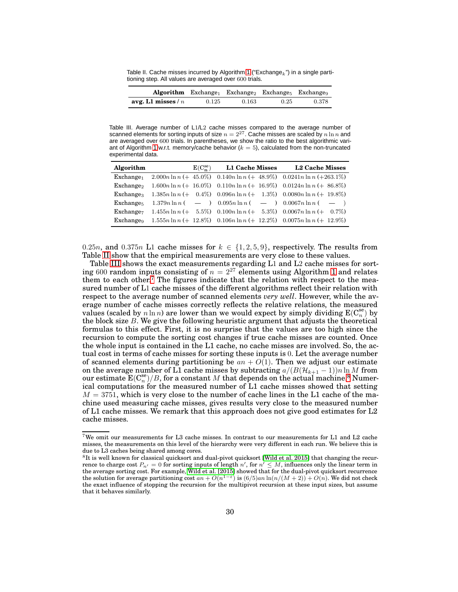<span id="page-29-0"></span>Table II. Cache misses incurred by Algorithm [1](#page-21-0) ("Exchange $_k$ ") in a single partitioning step. All values are averaged over 600 trials.

|                      |       |       | $\bf{Algorithm}$ Exchange Exchange Exchange Exchanges |       |
|----------------------|-------|-------|-------------------------------------------------------|-------|
| avg. L1 misses / $n$ | 0.125 | 0.163 | 0.25                                                  | 0.378 |

<span id="page-29-1"></span>Table III. Average number of L1/L2 cache misses compared to the average number of scanned elements for sorting inputs of size  $n = 2^{27}$ . Cache misses are scaled by  $n \ln n$  and are averaged over 600 trials. In parentheses, we show the ratio to the best algorithmic vari-ant of Algorithm [1](#page-21-0) w.r.t. memory/cache behavior ( $k = 5$ ), calculated from the non-truncated experimental data.

| Algorithm             | $E(C_{n}^{\text{se}})$ | L1 Cache Misses L2 Cache Misses                                                                      |
|-----------------------|------------------------|------------------------------------------------------------------------------------------------------|
| $Exchange_1$          |                        | 2.000n ln n (+ 45.0%) 0.140n ln n (+ 48.9%) 0.0241n ln n (+ 263.1%)                                  |
| Exchange <sub>2</sub> |                        | $1.600n\ln n$ (+ 16.0%) $0.110n\ln n$ (+ 16.9%) $0.0124n\ln n$ (+ 86.8%)                             |
|                       |                        | Exchange <sub>3</sub> $1.385n \ln n (+ 0.4\%) 0.096n \ln n (+ 1.3\%) 0.0080n \ln n (+ 19.8\%)$       |
|                       |                        | Exchange <sub>5</sub> 1.379n $\ln n$ ( - ) 0.095n $\ln n$ ( - ) 0.0067n $\ln n$ ( - )                |
| Exchange <sub>7</sub> |                        | $1.455n\ln n$ (+ 5.5%) $0.100n\ln n$ (+ 5.3%) $0.0067n\ln n$ (+ 0.7%)                                |
|                       |                        | Exchange <sub>9</sub> $1.555n \ln n (+ 12.8\%)$ $0.106n \ln n (+ 12.2\%)$ $0.0075n \ln n (+ 12.9\%)$ |

0.25n, and 0.375n L1 cache misses for  $k \in \{1, 2, 5, 9\}$ , respectively. The results from Table [II](#page-29-0) show that the empirical measurements are very close to these values.

Table [III](#page-29-1) shows the exact measurements regarding L1 and L2 cache misses for sorting 600 random inputs consisting of  $n = 2^{27}$  elements using Algorithm [1](#page-21-0) and relates them to each other.<sup>[7](#page-29-2)</sup> The figures indicate that the relation with respect to the measured number of L1 cache misses of the different algorithms reflect their relation with respect to the average number of scanned elements *very well*. However, while the average number of cache misses correctly reflects the relative relations, the measured values (scaled by  $n \ln n$ ) are lower than we would expect by simply dividing  $E(C_n^s)$  by the block size  $B$ . We give the following heuristic argument that adjusts the theoretical formulas to this effect. First, it is no surprise that the values are too high since the recursion to compute the sorting cost changes if true cache misses are counted. Once the whole input is contained in the L1 cache, no cache misses are involved. So, the actual cost in terms of cache misses for sorting these inputs is 0. Let the average number of scanned elements during partitioning be  $an + O(1)$ . Then we adjust our estimate on the average number of L1 cache misses by subtracting  $a/(B(\mathcal{H}_{k+1}-1))n \ln M$  from our estimate  $\mathbf{E}(\mathbf{C}_n^{\text{se}})/B$ , for a constant M that depends on the actual machine.<sup>[8](#page-29-3)</sup> Numerical computations for the measured number of L1 cache misses showed that setting  $M = 3751$ , which is very close to the number of cache lines in the L1 cache of the machine used measuring cache misses, gives results very close to the measured number of L1 cache misses. We remark that this approach does not give good estimates for L2 cache misses.

<span id="page-29-2"></span> $7\text{We omit our measurements for L3 cache misses.}$  In contrast to our measurements for L1 and L2 cache misses, the measurements on this level of the hierarchy were very different in each run. We believe this is due to L3 caches being shared among cores.

<span id="page-29-3"></span><sup>8</sup> It is well known for classical quicksort and dual-pivot quicksort [\[Wild et al. 2015\]](#page-45-8) that changing the recurrence to charge cost  $P_{n'} = 0$  for sorting inputs of length n', for  $n' \leq M$ , influences only the linear term in the average sorting cost. For example, [Wild et al. \[2015\]](#page-45-8) showed that for the dual-pivot quicksort recurrence the solution for average partitioning cost  $an + O(n^{1-\epsilon})$  is  $(6/5)an \ln(n/(M+2)) + O(n)$ . We did not check the exact influence of stopping the recursion for the multipivot recursion at these input sizes, but assume that it behaves similarly.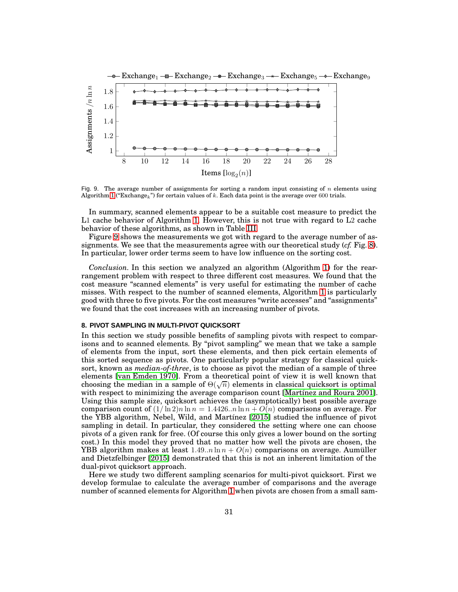

<span id="page-30-1"></span>Fig. 9. The average number of assignments for sorting a random input consisting of  $n$  elements using Algorithm [1](#page-21-0) ("Exchange<sub>k</sub>") for certain values of k. Each data point is the average over 600 trials.

In summary, scanned elements appear to be a suitable cost measure to predict the L1 cache behavior of Algorithm [1.](#page-21-0) However, this is not true with regard to L2 cache behavior of these algorithms, as shown in Table [III.](#page-29-1)

Figure [9](#page-30-1) shows the measurements we got with regard to the average number of assignments. We see that the measurements agree with our theoretical study (*cf.* Fig. [8\)](#page-27-0). In particular, lower order terms seem to have low influence on the sorting cost.

*Conclusion.* In this section we analyzed an algorithm (Algorithm [1\)](#page-21-0) for the rearrangement problem with respect to three different cost measures. We found that the cost measure "scanned elements" is very useful for estimating the number of cache misses. With respect to the number of scanned elements, Algorithm [1](#page-21-0) is particularly good with three to five pivots. For the cost measures "write accesses" and "assignments" we found that the cost increases with an increasing number of pivots.

### <span id="page-30-0"></span>**8. PIVOT SAMPLING IN MULTI-PIVOT QUICKSORT**

In this section we study possible benefits of sampling pivots with respect to comparisons and to scanned elements. By "pivot sampling" we mean that we take a sample of elements from the input, sort these elements, and then pick certain elements of this sorted sequence as pivots. One particularly popular strategy for classical quicksort, known as *median-of-three*, is to choose as pivot the median of a sample of three elements [\[van Emden 1970\]](#page-45-7). From a theoretical point of view it is well known that choosing the median in a sample of  $\Theta(\sqrt{n})$  elements in classical quicksort is optimal with respect to minimizing the average comparison count [\[Martínez and Roura 2001\]](#page-44-1). Using this sample size, quicksort achieves the (asymptotically) best possible average comparison count of  $(1/\ln 2)n \ln n = 1.4426..n \ln n + O(n)$  comparisons on average. For the YBB algorithm, Nebel, Wild, and Martínez [\[2015\]](#page-45-5) studied the influence of pivot sampling in detail. In particular, they considered the setting where one can choose pivots of a given rank for free. (Of course this only gives a lower bound on the sorting cost.) In this model they proved that no matter how well the pivots are chosen, the YBB algorithm makes at least  $1.49..n \ln n + O(n)$  comparisons on average. Aumüller and Dietzfelbinger [\[2015\]](#page-44-7) demonstrated that this is not an inherent limitation of the dual-pivot quicksort approach.

Here we study two different sampling scenarios for multi-pivot quicksort. First we develop formulae to calculate the average number of comparisons and the average number of scanned elements for Algorithm [1](#page-21-0) when pivots are chosen from a small sam-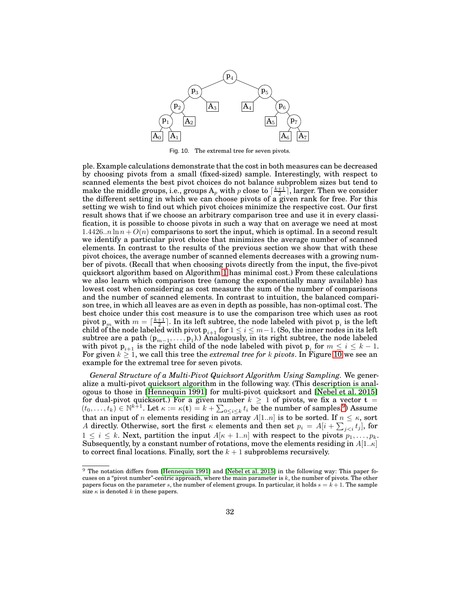

<span id="page-31-0"></span>Fig. 10. The extremal tree for seven pivots.

ple. Example calculations demonstrate that the cost in both measures can be decreased by choosing pivots from a small (fixed-sized) sample. Interestingly, with respect to scanned elements the best pivot choices do not balance subproblem sizes but tend to make the middle groups, i.e., groups  $A_p$  with p close to  $\lceil \frac{k+1}{2} \rceil$ , larger. Then we consider the different setting in which we can choose pivots of a given rank for free. For this setting we wish to find out which pivot choices minimize the respective cost. Our first result shows that if we choose an arbitrary comparison tree and use it in every classification, it is possible to choose pivots in such a way that on average we need at most 1.4426..n  $\ln n + O(n)$  comparisons to sort the input, which is optimal. In a second result we identify a particular pivot choice that minimizes the average number of scanned elements. In contrast to the results of the previous section we show that with these pivot choices, the average number of scanned elements decreases with a growing number of pivots. (Recall that when choosing pivots directly from the input, the five-pivot quicksort algorithm based on Algorithm [1](#page-21-0) has minimal cost.) From these calculations we also learn which comparison tree (among the exponentially many available) has lowest cost when considering as cost measure the sum of the number of comparisons and the number of scanned elements. In contrast to intuition, the balanced comparison tree, in which all leaves are as even in depth as possible, has non-optimal cost. The best choice under this cost measure is to use the comparison tree which uses as root pivot  $p_m$  with  $m = \lceil \frac{k+1}{2} \rceil$ . In its left subtree, the node labeled with pivot  $p_i$  is the left child of the node labeled with pivot  $p_{i+1}$  for  $1 \leq i \leq m-1$ . (So, the inner nodes in its left subtree are a path  $(p_{m-1},...,p_1)$ .) Analogously, in its right subtree, the node labeled with pivot  $p_{i+1}$  is the right child of the node labeled with pivot  $p_i$  for  $m \le i \le k - 1$ . For given  $k \geq 1$ , we call this tree the *extremal tree for*  $k$  *pivots*. In Figure [10](#page-31-0) we see an example for the extremal tree for seven pivots.

*General Structure of a Multi-Pivot Quicksort Algorithm Using Sampling.* We generalize a multi-pivot quicksort algorithm in the following way. (This description is analogous to those in [\[Hennequin 1991\]](#page-44-3) for multi-pivot quicksort and [\[Nebel et al. 2015\]](#page-45-5) for dual-pivot quicksort.) For a given number  $k \geq 1$  of pivots, we fix a vector  $t =$  $(t_0,\ldots,t_k) \in \mathbb{N}^{k+1}$ . Let  $\kappa := \kappa(\mathbf{t}) = k + \sum_{0 \leq i \leq k} t_i$  be the number of samples.<sup>[9](#page-31-1)</sup>) Assume that an input of *n* elements residing in an array  $A[1..n]$  is to be sorted. If  $n \leq \kappa$ , sort A directly. Otherwise, sort the first  $\kappa$  elements and then set  $p_i = A[i + \sum_{j < i} t_j]$ , for  $1 \leq i \leq k$ . Next, partition the input  $A[\kappa + 1..n]$  with respect to the pivots  $p_1, \ldots, p_k$ . Subsequently, by a constant number of rotations, move the elements residing in  $A[1..\kappa]$ to correct final locations. Finally, sort the  $k + 1$  subproblems recursively.

<span id="page-31-1"></span><sup>&</sup>lt;sup>9</sup> The notation differs from [\[Hennequin 1991\]](#page-44-3) and [\[Nebel et al.](#page-45-5) 2015] in the following way: This paper focuses on a "pivot number"-centric approach, where the main parameter is k, the number of pivots. The other papers focus on the parameter s, the number of element groups. In particular, it holds  $s = k + 1$ . The sample size  $\kappa$  is denoted k in these papers.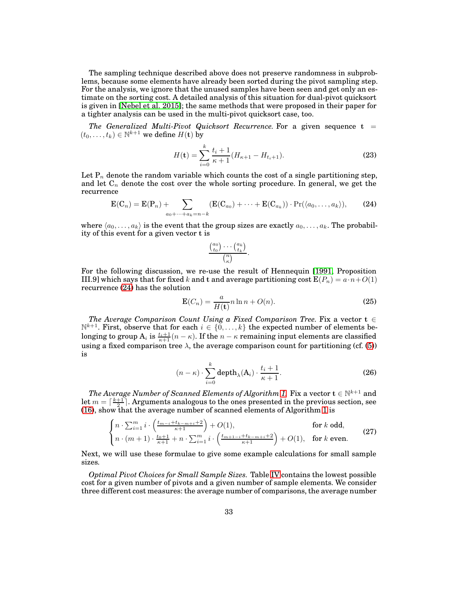The sampling technique described above does not preserve randomness in subproblems, because some elements have already been sorted during the pivot sampling step. For the analysis, we ignore that the unused samples have been seen and get only an estimate on the sorting cost. A detailed analysis of this situation for dual-pivot quicksort is given in [\[Nebel et al. 2015\]](#page-45-5); the same methods that were proposed in their paper for a tighter analysis can be used in the multi-pivot quicksort case, too.

*The Generalized Multi-Pivot Quicksort Recurrence.* For a given sequence  $t =$  $(t_0,\ldots,t_k)\in\mathbb{N}^{k+1}$  we define  $H(\mathbf{t})$  by

$$
H(\mathbf{t}) = \sum_{i=0}^{k} \frac{t_i + 1}{\kappa + 1} (H_{\kappa + 1} - H_{t_i + 1}).
$$
\n(23)

Let  $\mathrm{P}_n$  denote the random variable which counts the cost of a single partitioning step, and let  $\mathrm C_n$  denote the cost over the whole sorting procedure. In general, we get the recurrence

$$
\mathbf{E}(\mathbf{C}_n) = \mathbf{E}(\mathbf{P}_n) + \sum_{a_0 + \dots + a_k = n-k} (\mathbf{E}(\mathbf{C}_{a_0}) + \dots + \mathbf{E}(\mathbf{C}_{a_k})) \cdot \Pr(\langle a_0, \dots, a_k \rangle), \tag{24}
$$

where  $\langle a_0, \ldots, a_k \rangle$  is the event that the group sizes are exactly  $a_0, \ldots, a_k$ . The probability of this event for a given vector t is

<span id="page-32-3"></span><span id="page-32-0"></span>
$$
\frac{\binom{a_0}{t_0}\cdots\binom{a_k}{t_k}}{\binom{n}{\kappa}}.
$$

For the following discussion, we re-use the result of Hennequin [\[1991,](#page-44-3) Proposition III.9] which says that for fixed k and t and average partitioning cost  $E(P_n) = a \cdot n + O(1)$ recurrence [\(24\)](#page-32-0) has the solution

$$
\mathbf{E}(C_n) = \frac{a}{H(\mathbf{t})} n \ln n + O(n). \tag{25}
$$

*The Average Comparison Count Using a Fixed Comparison Tree.* Fix a vector  $t \in$  $\mathbb{N}^{k+1}$ . First, observe that for each  $i \in \{0, \ldots, k\}$  the expected number of elements belonging to group  $\mathrm{A}_i$  is  $\frac{t_i+1}{\kappa+1} (n-\kappa).$  If the  $n-\kappa$  remaining input elements are classified using a fixed comparison tree  $\lambda$ , the average comparison count for partitioning (cf. [\(5\)](#page-9-2)) is

<span id="page-32-2"></span><span id="page-32-1"></span>
$$
(n - \kappa) \cdot \sum_{i=0}^{k} \operatorname{depth}_{\lambda}(A_i) \cdot \frac{t_i + 1}{\kappa + 1}.
$$
 (26)

*The Average Number of Scanned Elements of Algorithm [1.](#page-21-0)* Fix a vector  $\mathbf{t} \in \mathbb{N}^{k+1}$  and let  $m = \lceil \frac{k+1}{2} \rceil$ . Arguments analogous to the ones presented in the previous section, see [\(16\)](#page-24-2), show that the average number of scanned elements of Algorithm [1](#page-21-0) is

$$
\begin{cases} n \cdot \sum_{i=1}^{m} i \cdot \left( \frac{t_{m-i} + t_{k-m+i} + 2}{\kappa + 1} \right) + O(1), & \text{for } k \text{ odd}, \\ n \cdot (m+1) \cdot \frac{t_0 + 1}{\kappa + 1} + n \cdot \sum_{i=1}^{m} i \cdot \left( \frac{t_{m+1-i} + t_{k-m+i} + 2}{\kappa + 1} \right) + O(1), & \text{for } k \text{ even}. \end{cases} \tag{27}
$$

Next, we will use these formulae to give some example calculations for small sample sizes.

*Optimal Pivot Choices for Small Sample Sizes.* Table [IV](#page-34-0) contains the lowest possible cost for a given number of pivots and a given number of sample elements. We consider three different cost measures: the average number of comparisons, the average number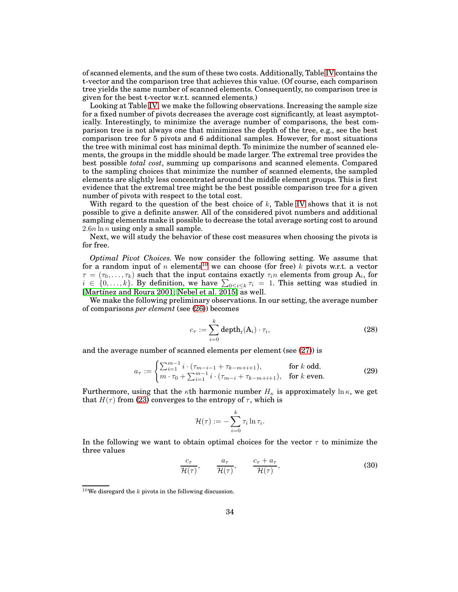of scanned elements, and the sum of these two costs. Additionally, Table [IV](#page-34-0) contains the t-vector and the comparison tree that achieves this value. (Of course, each comparison tree yields the same number of scanned elements. Consequently, no comparison tree is given for the best t-vector w.r.t. scanned elements.)

Looking at Table [IV,](#page-34-0) we make the following observations. Increasing the sample size for a fixed number of pivots decreases the average cost significantly, at least asymptotically. Interestingly, to minimize the average number of comparisons, the best comparison tree is not always one that minimizes the depth of the tree, e.g., see the best comparison tree for 5 pivots and 6 additional samples. However, for most situations the tree with minimal cost has minimal depth. To minimize the number of scanned elements, the groups in the middle should be made larger. The extremal tree provides the best possible *total cost*, summing up comparisons and scanned elements. Compared to the sampling choices that minimize the number of scanned elements, the sampled elements are slightly less concentrated around the middle element groups. This is first evidence that the extremal tree might be the best possible comparison tree for a given number of pivots with respect to the total cost.

With regard to the question of the best choice of  $k$ , Table [IV](#page-34-0) shows that it is not possible to give a definite answer. All of the considered pivot numbers and additional sampling elements make it possible to decrease the total average sorting cost to around  $2.6n \ln n$  using only a small sample.

Next, we will study the behavior of these cost measures when choosing the pivots is for free.

*Optimal Pivot Choices.* We now consider the following setting. We assume that for a random input of n elements<sup>[10](#page-33-0)</sup> we can choose (for free) k pivots w.r.t. a vector  $\tau = (\tau_0, \ldots, \tau_k)$  such that the input contains exactly  $\tau_i n$  elements from group  $\mathbf{A}_i$ , for  $i \in \{0, \ldots, k\}$ . By definition, we have  $\sum_{0 \le i \le k} \tau_i = 1$ . This setting was studied in [\[Martínez and Roura 2001;](#page-44-1) [Nebel et al. 2015\]](#page-45-5) as well.

We make the following preliminary observations. In our setting, the average number of comparisons *per element* (see [\(26\)](#page-32-1)) becomes

<span id="page-33-3"></span>
$$
c_{\tau} := \sum_{i=0}^{k} \operatorname{depth}_{t}(A_{i}) \cdot \tau_{i}, \qquad (28)
$$

and the average number of scanned elements per element (see [\(27\)](#page-32-2)) is

$$
a_{\tau} := \begin{cases} \sum_{i=1}^{m-1} i \cdot (\tau_{m-i-1} + \tau_{k-m+i+1}), & \text{for } k \text{ odd}, \\ m \cdot \tau_0 + \sum_{i=1}^{m-1} i \cdot (\tau_{m-i} + \tau_{k-m+i+1}), & \text{for } k \text{ even}. \end{cases}
$$
(29)

Furthermore, using that the  $\kappa$ th harmonic number  $H_{\kappa}$  is approximately ln  $\kappa$ , we get that  $H(\tau)$  from [\(23\)](#page-32-3) converges to the entropy of  $\tau$ , which is

<span id="page-33-2"></span><span id="page-33-1"></span>
$$
\mathcal{H}(\tau) := -\sum_{i=0}^k \tau_i \ln \tau_i.
$$

In the following we want to obtain optimal choices for the vector  $\tau$  to minimize the three values

$$
\frac{c_{\tau}}{\mathcal{H}(\tau)}, \qquad \frac{a_{\tau}}{\mathcal{H}(\tau)}, \qquad \frac{c_{\tau} + a_{\tau}}{\mathcal{H}(\tau)}, \tag{30}
$$

<span id="page-33-0"></span> $10$ We disregard the k pivots in the following discussion.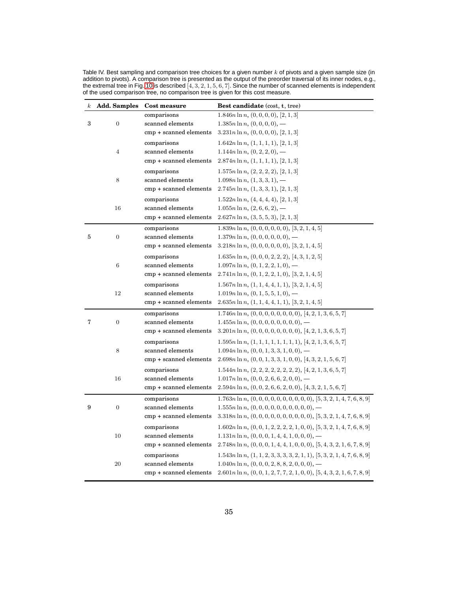<span id="page-34-0"></span>

| Table IV. Best sampling and comparison tree choices for a given number $k$ of pivots and a given sample size (in        |
|-------------------------------------------------------------------------------------------------------------------------|
| addition to pivots). A comparison tree is presented as the output of the preorder traversal of its inner nodes, e.g.,   |
| the extremal tree in Fig. 10 is described $[4, 3, 2, 1, 5, 6, 7]$ . Since the number of scanned elements is independent |
| of the used comparison tree, no comparison tree is given for this cost measure.                                         |

| $\kappa$ | <b>Add. Samples</b> | Cost measure           | Best candidate (cost, t, tree)                                                    |
|----------|---------------------|------------------------|-----------------------------------------------------------------------------------|
|          |                     | comparisons            | $1.846n \ln n, (0, 0, 0, 0), [2, 1, 3]$                                           |
| 3        | $\boldsymbol{0}$    | scanned elements       | $1.385n \ln n, (0,0,0,0), -$                                                      |
|          |                     | cmp + scanned elements | $3.231n \ln n, (0,0,0,0), [2,1,3]$                                                |
|          |                     | comparisons            | $1.642n \ln n, (1, 1, 1, 1), [2, 1, 3]$                                           |
|          | $\overline{4}$      | scanned elements       | $1.144n \ln n, (0, 2, 2, 0), -$                                                   |
|          |                     | cmp + scanned elements | $2.874n \ln n, (1, 1, 1, 1), [2, 1, 3]$                                           |
|          |                     | comparisons            | $1.575n \ln n, (2, 2, 2, 2), [2, 1, 3]$                                           |
|          | 8                   | scanned elements       | $1.098n \ln n, (1, 3, 3, 1), -$                                                   |
|          |                     | cmp + scanned elements | $2.745n \ln n, (1, 3, 3, 1), [2, 1, 3]$                                           |
|          |                     | comparisons            | $1.522n \ln n, (4, 4, 4, 4), [2, 1, 3]$                                           |
|          | 16                  | scanned elements       | $1.055n \ln n, (2, 6, 6, 2), -$                                                   |
|          |                     | cmp + scanned elements | $2.627n \ln n, (3, 5, 5, 3), [2, 1, 3]$                                           |
|          |                     | comparisons            | $1.839n \ln n, (0, 0, 0, 0, 0, 0), [3, 2, 1, 4, 5]$                               |
| 5        | $\boldsymbol{0}$    | scanned elements       | $1.379n \ln n, (0, 0, 0, 0, 0, 0), -$                                             |
|          |                     | cmp + scanned elements | $3.218n \ln n, (0, 0, 0, 0, 0, 0), [3, 2, 1, 4, 5]$                               |
|          |                     | comparisons            | $1.635n \ln n, (0, 0, 0, 2, 2, 2), [4, 3, 1, 2, 5]$                               |
|          | 6                   | scanned elements       | $1.097n \ln n$ , $(0, 1, 2, 2, 1, 0)$ , —                                         |
|          |                     | cmp + scanned elements | $2.741n \ln n, (0, 1, 2, 2, 1, 0), [3, 2, 1, 4, 5]$                               |
|          |                     | comparisons            | $1.567n \ln n, (1, 1, 4, 4, 1, 1), [3, 2, 1, 4, 5]$                               |
|          | 12                  | scanned elements       | $1.019n \ln n, (0, 1, 5, 5, 1, 0), -$                                             |
|          |                     | cmp + scanned elements | $2.635n \ln n, (1, 1, 4, 4, 1, 1), [3, 2, 1, 4, 5]$                               |
|          |                     | comparisons            | $1.746n \ln n, (0, 0, 0, 0, 0, 0, 0, 0), [4, 2, 1, 3, 6, 5, 7]$                   |
| 7        | $\boldsymbol{0}$    | scanned elements       | $1.455n \ln n, (0, 0, 0, 0, 0, 0, 0, 0)$ , —                                      |
|          |                     | cmp + scanned elements | $3.201n \ln n, (0, 0, 0, 0, 0, 0, 0, 0), [4, 2, 1, 3, 6, 5, 7]$                   |
|          |                     | comparisons            | $1.595n \ln n, (1, 1, 1, 1, 1, 1, 1, 1), [4, 2, 1, 3, 6, 5, 7]$                   |
|          | 8                   | scanned elements       | $1.094n \ln n, (0, 0, 1, 3, 3, 1, 0, 0), -$                                       |
|          |                     | cmp + scanned elements | $2.698n \ln n, (0, 0, 1, 3, 3, 1, 0, 0), [4, 3, 2, 1, 5, 6, 7]$                   |
|          |                     | comparisons            | $1.544n \ln n$ , $(2, 2, 2, 2, 2, 2, 2, 2)$ , $[4, 2, 1, 3, 6, 5, 7]$             |
|          | 16                  | scanned elements       | $1.017n \ln n$ , $(0, 0, 2, 6, 6, 2, 0, 0)$ , —                                   |
|          |                     | cmp + scanned elements | $2.594n \ln n, (0, 0, 2, 6, 6, 2, 0, 0), [4, 3, 2, 1, 5, 6, 7]$                   |
|          |                     | comparisons            | $1.763n \ln n, (0, 0, 0, 0, 0, 0, 0, 0, 0, 0, 0), [5, 3, 2, 1, 4, 7, 6, 8, 9]$    |
| 9        | $\mathbf{0}$        | scanned elements       | $1.555n \ln n, (0, 0, 0, 0, 0, 0, 0, 0, 0, 0)$ , —                                |
|          |                     | cmp + scanned elements | $3.318n \ln n, (0, 0, 0, 0, 0, 0, 0, 0, 0, 0, 0), [5, 3, 2, 1, 4, 7, 6, 8, 9]$    |
|          |                     | comparisons            | $1.602n\ln n,$ $(0,0,1,2,2,2,2,1,0,0),$ $[5,3,2,1,4,7,6,8,9]$                     |
|          | 10                  | scanned elements       | $1.131n \ln n, (0, 0, 0, 1, 4, 4, 1, 0, 0, 0), -$                                 |
|          |                     | cmp + scanned elements | $2.748n \ln n$ , $(0, 0, 0, 1, 4, 4, 1, 0, 0, 0)$ , $[5, 4, 3, 2, 1, 6, 7, 8, 9]$ |
|          |                     | comparisons            | $1.543n \ln n, (1, 1, 2, 3, 3, 3, 3, 2, 1, 1), [5, 3, 2, 1, 4, 7, 6, 8, 9]$       |
|          | 20                  | scanned elements       | $1.040n \ln n, (0, 0, 0, 2, 8, 8, 2, 0, 0, 0)$ , —                                |
|          |                     | cmp + scanned elements | $2.601n \ln n$ , $(0, 0, 1, 2, 7, 7, 2, 1, 0, 0)$ , $[5, 4, 3, 2, 1, 6, 7, 8, 9]$ |
|          |                     |                        |                                                                                   |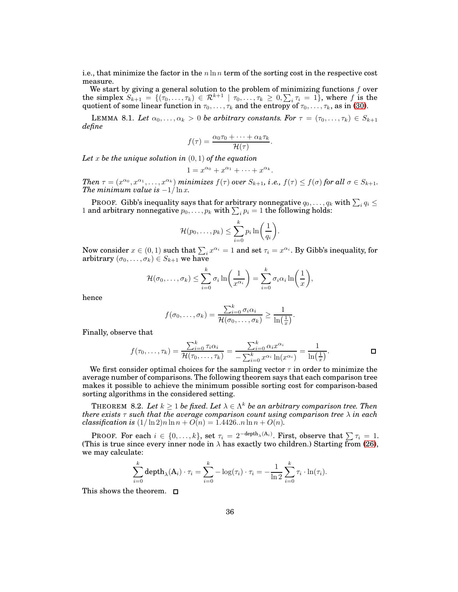i.e., that minimize the factor in the  $n \ln n$  term of the sorting cost in the respective cost measure.

We start by giving a general solution to the problem of minimizing functions  $f$  over the simplex  $S_{k+1} = \{(\tau_0, \ldots, \tau_k) \in \mathcal{R}^{k+1} \mid \tau_0, \ldots, \tau_k \geq 0, \sum_i \tau_i = 1\}$ , where f is the quotient of some linear function in  $\tau_0, \ldots, \tau_k$  and the entropy of  $\tau_0, \ldots, \tau_k$ , as in [\(30\)](#page-33-1).

<span id="page-35-0"></span>**LEMMA** 8.1. Let  $\alpha_0, \ldots, \alpha_k > 0$  be arbitrary constants. For  $\tau = (\tau_0, \ldots, \tau_k) \in S_{k+1}$ *define*

$$
f(\tau) = \frac{\alpha_0 \tau_0 + \dots + \alpha_k \tau_k}{\mathcal{H}(\tau)}.
$$

*Let* x *be the unique solution in* (0, 1) *of the equation*

$$
1 = x^{\alpha_0} + x^{\alpha_1} + \cdots + x^{\alpha_k}.
$$

*Then*  $\tau = (x^{\alpha_0}, x^{\alpha_1}, \dots, x^{\alpha_k})$  *minimizes*  $f(\tau)$  *over*  $S_{k+1}$ *, i.e.,*  $f(\tau) \leq f(\sigma)$  *for all*  $\sigma \in S_{k+1}$ *. The minimum value is*  $-1/\ln x$ *.* 

PROOF. Gibb's inequality says that for arbitrary nonnegative  $q_0, \ldots, q_k$  with  $\sum_i q_i \leq$ 1 and arbitrary nonnegative  $p_0, \ldots, p_k$  with  $\sum_i p_i = 1$  the following holds:

$$
\mathcal{H}(p_0,\ldots,p_k) \leq \sum_{i=0}^k p_i \ln\bigg(\frac{1}{q_i}\bigg).
$$

Now consider  $x \in (0,1)$  such that  $\sum_i x^{\alpha_i} = 1$  and set  $\tau_i = x^{\alpha_i}$ . By Gibb's inequality, for arbitrary  $(\sigma_0, \ldots, \sigma_k) \in S_{k+1}$  we have

$$
\mathcal{H}(\sigma_0,\ldots,\sigma_k) \leq \sum_{i=0}^k \sigma_i \ln\left(\frac{1}{x^{\alpha_i}}\right) = \sum_{i=0}^k \sigma_i \alpha_i \ln\left(\frac{1}{x}\right),
$$

hence

$$
f(\sigma_0,\ldots,\sigma_k)=\frac{\sum_{i=0}^k \sigma_i\alpha_i}{\mathcal{H}(\sigma_0,\ldots,\sigma_k)}\geq \frac{1}{\ln\left(\frac{1}{x}\right)}.
$$

Finally, observe that

$$
f(\tau_0,\ldots,\tau_k)=\frac{\sum_{i=0}^k\tau_i\alpha_i}{\mathcal{H}(\tau_0,\ldots,\tau_k)}=\frac{\sum_{i=0}^k\alpha_ix^{\alpha_i}}{-\sum_{i=0}^kx^{\alpha_i}\ln(x^{\alpha_i})}=\frac{1}{\ln\left(\frac{1}{x}\right)}.
$$

We first consider optimal choices for the sampling vector  $\tau$  in order to minimize the average number of comparisons. The following theorem says that each comparison tree makes it possible to achieve the minimum possible sorting cost for comparison-based sorting algorithms in the considered setting.

THEOREM 8.2. Let  $k \geq 1$  be fixed. Let  $\lambda \in \Lambda^k$  be an arbitrary comparison tree. Then *there exists* τ *such that the average comparison count using comparison tree* λ *in each classification is*  $(1/\ln 2)n \ln n + O(n) = 1.4426..n \ln n + O(n)$ .

**PROOF.** For each  $i \in \{0, \ldots, k\}$ , set  $\tau_i = 2^{-\text{depth}_{\lambda}(A_i)}$ . First, observe that  $\sum \tau_i = 1$ . (This is true since every inner node in  $\lambda$  has exactly two children.) Starting from [\(26\)](#page-32-1), we may calculate:

$$
\sum_{i=0}^k \operatorname{depth}_{\lambda}(A_i) \cdot \tau_i = \sum_{i=0}^k -\log(\tau_i) \cdot \tau_i = -\frac{1}{\ln 2} \sum_{i=0}^k \tau_i \cdot \ln(\tau_i).
$$

This shows the theorem.  $\square$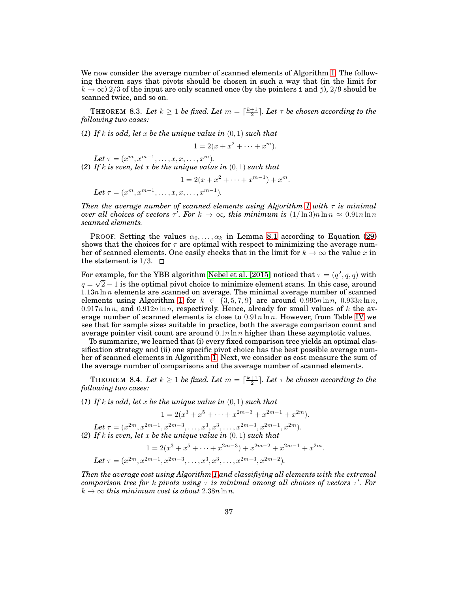We now consider the average number of scanned elements of Algorithm [1.](#page-21-0) The following theorem says that pivots should be chosen in such a way that (in the limit for  $k \to \infty$ ) 2/3 of the input are only scanned once (by the pointers i and j), 2/9 should be scanned twice, and so on.

**THEOREM** 8.3. Let  $k \geq 1$  be fixed. Let  $m = \lceil \frac{k+1}{2} \rceil$ . Let  $\tau$  be chosen according to the *following two cases:*

(*1*) *If* k *is odd, let* x *be the unique value in* (0, 1) *such that*

$$
1 = 2(x + x2 + \dots + xm).
$$

<span id="page-36-0"></span>Let  $\tau = (x^m, x^{m-1}, \dots, x, x, \dots, x^m)$ .

(*2*) *If* k *is even, let* x *be the unique value in* (0, 1) *such that*

$$
1 = 2(x + x^{2} + \dots + x^{m-1}) + x^{m}.
$$

Let  $\tau = (x^m, x^{m-1}, \dots, x, x, \dots, x^{m-1}).$ 

*Then the average number of scanned elements using Algorithm [1](#page-21-0) with*  $\tau$  *is minimal over all choices of vectors*  $\tau'$ *. For*  $k \to \infty$ *, this minimum is*  $(1/\ln 3)n \ln n \approx 0.91n \ln n$ *scanned elements.*

PROOF. Setting the values  $\alpha_0, \ldots, \alpha_k$  in Lemma [8.1](#page-35-0) according to Equation [\(29\)](#page-33-2) shows that the choices for  $\tau$  are optimal with respect to minimizing the average number of scanned elements. One easily checks that in the limit for  $k \to \infty$  the value x in the statement is  $1/3$ .  $\Box$ 

For example, for the YBB algorithm [Nebel et al. \[2015\]](#page-45-5) noticed that  $\tau = (q^2,q,q)$  with  $q = \sqrt{2} - 1$  is the optimal pivot choice to minimize element scans. In this case, around  $1.13n \ln n$  elements are scanned on average. The minimal average number of scanned elements using Algorithm [1](#page-21-0) for  $k \in \{3, 5, 7, 9\}$  are around  $0.995n \ln n$ ,  $0.933n \ln n$ ,  $0.917n \ln n$ , and  $0.912n \ln n$ , respectively. Hence, already for small values of k the average number of scanned elements is close to  $0.91n \ln n$ . However, from Table [IV](#page-34-0) we see that for sample sizes suitable in practice, both the average comparison count and average pointer visit count are around  $0.1n \ln n$  higher than these asymptotic values.

To summarize, we learned that (i) every fixed comparison tree yields an optimal classification strategy and (ii) one specific pivot choice has the best possible average number of scanned elements in Algorithm [1.](#page-21-0) Next, we consider as cost measure the sum of the average number of comparisons and the average number of scanned elements.

**THEOREM** 8.4. Let  $k \geq 1$  be fixed. Let  $m = \lceil \frac{k+1}{2} \rceil$ . Let  $\tau$  be chosen according to the *following two cases:*

(*1*) *If* k *is odd, let* x *be the unique value in* (0, 1) *such that*

$$
1 = 2(x^{3} + x^{5} + \dots + x^{2m-3} + x^{2m-1} + x^{2m}).
$$

Let  $\tau = (x^{2m}, x^{2m-1}, x^{2m-3}, \dots, x^3, x^3, \dots, x^{2m-3}, x^{2m-1}, x^{2m}).$ (*2*) *If* k *is even, let* x *be the unique value in* (0, 1) *such that*

$$
1 = 2(x^3 + x^5 + \dots + x^{2m-3}) + x^{2m-2} + x^{2m-1} + x^{2m}.
$$
  
Let  $\tau = (x^{2m}, x^{2m-1}, x^{2m-3}, \dots, x^3, x^3, \dots, x^{2m-3}, x^{2m-2}).$ 

*Then the average cost using Algorithm [1](#page-21-0) and classifiying all elements with the extremal comparison tree for* k *pivots using* τ *is minimal among all choices of vectors* τ ′ *. For*  $k \to \infty$  *this minimum cost is about* 2.38*n* ln *n*.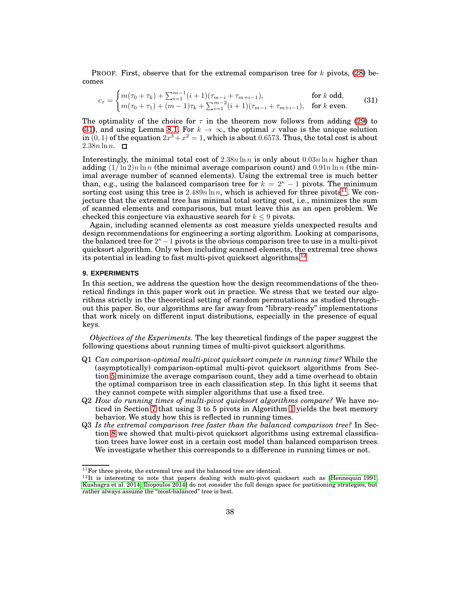**PROOF.** First, observe that for the extremal comparison tree for  $k$  pivots, [\(28\)](#page-33-3) becomes

<span id="page-37-1"></span>
$$
c_{\tau} = \begin{cases} m(\tau_0 + \tau_k) + \sum_{i=1}^{m-1} (i+1)(\tau_{m-i} + \tau_{m+i-1}), & \text{for } k \text{ odd}, \\ m(\tau_0 + \tau_1) + (m-1)\tau_k + \sum_{i=1}^{m-2} (i+1)(\tau_{m-i} + \tau_{m+i-1}), & \text{for } k \text{ even}. \end{cases}
$$
(31)

The optimality of the choice for  $\tau$  in the theorem now follows from adding [\(29\)](#page-33-2) to [\(31\)](#page-37-1), and using Lemma [8.1.](#page-35-0) For  $k \to \infty$ , the optimal x value is the unique solution in  $(0,1)$  of the equation  $2x^3 + x^2 = 1$ , which is about 0.6573. Thus, the total cost is about  $2.38n \ln n$ .  $\Box$ 

Interestingly, the minimal total cost of  $2.38n \ln n$  is only about  $0.03n \ln n$  higher than adding  $(1/\ln 2)n \ln n$  (the minimal average comparison count) and  $0.91n \ln n$  (the minimal average number of scanned elements). Using the extremal tree is much better than, e.g., using the balanced comparison tree for  $k = 2<sup>\kappa</sup> - 1$  pivots. The minimum sorting cost using this tree is  $2.489n \ln n$ , which is achieved for three pivots<sup>[11](#page-37-2)</sup>. We conjecture that the extremal tree has minimal total sorting cost, i.e., minimizes the sum of scanned elements and comparisons, but must leave this as an open problem. We checked this conjecture via exhaustive search for  $k \leq 9$  pivots.

Again, including scanned elements as cost measure yields unexpected results and design recommendations for engineering a sorting algorithm. Looking at comparisons, the balanced tree for  $2<sup>κ</sup> - 1$  pivots is the obvious comparison tree to use in a multi-pivot quicksort algorithm. Only when including scanned elements, the extremal tree shows its potential in leading to fast multi-pivot quicksort algorithms.<sup>[12](#page-37-3)</sup>

### <span id="page-37-0"></span>**9. EXPERIMENTS**

In this section, we address the question how the design recommendations of the theoretical findings in this paper work out in practice. We stress that we tested our algorithms strictly in the theoretical setting of random permutations as studied throughout this paper. So, our algorithms are far away from "library-ready" implementations that work nicely on different input distributions, especially in the presence of equal keys.

*Objectives of the Experiments.* The key theoretical findings of the paper suggest the following questions about running times of multi-pivot quicksort algorithms.

- Q1 *Can comparison-optimal multi-pivot quicksort compete in running time?* While the (asymptotically) comparison-optimal multi-pivot quicksort algorithms from Section [5](#page-13-0) minimize the average comparison count, they add a time overhead to obtain the optimal comparison tree in each classification step. In this light it seems that they cannot compete with simpler algorithms that use a fixed tree.
- Q2 *How do running times of multi-pivot quicksort algorithms compare?* We have noticed in Section [7](#page-18-0) that using 3 to 5 pivots in Algorithm [1](#page-21-0) yields the best memory behavior. We study how this is reflected in running times.
- Q3 *Is the extremal comparison tree faster than the balanced comparison tree?* In Section [8](#page-30-0) we showed that multi-pivot quicksort algorithms using extremal classification trees have lower cost in a certain cost model than balanced comparison trees. We investigate whether this corresponds to a difference in running times or not.

 $^{11}\mathrm{For}$  three pivots, the extremal tree and the balanced tree are identical.

<span id="page-37-3"></span><span id="page-37-2"></span> $12$ It is interesting to note that papers dealing with multi-pivot quicksort such as [\[Hennequin 1991;](#page-44-3) [Kushagra et al. 2014;](#page-44-6) [Iliopoulos 2014\]](#page-44-13) do not consider the full design space for partitioning strategies, but rather always assume the "most-balanced" tree is best.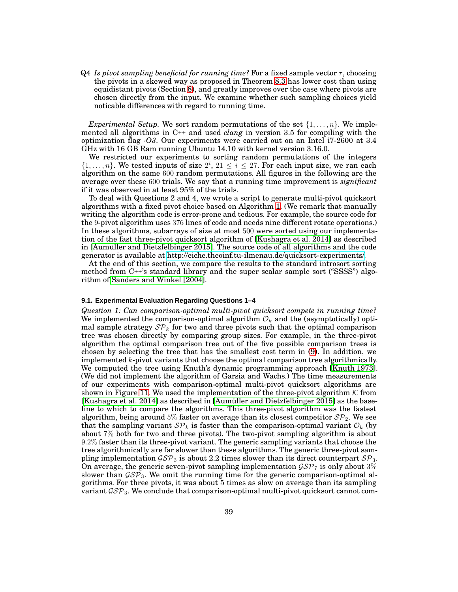Q4 *Is pivot sampling beneficial for running time?* For a fixed sample vector  $\tau$ , choosing the pivots in a skewed way as proposed in Theorem [8.3](#page-36-0) has lower cost than using equidistant pivots (Section [8\)](#page-30-0), and greatly improves over the case where pivots are chosen directly from the input. We examine whether such sampling choices yield noticable differences with regard to running time.

*Experimental Setup.* We sort random permutations of the set  $\{1, \ldots, n\}$ . We implemented all algorithms in C++ and used *clang* in version 3.5 for compiling with the optimization flag *-O3*. Our experiments were carried out on an Intel i7-2600 at 3.4 GHz with 16 GB Ram running Ubuntu 14.10 with kernel version 3.16.0.

We restricted our experiments to sorting random permutations of the integers  $\{1, \ldots, n\}$ . We tested inputs of size  $2^i$ ,  $21 \le i \le 27$ . For each input size, we ran each algorithm on the same 600 random permutations. All figures in the following are the average over these 600 trials. We say that a running time improvement is *significant* if it was observed in at least 95% of the trials.

To deal with Questions 2 and 4, we wrote a script to generate multi-pivot quicksort algorithms with a fixed pivot choice based on Algorithm [1.](#page-21-0) (We remark that manually writing the algorithm code is error-prone and tedious. For example, the source code for the 9-pivot algorithm uses 376 lines of code and needs nine different rotate operations.) In these algorithms, subarrays of size at most 500 were sorted using our implementation of the fast three-pivot quicksort algorithm of [\[Kushagra et al. 2014\]](#page-44-6) as described in [\[Aumüller and Dietzfelbinger 2015\]](#page-44-7). The source code of all algorithms and the code generator is available at [http://eiche.theoinf.tu-ilmenau.de/quicksort-experiments/.](http://eiche.theoinf.tu-ilmenau.de/quicksort-experiments/)

At the end of this section, we compare the results to the standard introsort sorting method from C++'s standard library and the super scalar sample sort ("SSSS") algorithm of [Sanders and Winkel \[2004\]](#page-45-3).

#### **9.1. Experimental Evaluation Regarding Questions 1–4**

*Question 1: Can comparison-optimal multi-pivot quicksort compete in running time?* We implemented the comparison-optimal algorithm  $\mathcal{O}_k$  and the (asymptotically) optimal sample strategy  $\mathcal{SP}_k$  for two and three pivots such that the optimal comparison tree was chosen directly by comparing group sizes. For example, in the three-pivot algorithm the optimal comparison tree out of the five possible comparison trees is chosen by selecting the tree that has the smallest cost term in [\(9\)](#page-13-1). In addition, we implemented  $k$ -pivot variants that choose the optimal comparison tree algorithmically. We computed the tree using Knuth's dynamic programming approach [\[Knuth 1973\]](#page-44-15). (We did not implement the algorithm of Garsia and Wachs.) The time measurements of our experiments with comparison-optimal multi-pivot quicksort algorithms are shown in Figure [11.](#page-39-0) We used the implementation of the three-pivot algorithm  $K$  from [\[Kushagra et al. 2014\]](#page-44-6) as described in [\[Aumüller and Dietzfelbinger 2015\]](#page-44-7) as the baseline to which to compare the algorithms. This three-pivot algorithm was the fastest algorithm, being around 5% faster on average than its closest competitor  $\mathcal{SP}_2$ . We see that the sampling variant  $\mathcal{SP}_k$  is faster than the comparison-optimal variant  $\mathcal{O}_k$  (by about 7% both for two and three pivots). The two-pivot sampling algorithm is about 9.2% faster than its three-pivot variant. The generic sampling variants that choose the tree algorithmically are far slower than these algorithms. The generic three-pivot sampling implementation  $\mathcal{GSP}_3$  is about 2.2 times slower than its direct counterpart  $\mathcal{SP}_3$ . On average, the generic seven-pivot sampling implementation  $\mathcal{GSP}_7$  is only about 3% slower than  $\mathcal{GSP}_3$ . We omit the running time for the generic comparison-optimal algorithms. For three pivots, it was about 5 times as slow on average than its sampling variant  $\mathcal{GSP}_3$ . We conclude that comparison-optimal multi-pivot quicksort cannot com-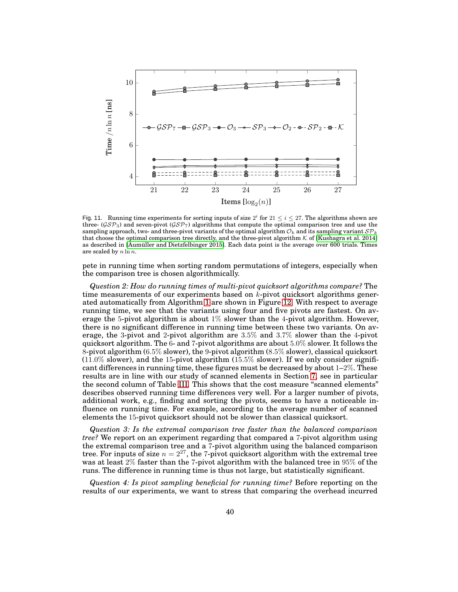

<span id="page-39-0"></span>Fig. 11. Running time experiments for sorting inputs of size  $2^i$  for  $21 \le i \le 27$ . The algorithms shown are three- ( $\mathcal{GSP}_3$ ) and seven-pivot ( $\mathcal{GSP}_7$ ) algorithms that compute the optimal comparison tree and use the sampling approach, two- and three-pivot variants of the optimal algorithm  $\mathcal{O}_k$  and its sampling variant  $\mathcal{SP}_k$ that choose the optimal comparison tree directly, and the three-pivot algorithm  $K$  of [\[Kushagra et al. 2014\]](#page-44-6) as described in [\[Aumüller and Dietzfelbinger 2015\]](#page-44-7). Each data point is the average over 600 trials. Times are scaled by  $n \ln n$ .

pete in running time when sorting random permutations of integers, especially when the comparison tree is chosen algorithmically.

*Question 2: How do running times of multi-pivot quicksort algorithms compare?* The time measurements of our experiments based on  $k$ -pivot quicksort algorithms generated automatically from Algorithm [1](#page-21-0) are shown in Figure [12.](#page-40-0) With respect to average running time, we see that the variants using four and five pivots are fastest. On average the 5-pivot algorithm is about  $1\%$  slower than the 4-pivot algorithm. However, there is no significant difference in running time between these two variants. On average, the 3-pivot and 2-pivot algorithm are 3.5% and 3.7% slower than the 4-pivot quicksort algorithm. The 6- and 7-pivot algorithms are about 5.0% slower. It follows the 8-pivot algorithm (6.5% slower), the 9-pivot algorithm (8.5% slower), classical quicksort  $(11.0\%$  slower), and the 15-pivot algorithm  $(15.5\%$  slower). If we only consider significant differences in running time, these figures must be decreased by about  $1-2\%$ . These results are in line with our study of scanned elements in Section [7,](#page-18-0) see in particular the second column of Table [III.](#page-29-1) This shows that the cost measure "scanned elements" describes observed running time differences very well. For a larger number of pivots, additional work, e.g., finding and sorting the pivots, seems to have a noticeable influence on running time. For example, according to the average number of scanned elements the 15-pivot quicksort should not be slower than classical quicksort.

*Question 3: Is the extremal comparison tree faster than the balanced comparison tree?* We report on an experiment regarding that compared a 7-pivot algorithm using the extremal comparison tree and a 7-pivot algorithm using the balanced comparison tree. For inputs of size  $n = 2^{27}$ , the 7-pivot quicksort algorithm with the extremal tree was at least 2% faster than the 7-pivot algorithm with the balanced tree in 95% of the runs. The difference in running time is thus not large, but statistically significant.

*Question 4: Is pivot sampling beneficial for running time?* Before reporting on the results of our experiments, we want to stress that comparing the overhead incurred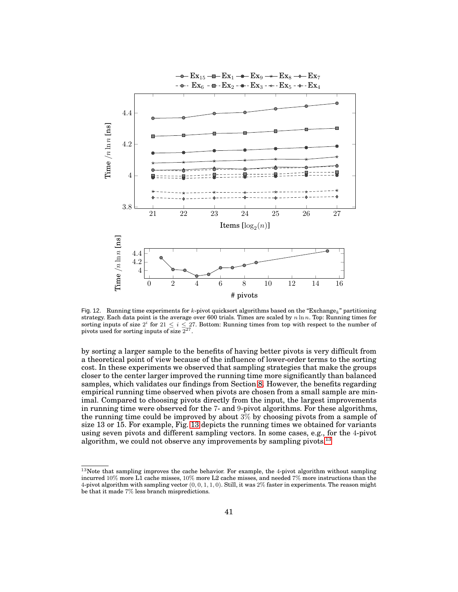

<span id="page-40-0"></span>Fig. 12. Running time experiments for k-pivot quicksort algorithms based on the "Exchange<sub>k</sub>" partitioning strategy. Each data point is the average over 600 trials. Times are scaled by  $n \ln n$ . Top: Running times for sorting inputs of size  $2^i$  for  $21 \leq i \leq 27$ . Bottom: Running times from top with respect to the number of pivots used for sorting inputs of size  $2^{27}$ .

by sorting a larger sample to the benefits of having better pivots is very difficult from a theoretical point of view because of the influence of lower-order terms to the sorting cost. In these experiments we observed that sampling strategies that make the groups closer to the center larger improved the running time more significantly than balanced samples, which validates our findings from Section [8.](#page-30-0) However, the benefits regarding empirical running time observed when pivots are chosen from a small sample are minimal. Compared to choosing pivots directly from the input, the largest improvements in running time were observed for the 7- and 9-pivot algorithms. For these algorithms, the running time could be improved by about 3% by choosing pivots from a sample of size 13 or 15. For example, Fig. [13](#page-41-0) depicts the running times we obtained for variants using seven pivots and different sampling vectors. In some cases, e.g., for the 4-pivot algorithm, we could not observe any improvements by sampling pivots.<sup>[13](#page-40-1)</sup>

<span id="page-40-1"></span><sup>&</sup>lt;sup>13</sup>Note that sampling improves the cache behavior. For example, the 4-pivot algorithm without sampling incurred 10% more L1 cache misses, 10% more L2 cache misses, and needed 7% more instructions than the 4-pivot algorithm with sampling vector  $(0, 0, 1, 1, 0)$ . Still, it was  $2\%$  faster in experiments. The reason might be that it made 7% less branch mispredictions.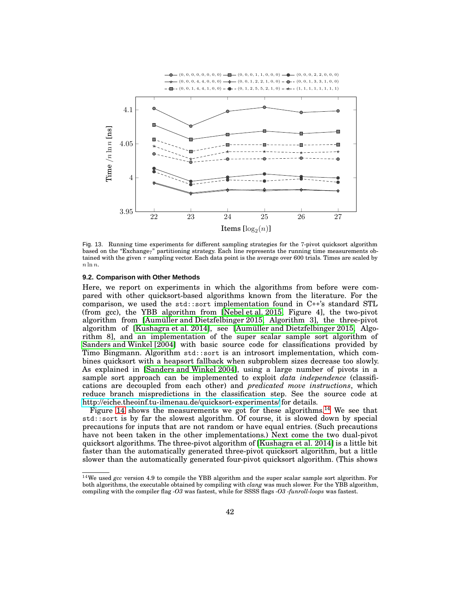

<span id="page-41-0"></span>Fig. 13. Running time experiments for different sampling strategies for the 7-pivot quicksort algorithm based on the "Exchange<sub>7</sub>" partitioning strategy. Each line represents the running time measurements obtained with the given  $\tau$  sampling vector. Each data point is the average over 600 trials. Times are scaled by  $n \ln n$ .

#### **9.2. Comparison with Other Methods**

Here, we report on experiments in which the algorithms from before were compared with other quicksort-based algorithms known from the literature. For the comparison, we used the std::sort implementation found in C++'s standard STL (from gcc), the YBB algorithm from [\[Nebel et al. 2015,](#page-45-5) Figure 4], the two-pivot algorithm from [\[Aumüller and Dietzfelbinger 2015,](#page-44-7) Algorithm 3], the three-pivot algorithm of [\[Kushagra et al. 2014\]](#page-44-6), see [\[Aumüller and Dietzfelbinger 2015,](#page-44-7) Algorithm 8], and an implementation of the super scalar sample sort algorithm of [Sanders and Winkel \[2004\]](#page-45-3) with basic source code for classifications provided by Timo Bingmann. Algorithm std::sort is an introsort implementation, which combines quicksort with a heapsort fallback when subproblem sizes decrease too slowly. As explained in [\[Sanders and Winkel 2004\]](#page-45-3), using a large number of pivots in a sample sort approach can be implemented to exploit *data independence* (classifications are decoupled from each other) and *predicated move instructions*, which reduce branch mispredictions in the classification step. See the source code at <http://eiche.theoinf.tu-ilmenau.de/quicksort-experiments/> for details.

Figure [14](#page-42-0) shows the measurements we got for these algorithms.<sup>[14](#page-41-1)</sup> We see that std::sort is by far the slowest algorithm. Of course, it is slowed down by special precautions for inputs that are not random or have equal entries. (Such precautions have not been taken in the other implementations.) Next come the two dual-pivot quicksort algorithms. The three-pivot algorithm of [\[Kushagra et al. 2014\]](#page-44-6) is a little bit faster than the automatically generated three-pivot quicksort algorithm, but a little slower than the automatically generated four-pivot quicksort algorithm. (This shows

<span id="page-41-1"></span><sup>14</sup>We used *gcc* version 4.9 to compile the YBB algorithm and the super scalar sample sort algorithm. For both algorithms, the executable obtained by compiling with *clang* was much slower. For the YBB algorithm, compiling with the compiler flag *-O3* was fastest, while for SSSS flags *-O3 -funroll-loops* was fastest.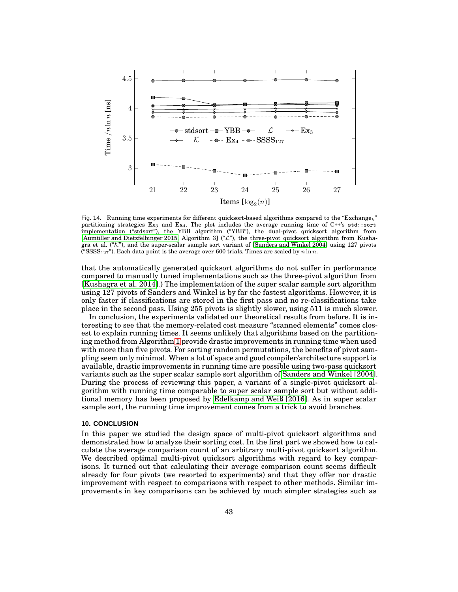

<span id="page-42-0"></span>Fig. 14. Running time experiments for different quicksort-based algorithms compared to the "Exchange<sub>k</sub>" partitioning strategies  $Ex_3$  and  $Ex_4$ . The plot includes the average running time of  $C++s$  std::sort implementation ("stdsort"), the YBB algorithm ("YBB"), the dual-pivot quicksort algorithm from [\[Aumüller and Dietzfelbinger 2015,](#page-44-7) Algorithm 3] ("L"), the three-pivot quicksort algorithm from Kushagra et al. ("K"), and the super-scalar sample sort variant of [\[Sanders and](#page-45-3) Winkel 2004] using 127 pivots ("SSSS<sub>127</sub>"). Each data point is the average over 600 trials. Times are scaled by  $n \ln n$ .

that the automatically generated quicksort algorithms do not suffer in performance compared to manually tuned implementations such as the three-pivot algorithm from [\[Kushagra et al. 2014\]](#page-44-6).) The implementation of the super scalar sample sort algorithm using 127 pivots of Sanders and Winkel is by far the fastest algorithms. However, it is only faster if classifications are stored in the first pass and no re-classifications take place in the second pass. Using 255 pivots is slightly slower, using 511 is much slower.

In conclusion, the experiments validated our theoretical results from before. It is interesting to see that the memory-related cost measure "scanned elements" comes closest to explain running times. It seems unlikely that algorithms based on the partitioning method from Algorithm [1](#page-21-0) provide drastic improvements in running time when used with more than five pivots. For sorting random permutations, the benefits of pivot sampling seem only minimal. When a lot of space and good compiler/architecture support is available, drastic improvements in running time are possible using two-pass quicksort variants such as the super scalar sample sort algorithm of [Sanders and Winkel \[2004\]](#page-45-3). During the process of reviewing this paper, a variant of a single-pivot quicksort algorithm with running time comparable to super scalar sample sort but without additional memory has been proposed by [Edelkamp and Weiß \[2016\]](#page-44-24). As in super scalar sample sort, the running time improvement comes from a trick to avoid branches.

### **10. CONCLUSION**

In this paper we studied the design space of multi-pivot quicksort algorithms and demonstrated how to analyze their sorting cost. In the first part we showed how to calculate the average comparison count of an arbitrary multi-pivot quicksort algorithm. We described optimal multi-pivot quicksort algorithms with regard to key comparisons. It turned out that calculating their average comparison count seems difficult already for four pivots (we resorted to experiments) and that they offer nor drastic improvement with respect to comparisons with respect to other methods. Similar improvements in key comparisons can be achieved by much simpler strategies such as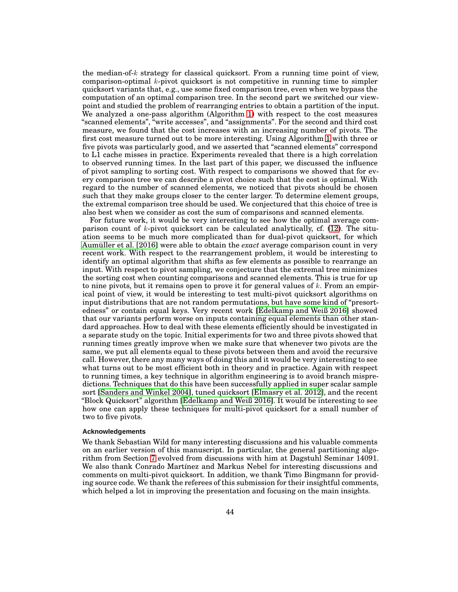the median-of- $k$  strategy for classical quicksort. From a running time point of view, comparison-optimal  $k$ -pivot quicksort is not competitive in running time to simpler quicksort variants that, e.g., use some fixed comparison tree, even when we bypass the computation of an optimal comparison tree. In the second part we switched our viewpoint and studied the problem of rearranging entries to obtain a partition of the input. We analyzed a one-pass algorithm (Algorithm [1\)](#page-21-0) with respect to the cost measures "scanned elements", "write accesses", and "assignments". For the second and third cost measure, we found that the cost increases with an increasing number of pivots. The first cost measure turned out to be more interesting. Using Algorithm [1](#page-21-0) with three or five pivots was particularly good, and we asserted that "scanned elements" correspond to L1 cache misses in practice. Experiments revealed that there is a high correlation to observed running times. In the last part of this paper, we discussed the influence of pivot sampling to sorting cost. With respect to comparisons we showed that for every comparison tree we can describe a pivot choice such that the cost is optimal. With regard to the number of scanned elements, we noticed that pivots should be chosen such that they make groups closer to the center larger. To determine element groups, the extremal comparison tree should be used. We conjectured that this choice of tree is also best when we consider as cost the sum of comparisons and scanned elements.

For future work, it would be very interesting to see how the optimal average comparison count of k-pivot quicksort can be calculated analytically, cf.  $(12)$ . The situation seems to be much more complicated than for dual-pivot quicksort, for which [Aumüller et al. \[2016\]](#page-44-25) were able to obtain the *exact* average comparison count in very recent work. With respect to the rearrangement problem, it would be interesting to identify an optimal algorithm that shifts as few elements as possible to rearrange an input. With respect to pivot sampling, we conjecture that the extremal tree minimizes the sorting cost when counting comparisons and scanned elements. This is true for up to nine pivots, but it remains open to prove it for general values of  $k$ . From an empirical point of view, it would be interesting to test multi-pivot quicksort algorithms on input distributions that are not random permutations, but have some kind of "presortedness" or contain equal keys. Very recent work [\[Edelkamp and Weiß 2016\]](#page-44-24) showed that our variants perform worse on inputs containing equal elements than other standard approaches. How to deal with these elements efficiently should be investigated in a separate study on the topic. Initial experiments for two and three pivots showed that running times greatly improve when we make sure that whenever two pivots are the same, we put all elements equal to these pivots between them and avoid the recursive call. However, there any many ways of doing this and it would be very interesting to see what turns out to be most efficient both in theory and in practice. Again with respect to running times, a key technique in algorithm engineering is to avoid branch mispredictions. Techniques that do this have been successfully applied in super scalar sample sort [\[Sanders and Winkel 2004\]](#page-45-3), tuned quicksort [\[Elmasry et](#page-44-26) al. 2012], and the recent "Block Quicksort" algorithm [\[Edelkamp and Weiß 2016\]](#page-44-24). It would be interesting to see how one can apply these techniques for multi-pivot quicksort for a small number of two to five pivots.

### **Acknowledgements**

We thank Sebastian Wild for many interesting discussions and his valuable comments on an earlier version of this manuscript. In particular, the general partitioning algorithm from Section [7](#page-18-0) evolved from discussions with him at Dagstuhl Seminar 14091. We also thank Conrado Martínez and Markus Nebel for interesting discussions and comments on multi-pivot quicksort. In addition, we thank Timo Bingmann for providing source code. We thank the referees of this submission for their insightful comments, which helped a lot in improving the presentation and focusing on the main insights.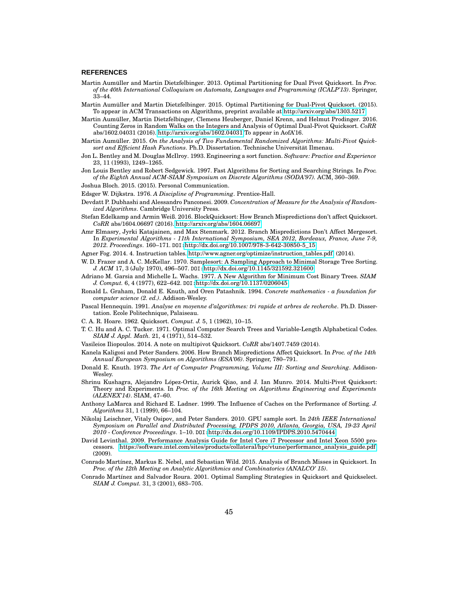#### **REFERENCES**

- <span id="page-44-10"></span>Martin Aumüller and Martin Dietzfelbinger. 2013. Optimal Partitioning for Dual Pivot Quicksort. In *Proc. of the 40th International Colloquium on Automata, Languages and Programming (ICALP'13)*. Springer, 33–44.
- <span id="page-44-7"></span>Martin Aumüller and Martin Dietzfelbinger. 2015. Optimal Partitioning for Dual-Pivot Quicksort. (2015). To appear in ACM Transactions on Algorithms, preprint available at [http://arxiv.org/abs/1303.5217.](http://arxiv.org/abs/1303.5217)
- <span id="page-44-25"></span>Martin Aumüller, Martin Dietzfelbinger, Clemens Heuberger, Daniel Krenn, and Helmut Prodinger. 2016. Counting Zeros in Random Walks on the Integers and Analysis of Optimal Dual-Pivot Quicksort. *CoRR* abs/1602.04031 (2016).<http://arxiv.org/abs/1602.04031> To appear in AofA'16.
- <span id="page-44-20"></span>Martin Aumüller. 2015. *On the Analysis of Two Fundamental Randomized Algorithms: Multi-Pivot Quicksort and Efficient Hash Functions*. Ph.D. Dissertation. Technische Universität Ilmenau.
- <span id="page-44-12"></span>Jon L. Bentley and M. Douglas McIlroy. 1993. Engineering a sort function. *Software: Practice and Experience* 23, 11 (1993), 1249–1265.
- <span id="page-44-2"></span>Jon Louis Bentley and Robert Sedgewick. 1997. Fast Algorithms for Sorting and Searching Strings. In *Proc. of the Eighth Annual ACM-SIAM Symposium on Discrete Algorithms (SODA'97).* ACM, 360–369.
- <span id="page-44-9"></span>Joshua Bloch. 2015. (2015). Personal Communication.
- <span id="page-44-21"></span>Edsger W. Dijkstra. 1976. *A Discipline of Programming*. Prentice-Hall.
- <span id="page-44-14"></span>Devdatt P. Dubhashi and Alessandro Panconesi. 2009. *Concentration of Measure for the Analysis of Randomized Algorithms*. Cambridge University Press.
- <span id="page-44-24"></span>Stefan Edelkamp and Armin Weiß. 2016. BlockQuicksort: How Branch Mispredictions don't affect Quicksort. *CoRR* abs/1604.06697 (2016).<http://arxiv.org/abs/1604.06697>
- <span id="page-44-26"></span>Amr Elmasry, Jyrki Katajainen, and Max Stenmark. 2012. Branch Mispredictions Don't Affect Mergesort. In *Experimental Algorithms - 11th International Symposium, SEA 2012, Bordeaux, France, June 7-9, 2012. Proceedings*. 160–171. DOI:[http://dx.doi.org/10.1007/978-3-642-30850-5\\_15](http://dx.doi.org/10.1007/978-3-642-30850-5_15)
- <span id="page-44-23"></span>Agner Fog. 2014. 4. Instruction tables. [http://www.agner.org/optimize/instruction\\_tables.pdf.](http://www.agner.org/optimize/instruction_tables.pdf) (2014).
- <span id="page-44-4"></span>W. D. Frazer and A. C. McKellar. 1970. Samplesort: A Sampling Approach to Minimal Storage Tree Sorting. *J. ACM* 17, 3 (July 1970), 496–507. DOI:<http://dx.doi.org/10.1145/321592.321600>
- <span id="page-44-17"></span>Adriano M. Garsia and Michelle L. Wachs. 1977. A New Algorithm for Minimum Cost Binary Trees. *SIAM J. Comput.* 6, 4 (1977), 622–642. DOI:<http://dx.doi.org/10.1137/0206045>
- <span id="page-44-22"></span>Ronald L. Graham, Donald E. Knuth, and Oren Patashnik. 1994. *Concrete mathematics - a foundation for computer science (2. ed.)*. Addison-Wesley.
- <span id="page-44-3"></span>Pascal Hennequin. 1991. *Analyse en moyenne d'algorithmes: tri rapide et arbres de recherche*. Ph.D. Dissertation. Ecole Politechnique, Palaiseau.
- <span id="page-44-0"></span>C. A. R. Hoare. 1962. Quicksort. *Comput. J.* 5, 1 (1962), 10–15.
- <span id="page-44-16"></span>T. C. Hu and A. C. Tucker. 1971. Optimal Computer Search Trees and Variable-Length Alphabetical Codes. *SIAM J. Appl. Math.* 21, 4 (1971), 514–532.
- <span id="page-44-13"></span>Vasileios Iliopoulos. 2014. A note on multipivot Quicksort. *CoRR* abs/1407.7459 (2014).
- <span id="page-44-18"></span>Kanela Kaligosi and Peter Sanders. 2006. How Branch Mispredictions Affect Quicksort. In *Proc. of the 14th Annual European Symposium on Algorithms (ESA'06)*. Springer, 780–791.
- <span id="page-44-15"></span>Donald E. Knuth. 1973. *The Art of Computer Programming, Volume III: Sorting and Searching*. Addison-Wesley.
- <span id="page-44-6"></span>Shrinu Kushagra, Alejandro López-Ortiz, Aurick Qiao, and J. Ian Munro. 2014. Multi-Pivot Quicksort: Theory and Experiments. In *Proc. of the 16th Meeting on Algorithms Engineering and Experiments (ALENEX'14)*. SIAM, 47–60.
- <span id="page-44-11"></span>Anthony LaMarca and Richard E. Ladner. 1999. The Influence of Caches on the Performance of Sorting. *J. Algorithms* 31, 1 (1999), 66–104.
- <span id="page-44-5"></span>Nikolaj Leischner, Vitaly Osipov, and Peter Sanders. 2010. GPU sample sort. In *24th IEEE International Symposium on Parallel and Distributed Processing, IPDPS 2010, Atlanta, Georgia, USA, 19-23 April 2010 - Conference Proceedings*. 1–10. DOI:<http://dx.doi.org/10.1109/IPDPS.2010.5470444>
- <span id="page-44-19"></span>David Levinthal. 2009. Performance Analysis Guide for Intel Core i7 Processor and Intel Xeon 5500 processors. [https://software.intel.com/sites/products/collateral/hpc/vtune/performance\\_analysis\\_guide.pdf.](https://software.intel.com/sites/products/collateral/hpc/vtune/performance_analysis_guide.pdf) (2009).
- <span id="page-44-8"></span>Conrado Martínez, Markus E. Nebel, and Sebastian Wild. 2015. Analysis of Branch Misses in Quicksort. In *Proc. of the 12th Meeting on Analytic Algorithmics and Combinatorics (ANALCO' 15)*.
- <span id="page-44-1"></span>Conrado Martínez and Salvador Roura. 2001. Optimal Sampling Strategies in Quicksort and Quickselect. *SIAM J. Comput.* 31, 3 (2001), 683–705.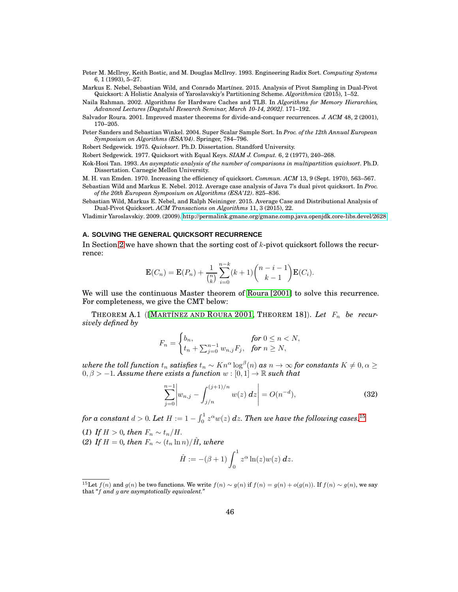- <span id="page-45-12"></span>Peter M. McIlroy, Keith Bostic, and M. Douglas McIlroy. 1993. Engineering Radix Sort. *Computing Systems* 6, 1 (1993), 5–27.
- <span id="page-45-5"></span>Markus E. Nebel, Sebastian Wild, and Conrado Martínez. 2015. Analysis of Pivot Sampling in Dual-Pivot Quicksort: A Holistic Analysis of Yaroslavskiy's Partitioning Scheme. *Algorithmica* (2015), 1–52.

<span id="page-45-11"></span>Naila Rahman. 2002. Algorithms for Hardware Caches and TLB. In *Algorithms for Memory Hierarchies, Advanced Lectures [Dagstuhl Research Seminar, March 10-14, 2002]*. 171–192.

- <span id="page-45-9"></span>Salvador Roura. 2001. Improved master theorems for divide-and-conquer recurrences. *J. ACM* 48, 2 (2001), 170–205.
- <span id="page-45-3"></span>Peter Sanders and Sebastian Winkel. 2004. Super Scalar Sample Sort. In *Proc. of the 12th Annual European Symposium on Algorithms (ESA'04)*. Springer, 784–796.

<span id="page-45-0"></span>Robert Sedgewick. 1975. *Quicksort*. Ph.D. Dissertation. Standford University.

<span id="page-45-1"></span>Robert Sedgewick. 1977. Quicksort with Equal Keys. *SIAM J. Comput.* 6, 2 (1977), 240–268.

<span id="page-45-6"></span>Kok-Hooi Tan. 1993. *An asymptotic analysis of the number of comparisons in multipartition quicksort*. Ph.D. Dissertation. Carnegie Mellon University.

<span id="page-45-7"></span>M. H. van Emden. 1970. Increasing the efficiency of quicksort. *Commun. ACM* 13, 9 (Sept. 1970), 563–567.

<span id="page-45-2"></span>Sebastian Wild and Markus E. Nebel. 2012. Average case analysis of Java 7's dual pivot quicksort. In *Proc. of the 20th European Symposium on Algorithms (ESA'12)*. 825–836.

<span id="page-45-8"></span>Sebastian Wild, Markus E. Nebel, and Ralph Neininger. 2015. Average Case and Distributional Analysis of Dual-Pivot Quicksort. *ACM Transactions on Algorithms* 11, 3 (2015), 22.

<span id="page-45-4"></span>Vladimir Yaroslavskiy. 2009. (2009).<http://permalink.gmane.org/gmane.comp.java.openjdk.core-libs.devel/2628>

## <span id="page-45-10"></span>**A. SOLVING THE GENERAL QUICKSORT RECURRENCE**

In Section [2](#page-6-0) we have shown that the sorting cost of  $k$ -pivot quicksort follows the recurrence:

$$
\mathbf{E}(C_n) = \mathbf{E}(P_n) + \frac{1}{\binom{n}{k}} \sum_{i=0}^{n-k} (k+1) \binom{n-i-1}{k-1} \mathbf{E}(C_i).
$$

We will use the continuous Master theorem of [Roura \[2001\]](#page-45-9) to solve this recurrence. For completeness, we give the CMT below:

THEOREM A.1 ([M[ARTÍNEZ AND](#page-44-1) ROURA 2001, THEOREM 18]). Let  $F_n$  be recur*sively defined by*

$$
F_n = \begin{cases} b_n, & \text{for } 0 \le n < N, \\ t_n + \sum_{j=0}^{n-1} w_{n,j} F_j, & \text{for } n \ge N, \end{cases}
$$

 $where\ the\ toll\ function\ t_n\ satisfies\ t_n\sim K n^\alpha\log^\beta(n)\ as\ n\to\infty\ for\ constants\ K\neq0,\alpha\geq0.$  $0, \beta > -1$ *. Assume there exists a function*  $w : [0,1] \to \mathbb{R}$  such that

$$
\sum_{j=0}^{n-1} \left| w_{n,j} - \int_{j/n}^{(j+1)/n} w(z) \, dz \right| = O(n^{-d}),\tag{32}
$$

for a constant  $d > 0$ . Let  $H := 1 - \int_0^1 z^\alpha w(z) \ dz.$  Then we have the following cases: $^{15}$  $^{15}$  $^{15}$ 

- (1) If  $H > 0$ , then  $F_n \sim t_n/H$ .
- (2) If  $H = 0$ , then  $F_n \sim (t_n \ln n)/\hat{H}$ , where

<span id="page-45-14"></span>
$$
\hat{H} := -(\beta + 1) \int_0^1 z^{\alpha} \ln(z) w(z) dz.
$$

<span id="page-45-13"></span><sup>&</sup>lt;sup>15</sup>Let  $f(n)$  and  $g(n)$  be two functions. We write  $f(n) \sim g(n)$  if  $f(n) = g(n) + o(g(n))$ . If  $f(n) \sim g(n)$ , we say that *"*f *and* g *are asymptotically equivalent."*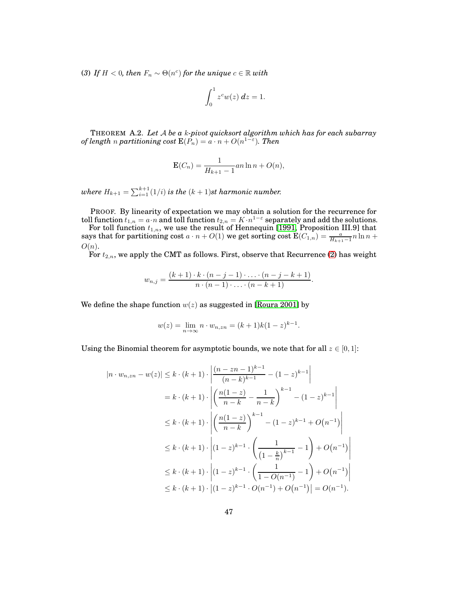(3) If  $H < 0$ , then  $F_n \sim \Theta(n^c)$  for the unique  $c \in \mathbb{R}$  with

$$
\int_0^1 z^c w(z) dz = 1.
$$

THEOREM A.2. *Let* A *be a* k*-pivot quicksort algorithm which has for each subarray of length n* partitioning cost  $\mathbf{E}(P_n) = a \cdot n + O(n^{1-\varepsilon})$ . Then

$$
\mathbf{E}(C_n) = \frac{1}{H_{k+1} - 1} a n \ln n + O(n),
$$

where  $H_{k+1} = \sum_{i=1}^{k+1} (1/i)$  is the  $(k+1)$ st harmonic number.

PROOF. By linearity of expectation we may obtain a solution for the recurrence for toll function  $t_{1,n} = a \cdot n$  and toll function  $t_{2,n} = K \cdot n^{1-\epsilon}$  separately and add the solutions.

For toll function  $t_{1,n}$ , we use the result of Hennequin [\[1991,](#page-44-3) Proposition III.9] that says that for partitioning cost  $a \cdot n + O(1)$  we get sorting cost  $\text{E}(C_{1,n}) = \frac{a}{H_{k+1}-1} n \ln n + O(1)$  $O(n)$ .

For  $t_{2,n}$ , we apply the CMT as follows. First, observe that Recurrence [\(2\)](#page-7-1) has weight

$$
w_{n,j} = \frac{(k+1) \cdot k \cdot (n-j-1) \cdot \ldots \cdot (n-j-k+1)}{n \cdot (n-1) \cdot \ldots \cdot (n-k+1)}.
$$

We define the shape function  $w(z)$  as suggested in [\[Roura 2001\]](#page-45-9) by

$$
w(z) = \lim_{n \to \infty} n \cdot w_{n,zn} = (k+1)k(1-z)^{k-1}.
$$

Using the Binomial theorem for asymptotic bounds, we note that for all  $z \in [0,1]$ :

$$
|n \cdot w_{n,zn} - w(z)| \le k \cdot (k+1) \cdot \left| \frac{(n-zn-1)^{k-1}}{(n-k)^{k-1}} - (1-z)^{k-1} \right|
$$
  
\n
$$
= k \cdot (k+1) \cdot \left| \left( \frac{n(1-z)}{n-k} - \frac{1}{n-k} \right)^{k-1} - (1-z)^{k-1} \right|
$$
  
\n
$$
\le k \cdot (k+1) \cdot \left| \left( \frac{n(1-z)}{n-k} \right)^{k-1} - (1-z)^{k-1} + O(n^{-1}) \right|
$$
  
\n
$$
\le k \cdot (k+1) \cdot \left| (1-z)^{k-1} \cdot \left( \frac{1}{(1-\frac{k}{n})^{k-1}} - 1 \right) + O(n^{-1}) \right|
$$
  
\n
$$
\le k \cdot (k+1) \cdot \left| (1-z)^{k-1} \cdot \left( \frac{1}{1-O(n^{-1})} - 1 \right) + O(n^{-1}) \right|
$$
  
\n
$$
\le k \cdot (k+1) \cdot \left| (1-z)^{k-1} \cdot O(n^{-1}) + O(n^{-1}) \right| = O(n^{-1}).
$$